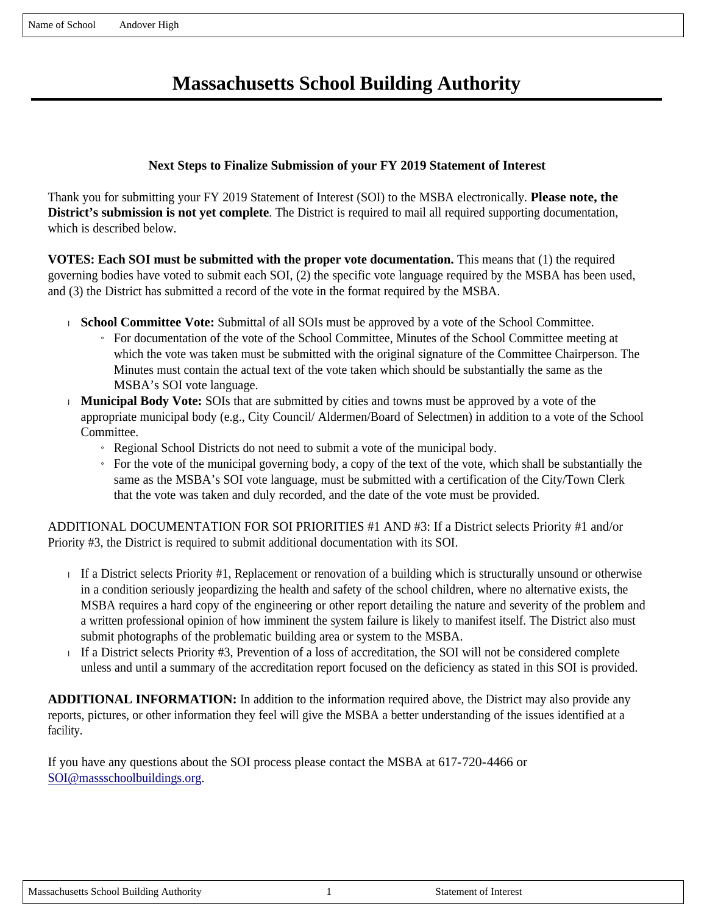# **Massachusetts School Building Authority**

### **Next Steps to Finalize Submission of your FY 2019 Statement of Interest**

Thank you for submitting your FY 2019 Statement of Interest (SOI) to the MSBA electronically. **Please note, the District's submission is not yet complete**. The District is required to mail all required supporting documentation, which is described below.

**VOTES: Each SOI must be submitted with the proper vote documentation.** This means that (1) the required governing bodies have voted to submit each SOI, (2) the specific vote language required by the MSBA has been used, and (3) the District has submitted a record of the vote in the format required by the MSBA.

- **School Committee Vote:** Submittal of all SOIs must be approved by a vote of the School Committee.
	- » For documentation of the vote of the School Committee, Minutes of the School Committee meeting at which the vote was taken must be submitted with the original signature of the Committee Chairperson. The Minutes must contain the actual text of the vote taken which should be substantially the same as the MSBA's SOI vote language.
- **Municipal Body Vote:** SOIs that are submitted by cities and towns must be approved by a vote of the appropriate municipal body (e.g., City Council/ Aldermen/Board of Selectmen) in addition to a vote of the School Committee.
	- » Regional School Districts do not need to submit a vote of the municipal body.
	- $\overline{a}$  For the vote of the municipal governing body, a copy of the text of the vote, which shall be substantially the same as the MSBA's SOI vote language, must be submitted with a certification of the City/Town Clerk that the vote was taken and duly recorded, and the date of the vote must be provided.

ADDITIONAL DOCUMENTATION FOR SOI PRIORITIES #1 AND #3: If a District selects Priority #1 and/or Priority #3, the District is required to submit additional documentation with its SOI.

- If a District selects Priority  $#1$ , Replacement or renovation of a building which is structurally unsound or otherwise in a condition seriously jeopardizing the health and safety of the school children, where no alternative exists, the MSBA requires a hard copy of the engineering or other report detailing the nature and severity of the problem and a written professional opinion of how imminent the system failure is likely to manifest itself. The District also must submit photographs of the problematic building area or system to the MSBA.
- If a District selects Priority #3, Prevention of a loss of accreditation, the SOI will not be considered complete unless and until a summary of the accreditation report focused on the deficiency as stated in this SOI is provided.

**ADDITIONAL INFORMATION:** In addition to the information required above, the District may also provide any reports, pictures, or other information they feel will give the MSBA a better understanding of the issues identified at a facility.

If you have any questions about the SOI process please contact the MSBA at 617-720-4466 or SOI@massschoolbuildings.org.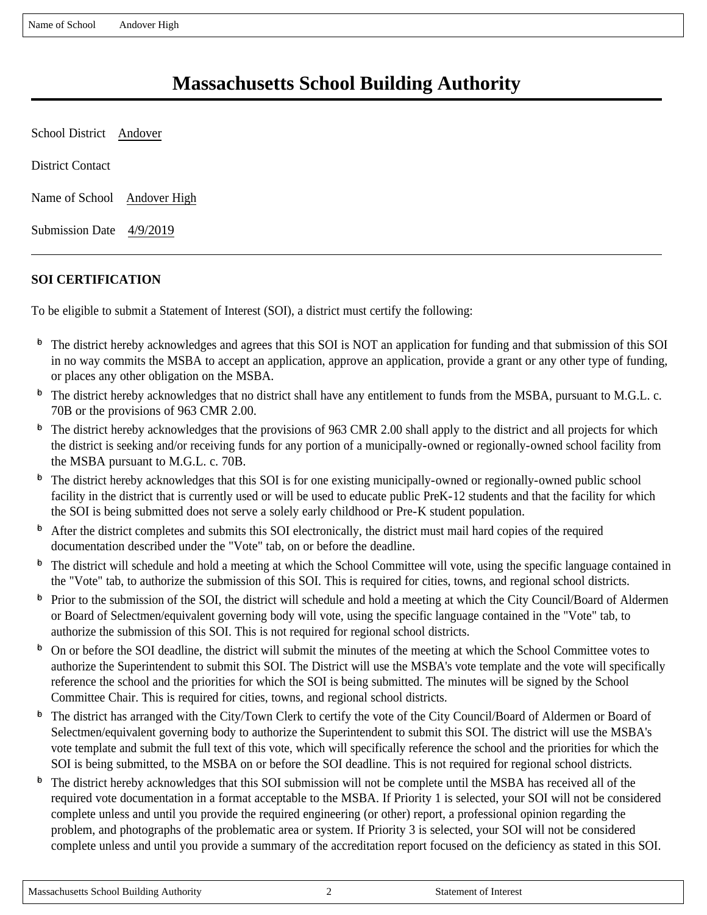# **Massachusetts School Building Authority**

School District Andover District Contact Name of School Andover High Submission Date 4/9/2019

# **SOI CERTIFICATION**

To be eligible to submit a Statement of Interest (SOI), a district must certify the following:

- $\overline{p}$  The district hereby acknowledges and agrees that this SOI is NOT an application for funding and that submission of this SOI in no way commits the MSBA to accept an application, approve an application, provide a grant or any other type of funding, or places any other obligation on the MSBA.
- $\Phi$  The district hereby acknowledges that no district shall have any entitlement to funds from the MSBA, pursuant to M.G.L. c. 70B or the provisions of 963 CMR 2.00.
- $\Phi$  The district hereby acknowledges that the provisions of 963 CMR 2.00 shall apply to the district and all projects for which the district is seeking and/or receiving funds for any portion of a municipally-owned or regionally-owned school facility from the MSBA pursuant to M.G.L. c. 70B.
- $\Phi$  The district hereby acknowledges that this SOI is for one existing municipally-owned or regionally-owned public school facility in the district that is currently used or will be used to educate public PreK-12 students and that the facility for which the SOI is being submitted does not serve a solely early childhood or Pre-K student population.
- $\Phi$  After the district completes and submits this SOI electronically, the district must mail hard copies of the required documentation described under the "Vote" tab, on or before the deadline.
- $\Phi$  The district will schedule and hold a meeting at which the School Committee will vote, using the specific language contained in the "Vote" tab, to authorize the submission of this SOI. This is required for cities, towns, and regional school districts.
- $\Phi$  Prior to the submission of the SOI, the district will schedule and hold a meeting at which the City Council/Board of Aldermen or Board of Selectmen/equivalent governing body will vote, using the specific language contained in the "Vote" tab, to authorize the submission of this SOI. This is not required for regional school districts.
- <sup>6</sup> On or before the SOI deadline, the district will submit the minutes of the meeting at which the School Committee votes to authorize the Superintendent to submit this SOI. The District will use the MSBA's vote template and the vote will specifically reference the school and the priorities for which the SOI is being submitted. The minutes will be signed by the School Committee Chair. This is required for cities, towns, and regional school districts.
- $\Phi$  The district has arranged with the City/Town Clerk to certify the vote of the City Council/Board of Aldermen or Board of Selectmen/equivalent governing body to authorize the Superintendent to submit this SOI. The district will use the MSBA's vote template and submit the full text of this vote, which will specifically reference the school and the priorities for which the SOI is being submitted, to the MSBA on or before the SOI deadline. This is not required for regional school districts.
- $\Phi$  The district hereby acknowledges that this SOI submission will not be complete until the MSBA has received all of the required vote documentation in a format acceptable to the MSBA. If Priority 1 is selected, your SOI will not be considered complete unless and until you provide the required engineering (or other) report, a professional opinion regarding the problem, and photographs of the problematic area or system. If Priority 3 is selected, your SOI will not be considered complete unless and until you provide a summary of the accreditation report focused on the deficiency as stated in this SOI.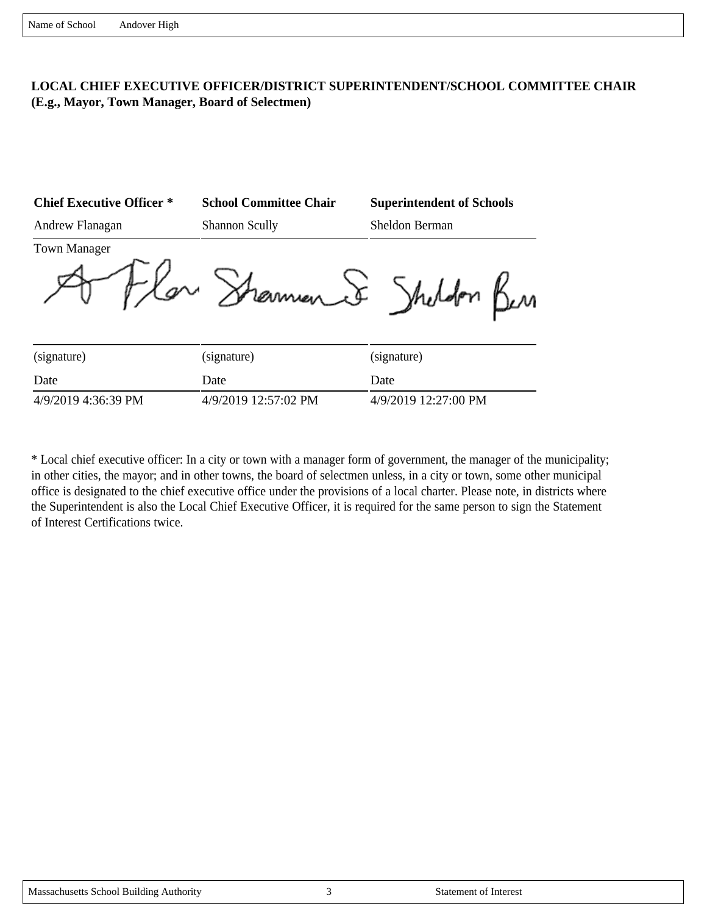## **LOCAL CHIEF EXECUTIVE OFFICER/DISTRICT SUPERINTENDENT/SCHOOL COMMITTEE CHAIR (E.g., Mayor, Town Manager, Board of Selectmen)**

| <b>Chief Executive Officer *</b> | <b>School Committee Chair</b> | <b>Superintendent of Schools</b> |
|----------------------------------|-------------------------------|----------------------------------|
| Andrew Flanagan                  | <b>Shannon Scully</b>         | Sheldon Berman                   |
| <b>Town Manager</b>              | merment                       | Shele                            |
| (signature)                      | (signature)                   | (signature)                      |
| Date                             | Date                          | Date                             |

4/9/2019 4:36:39 PM 4/9/2019 12:57:02 PM 4/9/2019 12:27:00 PM

\* Local chief executive officer: In a city or town with a manager form of government, the manager of the municipality; in other cities, the mayor; and in other towns, the board of selectmen unless, in a city or town, some other municipal office is designated to the chief executive office under the provisions of a local charter. Please note, in districts where the Superintendent is also the Local Chief Executive Officer, it is required for the same person to sign the Statement of Interest Certifications twice.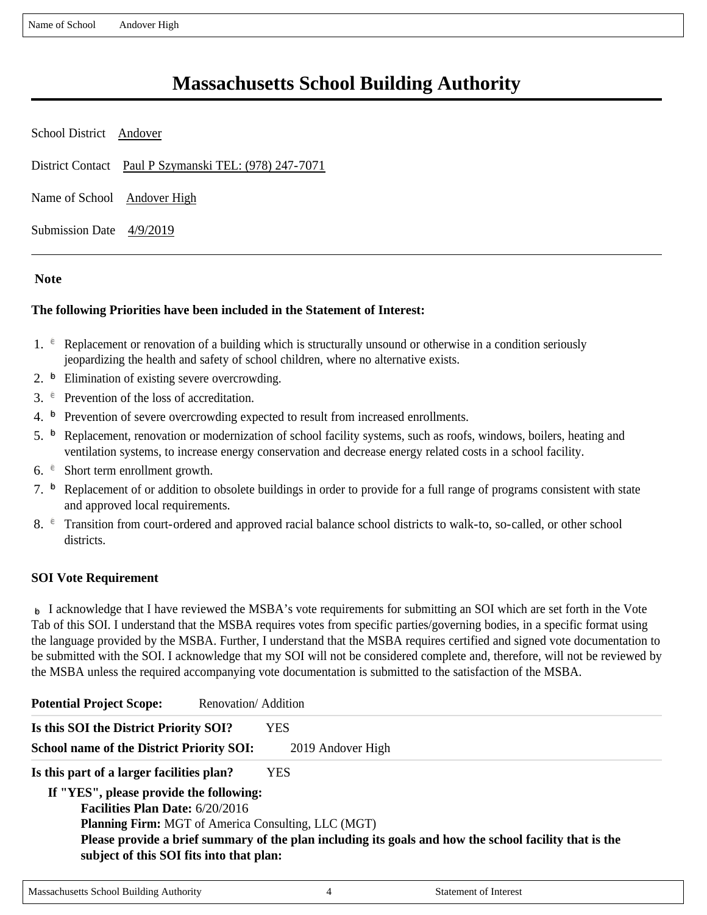# **Massachusetts School Building Authority**

School District Andover District Contact Paul P Szymanski TEL: (978) 247-7071 Name of School Andover High Submission Date 4/9/2019

#### **Note**

#### **The following Priorities have been included in the Statement of Interest:**

- 1.  $\epsilon$  Replacement or renovation of a building which is structurally unsound or otherwise in a condition seriously jeopardizing the health and safety of school children, where no alternative exists.
- 2.  $\overline{p}$  Elimination of existing severe overcrowding.
- 3.  $e^{\theta}$  Prevention of the loss of accreditation.
- 4.  $\overline{P}$  Prevention of severe overcrowding expected to result from increased enrollments.
- 5.  $\overline{p}$  Replacement, renovation or modernization of school facility systems, such as roofs, windows, boilers, heating and ventilation systems, to increase energy conservation and decrease energy related costs in a school facility.
- 6.  $\epsilon$  Short term enrollment growth.
- 7.  $\overline{P}$  Replacement of or addition to obsolete buildings in order to provide for a full range of programs consistent with state and approved local requirements.
- 8.  $\epsilon$  Transition from court-ordered and approved racial balance school districts to walk-to, so-called, or other school districts.

#### **SOI Vote Requirement**

 $\triangleright$  I acknowledge that I have reviewed the MSBA's vote requirements for submitting an SOI which are set forth in the Vote Tab of this SOI. I understand that the MSBA requires votes from specific parties/governing bodies, in a specific format using the language provided by the MSBA. Further, I understand that the MSBA requires certified and signed vote documentation to be submitted with the SOI. I acknowledge that my SOI will not be considered complete and, therefore, will not be reviewed by the MSBA unless the required accompanying vote documentation is submitted to the satisfaction of the MSBA.

| <b>Potential Project Scope:</b>                  | Renovation/Addition                                                                                    |
|--------------------------------------------------|--------------------------------------------------------------------------------------------------------|
| Is this SOI the District Priority SOI?           | YES.                                                                                                   |
| <b>School name of the District Priority SOI:</b> | 2019 Andover High                                                                                      |
| Is this part of a larger facilities plan?        | YES.                                                                                                   |
| If "YES", please provide the following:          |                                                                                                        |
| <b>Facilities Plan Date: 6/20/2016</b>           |                                                                                                        |
|                                                  | <b>Planning Firm:</b> MGT of America Consulting, LLC (MGT)                                             |
| subject of this SOI fits into that plan:         | Please provide a brief summary of the plan including its goals and how the school facility that is the |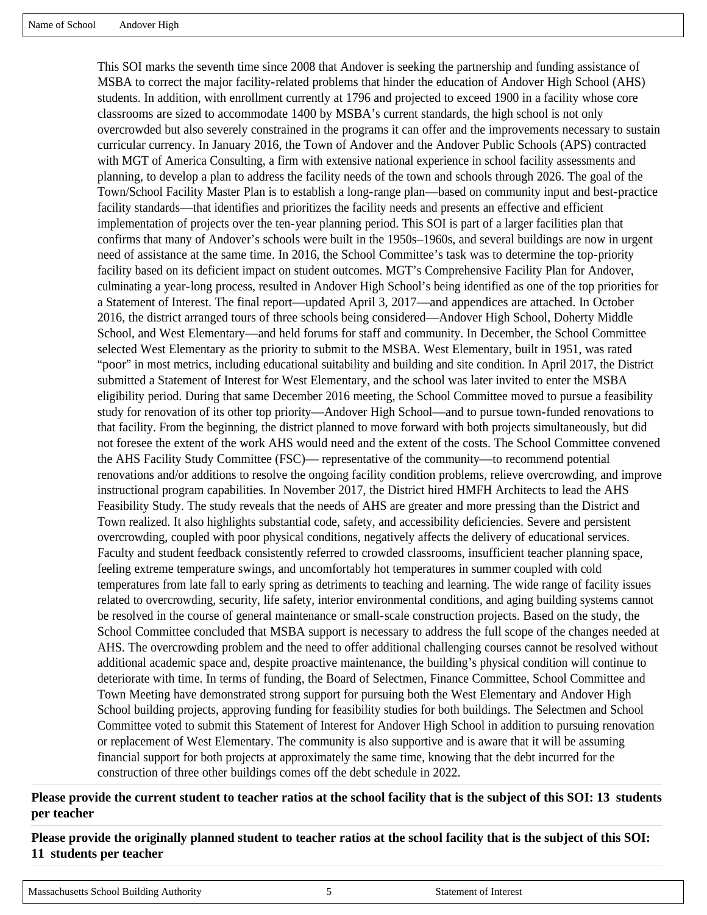This SOI marks the seventh time since 2008 that Andover is seeking the partnership and funding assistance of MSBA to correct the major facility-related problems that hinder the education of Andover High School (AHS) students. In addition, with enrollment currently at 1796 and projected to exceed 1900 in a facility whose core classrooms are sized to accommodate 1400 by MSBA's current standards, the high school is not only overcrowded but also severely constrained in the programs it can offer and the improvements necessary to sustain curricular currency. In January 2016, the Town of Andover and the Andover Public Schools (APS) contracted with MGT of America Consulting, a firm with extensive national experience in school facility assessments and planning, to develop a plan to address the facility needs of the town and schools through 2026. The goal of the Town/School Facility Master Plan is to establish a long-range plan—based on community input and best-practice facility standards—that identifies and prioritizes the facility needs and presents an effective and efficient implementation of projects over the ten-year planning period. This SOI is part of a larger facilities plan that confirms that many of Andover's schools were built in the 1950s–1960s, and several buildings are now in urgent need of assistance at the same time. In 2016, the School Committee's task was to determine the top-priority facility based on its deficient impact on student outcomes. MGT's Comprehensive Facility Plan for Andover, culminating a year-long process, resulted in Andover High School's being identified as one of the top priorities for a Statement of Interest. The final report—updated April 3, 2017—and appendices are attached. In October 2016, the district arranged tours of three schools being considered—Andover High School, Doherty Middle School, and West Elementary—and held forums for staff and community. In December, the School Committee selected West Elementary as the priority to submit to the MSBA. West Elementary, built in 1951, was rated "poor" in most metrics, including educational suitability and building and site condition. In April 2017, the District submitted a Statement of Interest for West Elementary, and the school was later invited to enter the MSBA eligibility period. During that same December 2016 meeting, the School Committee moved to pursue a feasibility study for renovation of its other top priority—Andover High School—and to pursue town-funded renovations to that facility. From the beginning, the district planned to move forward with both projects simultaneously, but did not foresee the extent of the work AHS would need and the extent of the costs. The School Committee convened the AHS Facility Study Committee (FSC)— representative of the community—to recommend potential renovations and/or additions to resolve the ongoing facility condition problems, relieve overcrowding, and improve instructional program capabilities. In November 2017, the District hired HMFH Architects to lead the AHS Feasibility Study. The study reveals that the needs of AHS are greater and more pressing than the District and Town realized. It also highlights substantial code, safety, and accessibility deficiencies. Severe and persistent overcrowding, coupled with poor physical conditions, negatively affects the delivery of educational services. Faculty and student feedback consistently referred to crowded classrooms, insufficient teacher planning space, feeling extreme temperature swings, and uncomfortably hot temperatures in summer coupled with cold temperatures from late fall to early spring as detriments to teaching and learning. The wide range of facility issues related to overcrowding, security, life safety, interior environmental conditions, and aging building systems cannot be resolved in the course of general maintenance or small-scale construction projects. Based on the study, the School Committee concluded that MSBA support is necessary to address the full scope of the changes needed at AHS. The overcrowding problem and the need to offer additional challenging courses cannot be resolved without additional academic space and, despite proactive maintenance, the building's physical condition will continue to deteriorate with time. In terms of funding, the Board of Selectmen, Finance Committee, School Committee and Town Meeting have demonstrated strong support for pursuing both the West Elementary and Andover High School building projects, approving funding for feasibility studies for both buildings. The Selectmen and School Committee voted to submit this Statement of Interest for Andover High School in addition to pursuing renovation or replacement of West Elementary. The community is also supportive and is aware that it will be assuming financial support for both projects at approximately the same time, knowing that the debt incurred for the construction of three other buildings comes off the debt schedule in 2022.

**Please provide the current student to teacher ratios at the school facility that is the subject of this SOI: 13 students per teacher**

**Please provide the originally planned student to teacher ratios at the school facility that is the subject of this SOI: 11 students per teacher**

```
Massachusetts School Building Authority 5 5 Statement of Interest
```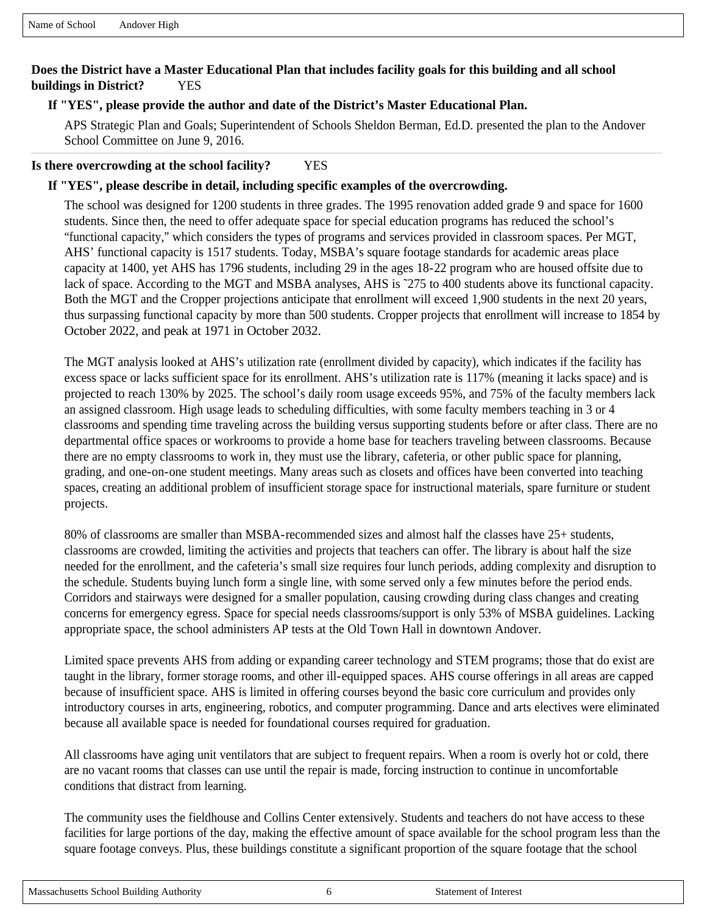## **Does the District have a Master Educational Plan that includes facility goals for this building and all school buildings in District?** YES

#### **If "YES", please provide the author and date of the District's Master Educational Plan.**

APS Strategic Plan and Goals; Superintendent of Schools Sheldon Berman, Ed.D. presented the plan to the Andover School Committee on June 9, 2016.

#### **Is there overcrowding at the school facility?** YES

#### **If "YES", please describe in detail, including specific examples of the overcrowding.**

The school was designed for 1200 students in three grades. The 1995 renovation added grade 9 and space for 1600 students. Since then, the need to offer adequate space for special education programs has reduced the school's "functional capacity," which considers the types of programs and services provided in classroom spaces. Per MGT, AHS' functional capacity is 1517 students. Today, MSBA's square footage standards for academic areas place capacity at 1400, yet AHS has 1796 students, including 29 in the ages 18-22 program who are housed offsite due to lack of space. According to the MGT and MSBA analyses, AHS is ~275 to 400 students above its functional capacity. Both the MGT and the Cropper projections anticipate that enrollment will exceed 1,900 students in the next 20 years, thus surpassing functional capacity by more than 500 students. Cropper projects that enrollment will increase to 1854 by October 2022, and peak at 1971 in October 2032.

The MGT analysis looked at AHS's utilization rate (enrollment divided by capacity), which indicates if the facility has excess space or lacks sufficient space for its enrollment. AHS's utilization rate is 117% (meaning it lacks space) and is projected to reach 130% by 2025. The school's daily room usage exceeds 95%, and 75% of the faculty members lack an assigned classroom. High usage leads to scheduling difficulties, with some faculty members teaching in 3 or 4 classrooms and spending time traveling across the building versus supporting students before or after class. There are no departmental office spaces or workrooms to provide a home base for teachers traveling between classrooms. Because there are no empty classrooms to work in, they must use the library, cafeteria, or other public space for planning, grading, and one-on-one student meetings. Many areas such as closets and offices have been converted into teaching spaces, creating an additional problem of insufficient storage space for instructional materials, spare furniture or student projects.

80% of classrooms are smaller than MSBA-recommended sizes and almost half the classes have 25+ students, classrooms are crowded, limiting the activities and projects that teachers can offer. The library is about half the size needed for the enrollment, and the cafeteria's small size requires four lunch periods, adding complexity and disruption to the schedule. Students buying lunch form a single line, with some served only a few minutes before the period ends. Corridors and stairways were designed for a smaller population, causing crowding during class changes and creating concerns for emergency egress. Space for special needs classrooms/support is only 53% of MSBA guidelines. Lacking appropriate space, the school administers AP tests at the Old Town Hall in downtown Andover.

Limited space prevents AHS from adding or expanding career technology and STEM programs; those that do exist are taught in the library, former storage rooms, and other ill-equipped spaces. AHS course offerings in all areas are capped because of insufficient space. AHS is limited in offering courses beyond the basic core curriculum and provides only introductory courses in arts, engineering, robotics, and computer programming. Dance and arts electives were eliminated because all available space is needed for foundational courses required for graduation.

All classrooms have aging unit ventilators that are subject to frequent repairs. When a room is overly hot or cold, there are no vacant rooms that classes can use until the repair is made, forcing instruction to continue in uncomfortable conditions that distract from learning.

The community uses the fieldhouse and Collins Center extensively. Students and teachers do not have access to these facilities for large portions of the day, making the effective amount of space available for the school program less than the square footage conveys. Plus, these buildings constitute a significant proportion of the square footage that the school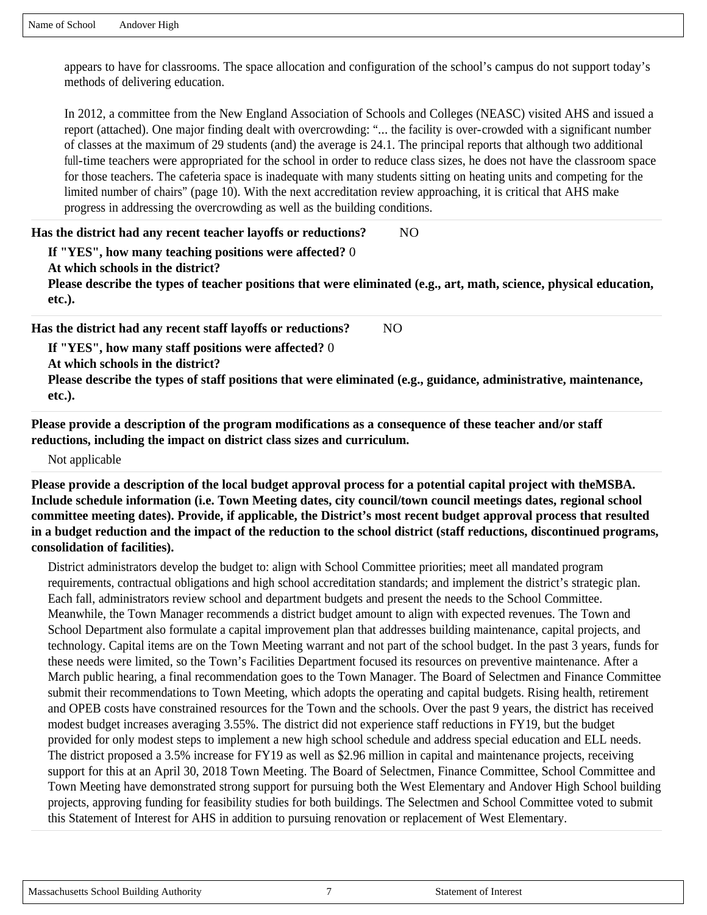appears to have for classrooms. The space allocation and configuration of the school's campus do not support today's methods of delivering education.

In 2012, a committee from the New England Association of Schools and Colleges (NEASC) visited AHS and issued a report (attached). One major finding dealt with overcrowding: "... the facility is over-crowded with a significant number of classes at the maximum of 29 students (and) the average is 24.1. The principal reports that although two additional full-time teachers were appropriated for the school in order to reduce class sizes, he does not have the classroom space for those teachers. The cafeteria space is inadequate with many students sitting on heating units and competing for the limited number of chairs" (page 10). With the next accreditation review approaching, it is critical that AHS make progress in addressing the overcrowding as well as the building conditions.

#### **Has the district had any recent teacher layoffs or reductions?** NO

**If "YES", how many teaching positions were affected?** 0

**At which schools in the district?** 

**Please describe the types of teacher positions that were eliminated (e.g., art, math, science, physical education, etc.).** 

**Has the district had any recent staff layoffs or reductions?** NO

**If "YES", how many staff positions were affected?** 0

**At which schools in the district?** 

**Please describe the types of staff positions that were eliminated (e.g., guidance, administrative, maintenance, etc.).** 

**Please provide a description of the program modifications as a consequence of these teacher and/or staff reductions, including the impact on district class sizes and curriculum.**

Not applicable

**Please provide a description of the local budget approval process for a potential capital project with theMSBA. Include schedule information (i.e. Town Meeting dates, city council/town council meetings dates, regional school committee meeting dates). Provide, if applicable, the District's most recent budget approval process that resulted in a budget reduction and the impact of the reduction to the school district (staff reductions, discontinued programs, consolidation of facilities).**

District administrators develop the budget to: align with School Committee priorities; meet all mandated program requirements, contractual obligations and high school accreditation standards; and implement the district's strategic plan. Each fall, administrators review school and department budgets and present the needs to the School Committee. Meanwhile, the Town Manager recommends a district budget amount to align with expected revenues. The Town and School Department also formulate a capital improvement plan that addresses building maintenance, capital projects, and technology. Capital items are on the Town Meeting warrant and not part of the school budget. In the past 3 years, funds for these needs were limited, so the Town's Facilities Department focused its resources on preventive maintenance. After a March public hearing, a final recommendation goes to the Town Manager. The Board of Selectmen and Finance Committee submit their recommendations to Town Meeting, which adopts the operating and capital budgets. Rising health, retirement and OPEB costs have constrained resources for the Town and the schools. Over the past 9 years, the district has received modest budget increases averaging 3.55%. The district did not experience staff reductions in FY19, but the budget provided for only modest steps to implement a new high school schedule and address special education and ELL needs. The district proposed a 3.5% increase for FY19 as well as \$2.96 million in capital and maintenance projects, receiving support for this at an April 30, 2018 Town Meeting. The Board of Selectmen, Finance Committee, School Committee and Town Meeting have demonstrated strong support for pursuing both the West Elementary and Andover High School building projects, approving funding for feasibility studies for both buildings. The Selectmen and School Committee voted to submit this Statement of Interest for AHS in addition to pursuing renovation or replacement of West Elementary.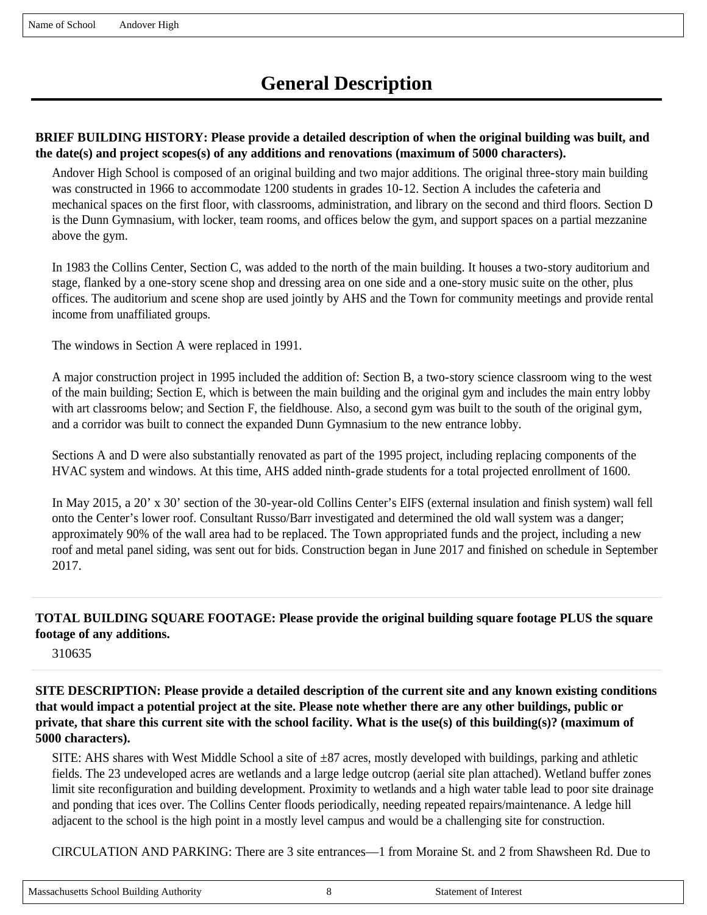## **BRIEF BUILDING HISTORY: Please provide a detailed description of when the original building was built, and the date(s) and project scopes(s) of any additions and renovations (maximum of 5000 characters).**

Andover High School is composed of an original building and two major additions. The original three-story main building was constructed in 1966 to accommodate 1200 students in grades 10-12. Section A includes the cafeteria and mechanical spaces on the first floor, with classrooms, administration, and library on the second and third floors. Section D is the Dunn Gymnasium, with locker, team rooms, and offices below the gym, and support spaces on a partial mezzanine above the gym.

In 1983 the Collins Center, Section C, was added to the north of the main building. It houses a two-story auditorium and stage, flanked by a one-story scene shop and dressing area on one side and a one-story music suite on the other, plus offices. The auditorium and scene shop are used jointly by AHS and the Town for community meetings and provide rental income from unaffiliated groups.

The windows in Section A were replaced in 1991.

A major construction project in 1995 included the addition of: Section B, a two-story science classroom wing to the west of the main building; Section E, which is between the main building and the original gym and includes the main entry lobby with art classrooms below; and Section F, the fieldhouse. Also, a second gym was built to the south of the original gym, and a corridor was built to connect the expanded Dunn Gymnasium to the new entrance lobby.

Sections A and D were also substantially renovated as part of the 1995 project, including replacing components of the HVAC system and windows. At this time, AHS added ninth-grade students for a total projected enrollment of 1600.

In May 2015, a 20' x 30' section of the 30-year-old Collins Center's EIFS (external insulation and finish system) wall fell onto the Center's lower roof. Consultant Russo/Barr investigated and determined the old wall system was a danger; approximately 90% of the wall area had to be replaced. The Town appropriated funds and the project, including a new roof and metal panel siding, was sent out for bids. Construction began in June 2017 and finished on schedule in September 2017.

### **TOTAL BUILDING SQUARE FOOTAGE: Please provide the original building square footage PLUS the square footage of any additions.**

310635

**SITE DESCRIPTION: Please provide a detailed description of the current site and any known existing conditions that would impact a potential project at the site. Please note whether there are any other buildings, public or private, that share this current site with the school facility. What is the use(s) of this building(s)? (maximum of 5000 characters).**

SITE: AHS shares with West Middle School a site of  $\pm 87$  acres, mostly developed with buildings, parking and athletic fields. The 23 undeveloped acres are wetlands and a large ledge outcrop (aerial site plan attached). Wetland buffer zones limit site reconfiguration and building development. Proximity to wetlands and a high water table lead to poor site drainage and ponding that ices over. The Collins Center floods periodically, needing repeated repairs/maintenance. A ledge hill adjacent to the school is the high point in a mostly level campus and would be a challenging site for construction.

CIRCULATION AND PARKING: There are 3 site entrances—1 from Moraine St. and 2 from Shawsheen Rd. Due to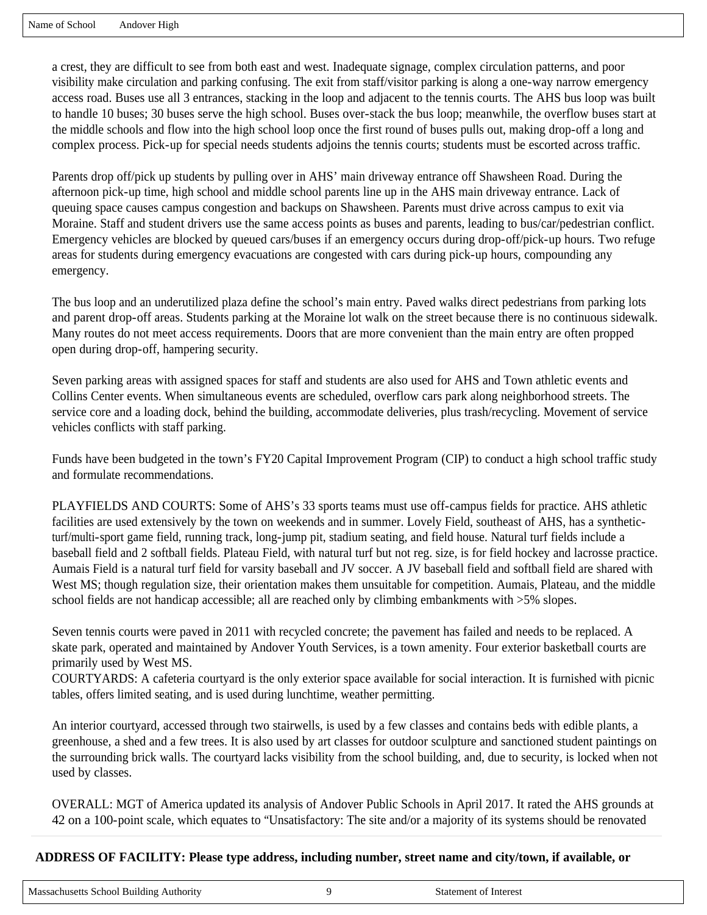a crest, they are difficult to see from both east and west. Inadequate signage, complex circulation patterns, and poor visibility make circulation and parking confusing. The exit from staff/visitor parking is along a one-way narrow emergency access road. Buses use all 3 entrances, stacking in the loop and adjacent to the tennis courts. The AHS bus loop was built to handle 10 buses; 30 buses serve the high school. Buses over-stack the bus loop; meanwhile, the overflow buses start at the middle schools and flow into the high school loop once the first round of buses pulls out, making drop-off a long and complex process. Pick-up for special needs students adjoins the tennis courts; students must be escorted across traffic.

Parents drop off/pick up students by pulling over in AHS' main driveway entrance off Shawsheen Road. During the afternoon pick-up time, high school and middle school parents line up in the AHS main driveway entrance. Lack of queuing space causes campus congestion and backups on Shawsheen. Parents must drive across campus to exit via Moraine. Staff and student drivers use the same access points as buses and parents, leading to bus/car/pedestrian conflict. Emergency vehicles are blocked by queued cars/buses if an emergency occurs during drop-off/pick-up hours. Two refuge areas for students during emergency evacuations are congested with cars during pick-up hours, compounding any emergency.

The bus loop and an underutilized plaza define the school's main entry. Paved walks direct pedestrians from parking lots and parent drop-off areas. Students parking at the Moraine lot walk on the street because there is no continuous sidewalk. Many routes do not meet access requirements. Doors that are more convenient than the main entry are often propped open during drop-off, hampering security.

Seven parking areas with assigned spaces for staff and students are also used for AHS and Town athletic events and Collins Center events. When simultaneous events are scheduled, overflow cars park along neighborhood streets. The service core and a loading dock, behind the building, accommodate deliveries, plus trash/recycling. Movement of service vehicles conflicts with staff parking.

Funds have been budgeted in the town's FY20 Capital Improvement Program (CIP) to conduct a high school traffic study and formulate recommendations.

PLAYFIELDS AND COURTS: Some of AHS's 33 sports teams must use off-campus fields for practice. AHS athletic facilities are used extensively by the town on weekends and in summer. Lovely Field, southeast of AHS, has a syntheticturf/multi-sport game field, running track, long-jump pit, stadium seating, and field house. Natural turf fields include a baseball field and 2 softball fields. Plateau Field, with natural turf but not reg. size, is for field hockey and lacrosse practice. Aumais Field is a natural turf field for varsity baseball and JV soccer. A JV baseball field and softball field are shared with West MS; though regulation size, their orientation makes them unsuitable for competition. Aumais, Plateau, and the middle school fields are not handicap accessible; all are reached only by climbing embankments with  $>5\%$  slopes.

Seven tennis courts were paved in 2011 with recycled concrete; the pavement has failed and needs to be replaced. A skate park, operated and maintained by Andover Youth Services, is a town amenity. Four exterior basketball courts are primarily used by West MS.

COURTYARDS: A cafeteria courtyard is the only exterior space available for social interaction. It is furnished with picnic tables, offers limited seating, and is used during lunchtime, weather permitting.

An interior courtyard, accessed through two stairwells, is used by a few classes and contains beds with edible plants, a greenhouse, a shed and a few trees. It is also used by art classes for outdoor sculpture and sanctioned student paintings on the surrounding brick walls. The courtyard lacks visibility from the school building, and, due to security, is locked when not used by classes.

OVERALL: MGT of America updated its analysis of Andover Public Schools in April 2017. It rated the AHS grounds at 42 on a 100-point scale, which equates to "Unsatisfactory: The site and/or a majority of its systems should be renovated

## **ADDRESS OF FACILITY: Please type address, including number, street name and city/town, if available, or**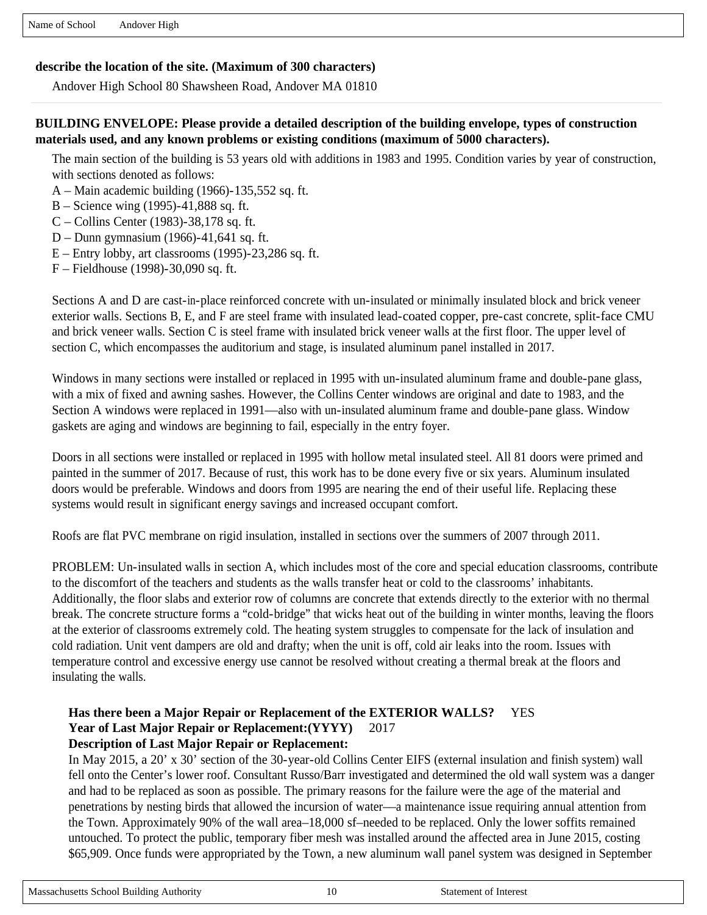#### **describe the location of the site. (Maximum of 300 characters)**

Andover High School 80 Shawsheen Road, Andover MA 01810

#### **BUILDING ENVELOPE: Please provide a detailed description of the building envelope, types of construction materials used, and any known problems or existing conditions (maximum of 5000 characters).**

The main section of the building is 53 years old with additions in 1983 and 1995. Condition varies by year of construction, with sections denoted as follows:

- A Main academic building (1966)-135,552 sq. ft.
- B Science wing (1995)-41,888 sq. ft.
- C Collins Center (1983)-38,178 sq. ft.
- D Dunn gymnasium (1966)-41,641 sq. ft.
- E Entry lobby, art classrooms (1995)-23,286 sq. ft.
- F Fieldhouse (1998)-30,090 sq. ft.

Sections A and D are cast-in-place reinforced concrete with un-insulated or minimally insulated block and brick veneer exterior walls. Sections B, E, and F are steel frame with insulated lead-coated copper, pre-cast concrete, split-face CMU and brick veneer walls. Section C is steel frame with insulated brick veneer walls at the first floor. The upper level of section C, which encompasses the auditorium and stage, is insulated aluminum panel installed in 2017.

Windows in many sections were installed or replaced in 1995 with un-insulated aluminum frame and double-pane glass, with a mix of fixed and awning sashes. However, the Collins Center windows are original and date to 1983, and the Section A windows were replaced in 1991—also with un-insulated aluminum frame and double-pane glass. Window gaskets are aging and windows are beginning to fail, especially in the entry foyer.

Doors in all sections were installed or replaced in 1995 with hollow metal insulated steel. All 81 doors were primed and painted in the summer of 2017. Because of rust, this work has to be done every five or six years. Aluminum insulated doors would be preferable. Windows and doors from 1995 are nearing the end of their useful life. Replacing these systems would result in significant energy savings and increased occupant comfort.

Roofs are flat PVC membrane on rigid insulation, installed in sections over the summers of 2007 through 2011.

PROBLEM: Un-insulated walls in section A, which includes most of the core and special education classrooms, contribute to the discomfort of the teachers and students as the walls transfer heat or cold to the classrooms' inhabitants. Additionally, the floor slabs and exterior row of columns are concrete that extends directly to the exterior with no thermal break. The concrete structure forms a "cold-bridge" that wicks heat out of the building in winter months, leaving the floors at the exterior of classrooms extremely cold. The heating system struggles to compensate for the lack of insulation and cold radiation. Unit vent dampers are old and drafty; when the unit is off, cold air leaks into the room. Issues with temperature control and excessive energy use cannot be resolved without creating a thermal break at the floors and insulating the walls.

#### **Has there been a Major Repair or Replacement of the EXTERIOR WALLS?** YES Year of Last Major Repair or Replacement: (YYYY) 2017 **Description of Last Major Repair or Replacement:**

In May 2015, a 20' x 30' section of the 30-year-old Collins Center EIFS (external insulation and finish system) wall fell onto the Center's lower roof. Consultant Russo/Barr investigated and determined the old wall system was a danger and had to be replaced as soon as possible. The primary reasons for the failure were the age of the material and penetrations by nesting birds that allowed the incursion of water––a maintenance issue requiring annual attention from the Town. Approximately 90% of the wall area–18,000 sf–needed to be replaced. Only the lower soffits remained untouched. To protect the public, temporary fiber mesh was installed around the affected area in June 2015, costing \$65,909. Once funds were appropriated by the Town, a new aluminum wall panel system was designed in September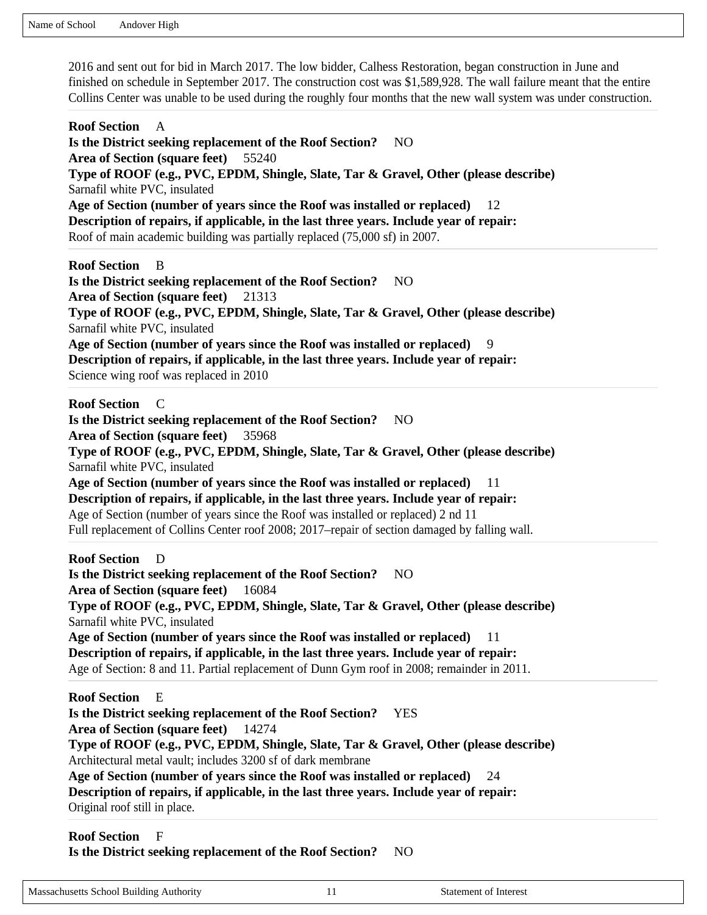2016 and sent out for bid in March 2017. The low bidder, Calhess Restoration, began construction in June and finished on schedule in September 2017. The construction cost was \$1,589,928. The wall failure meant that the entire Collins Center was unable to be used during the roughly four months that the new wall system was under construction.

**Roof Section** A **Is the District seeking replacement of the Roof Section?** NO **Area of Section (square feet)** 55240 **Type of ROOF (e.g., PVC, EPDM, Shingle, Slate, Tar & Gravel, Other (please describe)**  Sarnafil white PVC, insulated **Age of Section (number of years since the Roof was installed or replaced)** 12 **Description of repairs, if applicable, in the last three years. Include year of repair:**  Roof of main academic building was partially replaced (75,000 sf) in 2007. **Roof Section** B **Is the District seeking replacement of the Roof Section?** NO **Area of Section (square feet)** 21313 **Type of ROOF (e.g., PVC, EPDM, Shingle, Slate, Tar & Gravel, Other (please describe)**  Sarnafil white PVC, insulated Age of Section (number of years since the Roof was installed or replaced) **Description of repairs, if applicable, in the last three years. Include year of repair:**  Science wing roof was replaced in 2010 **Roof Section** C **Is the District seeking replacement of the Roof Section?** NO **Area of Section (square feet)** 35968 **Type of ROOF (e.g., PVC, EPDM, Shingle, Slate, Tar & Gravel, Other (please describe)**  Sarnafil white PVC, insulated **Age of Section (number of years since the Roof was installed or replaced)** 11 **Description of repairs, if applicable, in the last three years. Include year of repair:**  Age of Section (number of years since the Roof was installed or replaced) 2 nd 11 Full replacement of Collins Center roof 2008; 2017–repair of section damaged by falling wall. **Roof Section** D **Is the District seeking replacement of the Roof Section?** NO **Area of Section (square feet)** 16084 **Type of ROOF (e.g., PVC, EPDM, Shingle, Slate, Tar & Gravel, Other (please describe)**  Sarnafil white PVC, insulated **Age of Section (number of years since the Roof was installed or replaced)** 11 **Description of repairs, if applicable, in the last three years. Include year of repair:**  Age of Section: 8 and 11. Partial replacement of Dunn Gym roof in 2008; remainder in 2011. **Roof Section** E **Is the District seeking replacement of the Roof Section?** YES **Area of Section (square feet)** 14274 **Type of ROOF (e.g., PVC, EPDM, Shingle, Slate, Tar & Gravel, Other (please describe)**  Architectural metal vault; includes 3200 sf of dark membrane **Age of Section (number of years since the Roof was installed or replaced)** 24 **Description of repairs, if applicable, in the last three years. Include year of repair:**  Original roof still in place. **Roof Section** F

# **Is the District seeking replacement of the Roof Section?** NO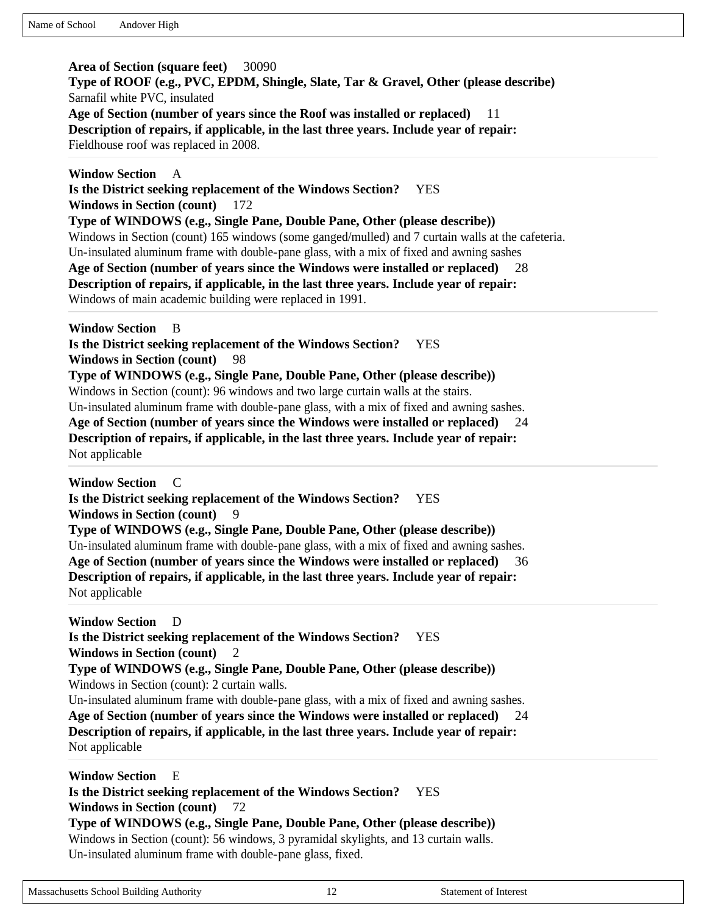**Area of Section (square feet)** 30090 **Type of ROOF (e.g., PVC, EPDM, Shingle, Slate, Tar & Gravel, Other (please describe)**  Sarnafil white PVC, insulated **Age of Section (number of years since the Roof was installed or replaced)** 11 **Description of repairs, if applicable, in the last three years. Include year of repair:**  Fieldhouse roof was replaced in 2008.

**Window Section** A **Is the District seeking replacement of the Windows Section?** YES **Windows in Section (count)** 172 **Type of WINDOWS (e.g., Single Pane, Double Pane, Other (please describe))**  Windows in Section (count) 165 windows (some ganged/mulled) and 7 curtain walls at the cafeteria. Un-insulated aluminum frame with double-pane glass, with a mix of fixed and awning sashes **Age of Section (number of years since the Windows were installed or replaced)** 28 **Description of repairs, if applicable, in the last three years. Include year of repair:**  Windows of main academic building were replaced in 1991. **Window Section** B **Is the District seeking replacement of the Windows Section?** YES **Windows in Section (count)** 98 **Type of WINDOWS (e.g., Single Pane, Double Pane, Other (please describe))**  Windows in Section (count): 96 windows and two large curtain walls at the stairs. Un-insulated aluminum frame with double-pane glass, with a mix of fixed and awning sashes. **Age of Section (number of years since the Windows were installed or replaced)** 24 **Description of repairs, if applicable, in the last three years. Include year of repair:**  Not applicable **Window Section** C **Is the District seeking replacement of the Windows Section?** YES **Windows in Section (count)** 9 **Type of WINDOWS (e.g., Single Pane, Double Pane, Other (please describe))**  Un-insulated aluminum frame with double-pane glass, with a mix of fixed and awning sashes. Age of Section (number of years since the Windows were installed or replaced) **Description of repairs, if applicable, in the last three years. Include year of repair:**  Not applicable **Window Section** D

**Is the District seeking replacement of the Windows Section?** YES **Windows in Section (count)** 2 **Type of WINDOWS (e.g., Single Pane, Double Pane, Other (please describe))**  Windows in Section (count): 2 curtain walls. Un-insulated aluminum frame with double-pane glass, with a mix of fixed and awning sashes. **Age of Section (number of years since the Windows were installed or replaced)** 24 **Description of repairs, if applicable, in the last three years. Include year of repair:**  Not applicable

**Window Section** E **Is the District seeking replacement of the Windows Section?** YES **Windows in Section (count)** 72 **Type of WINDOWS (e.g., Single Pane, Double Pane, Other (please describe))**  Windows in Section (count): 56 windows, 3 pyramidal skylights, and 13 curtain walls. Un-insulated aluminum frame with double-pane glass, fixed.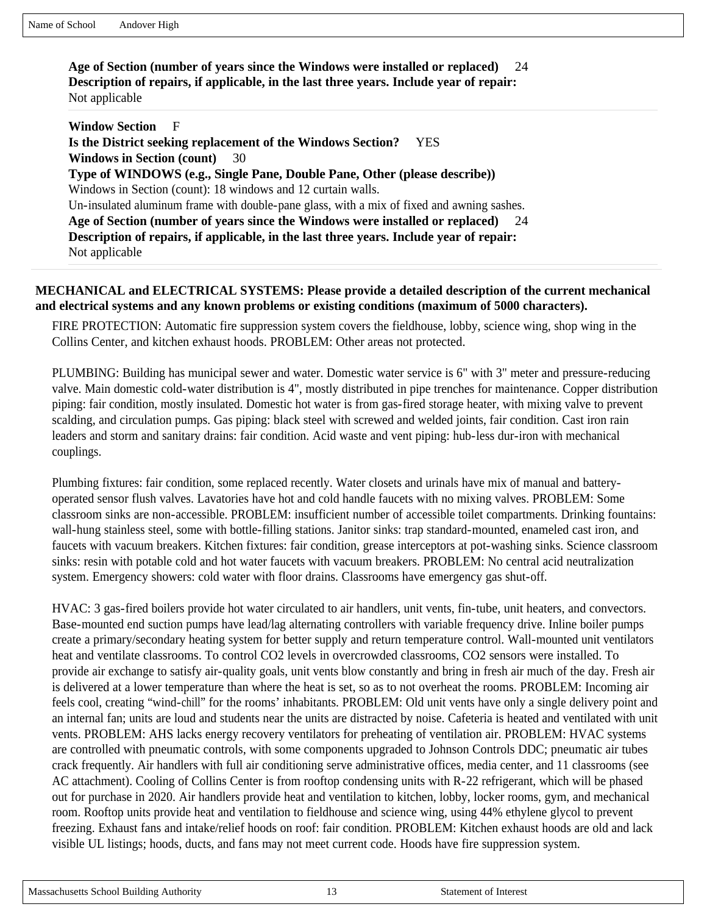**Age of Section (number of years since the Windows were installed or replaced)** 24 **Description of repairs, if applicable, in the last three years. Include year of repair:**  Not applicable

**Window Section** F **Is the District seeking replacement of the Windows Section?** YES **Windows in Section (count)** 30 **Type of WINDOWS (e.g., Single Pane, Double Pane, Other (please describe))**  Windows in Section (count): 18 windows and 12 curtain walls. Un-insulated aluminum frame with double-pane glass, with a mix of fixed and awning sashes. **Age of Section (number of years since the Windows were installed or replaced)** 24 **Description of repairs, if applicable, in the last three years. Include year of repair:**  Not applicable

#### **MECHANICAL and ELECTRICAL SYSTEMS: Please provide a detailed description of the current mechanical and electrical systems and any known problems or existing conditions (maximum of 5000 characters).**

FIRE PROTECTION: Automatic fire suppression system covers the fieldhouse, lobby, science wing, shop wing in the Collins Center, and kitchen exhaust hoods. PROBLEM: Other areas not protected.

PLUMBING: Building has municipal sewer and water. Domestic water service is 6" with 3" meter and pressure-reducing valve. Main domestic cold-water distribution is 4", mostly distributed in pipe trenches for maintenance. Copper distribution piping: fair condition, mostly insulated. Domestic hot water is from gas-fired storage heater, with mixing valve to prevent scalding, and circulation pumps. Gas piping: black steel with screwed and welded joints, fair condition. Cast iron rain leaders and storm and sanitary drains: fair condition. Acid waste and vent piping: hub-less dur-iron with mechanical couplings.

Plumbing fixtures: fair condition, some replaced recently. Water closets and urinals have mix of manual and batteryoperated sensor flush valves. Lavatories have hot and cold handle faucets with no mixing valves. PROBLEM: Some classroom sinks are non-accessible. PROBLEM: insufficient number of accessible toilet compartments. Drinking fountains: wall-hung stainless steel, some with bottle-filling stations. Janitor sinks: trap standard-mounted, enameled cast iron, and faucets with vacuum breakers. Kitchen fixtures: fair condition, grease interceptors at pot-washing sinks. Science classroom sinks: resin with potable cold and hot water faucets with vacuum breakers. PROBLEM: No central acid neutralization system. Emergency showers: cold water with floor drains. Classrooms have emergency gas shut-off.

HVAC: 3 gas-fired boilers provide hot water circulated to air handlers, unit vents, fin-tube, unit heaters, and convectors. Base-mounted end suction pumps have lead/lag alternating controllers with variable frequency drive. Inline boiler pumps create a primary/secondary heating system for better supply and return temperature control. Wall-mounted unit ventilators heat and ventilate classrooms. To control CO2 levels in overcrowded classrooms, CO2 sensors were installed. To provide air exchange to satisfy air-quality goals, unit vents blow constantly and bring in fresh air much of the day. Fresh air is delivered at a lower temperature than where the heat is set, so as to not overheat the rooms. PROBLEM: Incoming air feels cool, creating "wind-chill" for the rooms' inhabitants. PROBLEM: Old unit vents have only a single delivery point and an internal fan; units are loud and students near the units are distracted by noise. Cafeteria is heated and ventilated with unit vents. PROBLEM: AHS lacks energy recovery ventilators for preheating of ventilation air. PROBLEM: HVAC systems are controlled with pneumatic controls, with some components upgraded to Johnson Controls DDC; pneumatic air tubes crack frequently. Air handlers with full air conditioning serve administrative offices, media center, and 11 classrooms (see AC attachment). Cooling of Collins Center is from rooftop condensing units with R-22 refrigerant, which will be phased out for purchase in 2020. Air handlers provide heat and ventilation to kitchen, lobby, locker rooms, gym, and mechanical room. Rooftop units provide heat and ventilation to fieldhouse and science wing, using 44% ethylene glycol to prevent freezing. Exhaust fans and intake/relief hoods on roof: fair condition. PROBLEM: Kitchen exhaust hoods are old and lack visible UL listings; hoods, ducts, and fans may not meet current code. Hoods have fire suppression system.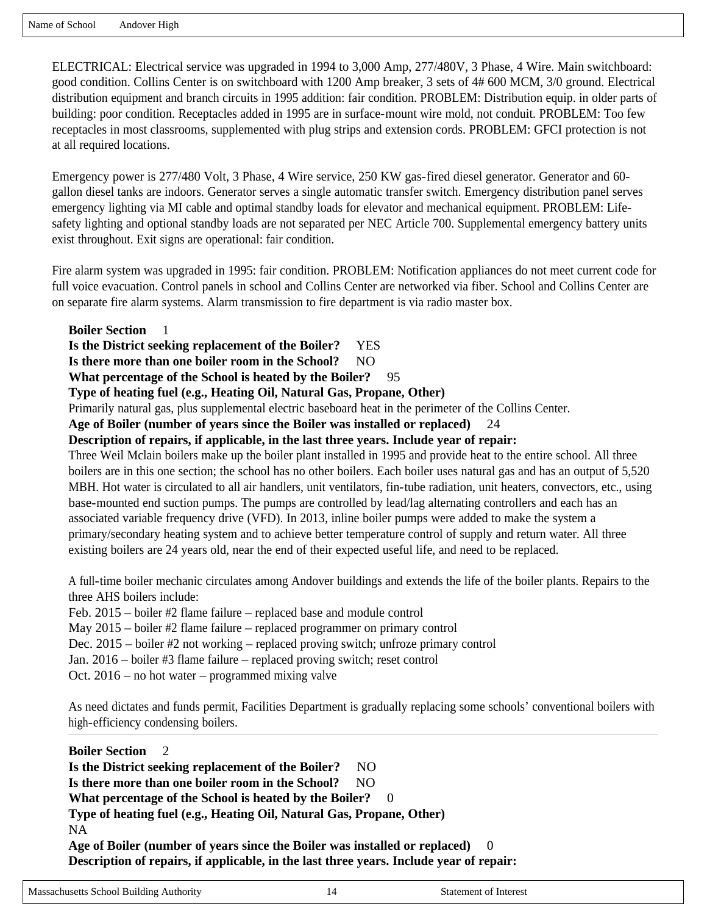Name of School Andover High

ELECTRICAL: Electrical service was upgraded in 1994 to 3,000 Amp, 277/480V, 3 Phase, 4 Wire. Main switchboard: good condition. Collins Center is on switchboard with 1200 Amp breaker, 3 sets of 4# 600 MCM, 3/0 ground. Electrical distribution equipment and branch circuits in 1995 addition: fair condition. PROBLEM: Distribution equip. in older parts of building: poor condition. Receptacles added in 1995 are in surface-mount wire mold, not conduit. PROBLEM: Too few receptacles in most classrooms, supplemented with plug strips and extension cords. PROBLEM: GFCI protection is not at all required locations.

Emergency power is 277/480 Volt, 3 Phase, 4 Wire service, 250 KW gas-fired diesel generator. Generator and 60 gallon diesel tanks are indoors. Generator serves a single automatic transfer switch. Emergency distribution panel serves emergency lighting via MI cable and optimal standby loads for elevator and mechanical equipment. PROBLEM: Lifesafety lighting and optional standby loads are not separated per NEC Article 700. Supplemental emergency battery units exist throughout. Exit signs are operational: fair condition.

Fire alarm system was upgraded in 1995: fair condition. PROBLEM: Notification appliances do not meet current code for full voice evacuation. Control panels in school and Collins Center are networked via fiber. School and Collins Center are on separate fire alarm systems. Alarm transmission to fire department is via radio master box.

**Boiler Section** 1

**Is the District seeking replacement of the Boiler?** YES

Is there more than one boiler room in the School? NO

**What percentage of the School is heated by the Boiler?** 95

**Type of heating fuel (e.g., Heating Oil, Natural Gas, Propane, Other)** 

Primarily natural gas, plus supplemental electric baseboard heat in the perimeter of the Collins Center.

**Age of Boiler (number of years since the Boiler was installed or replaced)** 24

### **Description of repairs, if applicable, in the last three years. Include year of repair:**

Three Weil Mclain boilers make up the boiler plant installed in 1995 and provide heat to the entire school. All three boilers are in this one section; the school has no other boilers. Each boiler uses natural gas and has an output of 5,520 MBH. Hot water is circulated to all air handlers, unit ventilators, fin-tube radiation, unit heaters, convectors, etc., using base-mounted end suction pumps. The pumps are controlled by lead/lag alternating controllers and each has an associated variable frequency drive (VFD). In 2013, inline boiler pumps were added to make the system a primary/secondary heating system and to achieve better temperature control of supply and return water. All three existing boilers are 24 years old, near the end of their expected useful life, and need to be replaced.

A full-time boiler mechanic circulates among Andover buildings and extends the life of the boiler plants. Repairs to the three AHS boilers include:

Feb. 2015 – boiler #2 flame failure – replaced base and module control

May 2015 – boiler #2 flame failure – replaced programmer on primary control

Dec. 2015 – boiler #2 not working – replaced proving switch; unfroze primary control

Jan. 2016 – boiler #3 flame failure – replaced proving switch; reset control

Oct. 2016 – no hot water – programmed mixing valve

As need dictates and funds permit, Facilities Department is gradually replacing some schools' conventional boilers with high-efficiency condensing boilers.

**Boiler Section** 2 **Is the District seeking replacement of the Boiler?** NO Is there more than one boiler room in the School? NO **What percentage of the School is heated by the Boiler?** 0 **Type of heating fuel (e.g., Heating Oil, Natural Gas, Propane, Other)**  NA **Age of Boiler (number of years since the Boiler was installed or replaced)** 0 **Description of repairs, if applicable, in the last three years. Include year of repair:**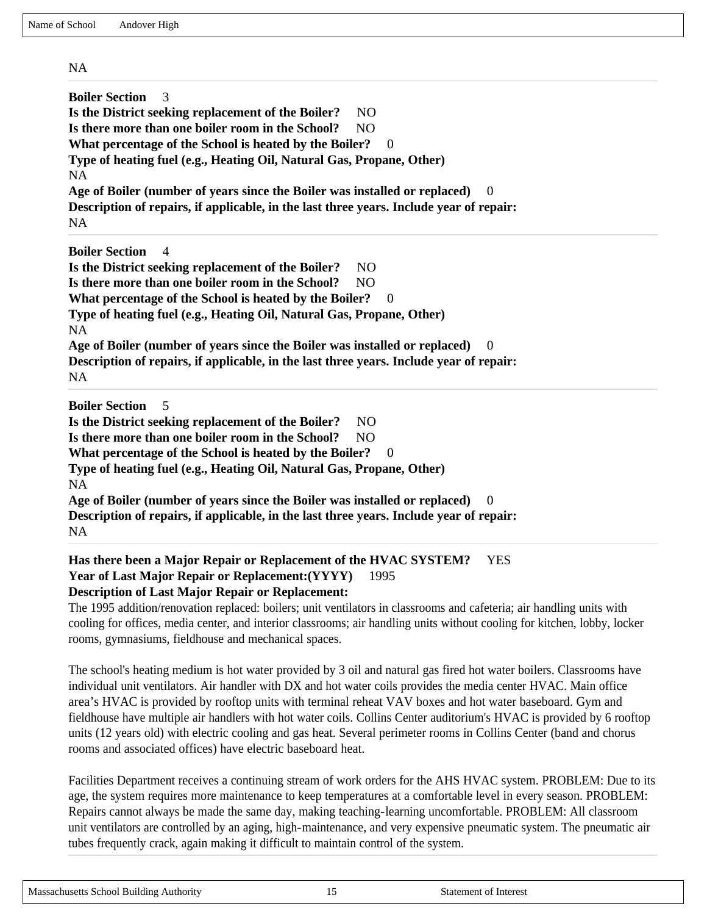NA

| <b>Boiler Section</b><br>3<br>Is the District seeking replacement of the Boiler?<br>N <sub>O</sub><br>Is there more than one boiler room in the School?<br>N <sub>O</sub><br>What percentage of the School is heated by the Boiler?<br>$\theta$<br>Type of heating fuel (e.g., Heating Oil, Natural Gas, Propane, Other)<br><b>NA</b> |  |  |  |  |  |
|---------------------------------------------------------------------------------------------------------------------------------------------------------------------------------------------------------------------------------------------------------------------------------------------------------------------------------------|--|--|--|--|--|
| Age of Boiler (number of years since the Boiler was installed or replaced)<br>$\theta$                                                                                                                                                                                                                                                |  |  |  |  |  |
| Description of repairs, if applicable, in the last three years. Include year of repair:<br>NA.                                                                                                                                                                                                                                        |  |  |  |  |  |
| <b>Boiler Section</b><br>$\overline{4}$                                                                                                                                                                                                                                                                                               |  |  |  |  |  |
| Is the District seeking replacement of the Boiler?<br>NO.                                                                                                                                                                                                                                                                             |  |  |  |  |  |
| Is there more than one boiler room in the School?<br>N <sub>O</sub>                                                                                                                                                                                                                                                                   |  |  |  |  |  |
| What percentage of the School is heated by the Boiler?<br>$\theta$                                                                                                                                                                                                                                                                    |  |  |  |  |  |
| Type of heating fuel (e.g., Heating Oil, Natural Gas, Propane, Other)<br><b>NA</b>                                                                                                                                                                                                                                                    |  |  |  |  |  |
| Age of Boiler (number of years since the Boiler was installed or replaced)<br>$\theta$                                                                                                                                                                                                                                                |  |  |  |  |  |
| Description of repairs, if applicable, in the last three years. Include year of repair:<br><b>NA</b>                                                                                                                                                                                                                                  |  |  |  |  |  |
| <b>Boiler Section</b><br>.5<br>Is the District seeking replacement of the Boiler?<br>NO.                                                                                                                                                                                                                                              |  |  |  |  |  |

Is there more than one boiler room in the School? NO What percentage of the School is heated by the Boiler? 0

**Type of heating fuel (e.g., Heating Oil, Natural Gas, Propane, Other)** 

NA **Age of Boiler (number of years since the Boiler was installed or replaced)** 0 **Description of repairs, if applicable, in the last three years. Include year of repair:**  NA

#### **Has there been a Major Repair or Replacement of the HVAC SYSTEM?** YES **Year of Last Major Repair or Replacement:(YYYY)** 1995 **Description of Last Major Repair or Replacement:**

The 1995 addition/renovation replaced: boilers; unit ventilators in classrooms and cafeteria; air handling units with cooling for offices, media center, and interior classrooms; air handling units without cooling for kitchen, lobby, locker rooms, gymnasiums, fieldhouse and mechanical spaces.

The school's heating medium is hot water provided by 3 oil and natural gas fired hot water boilers. Classrooms have individual unit ventilators. Air handler with DX and hot water coils provides the media center HVAC. Main office area's HVAC is provided by rooftop units with terminal reheat VAV boxes and hot water baseboard. Gym and fieldhouse have multiple air handlers with hot water coils. Collins Center auditorium's HVAC is provided by 6 rooftop units (12 years old) with electric cooling and gas heat. Several perimeter rooms in Collins Center (band and chorus rooms and associated offices) have electric baseboard heat.

Facilities Department receives a continuing stream of work orders for the AHS HVAC system. PROBLEM: Due to its age, the system requires more maintenance to keep temperatures at a comfortable level in every season. PROBLEM: Repairs cannot always be made the same day, making teaching-learning uncomfortable. PROBLEM: All classroom unit ventilators are controlled by an aging, high-maintenance, and very expensive pneumatic system. The pneumatic air tubes frequently crack, again making it difficult to maintain control of the system.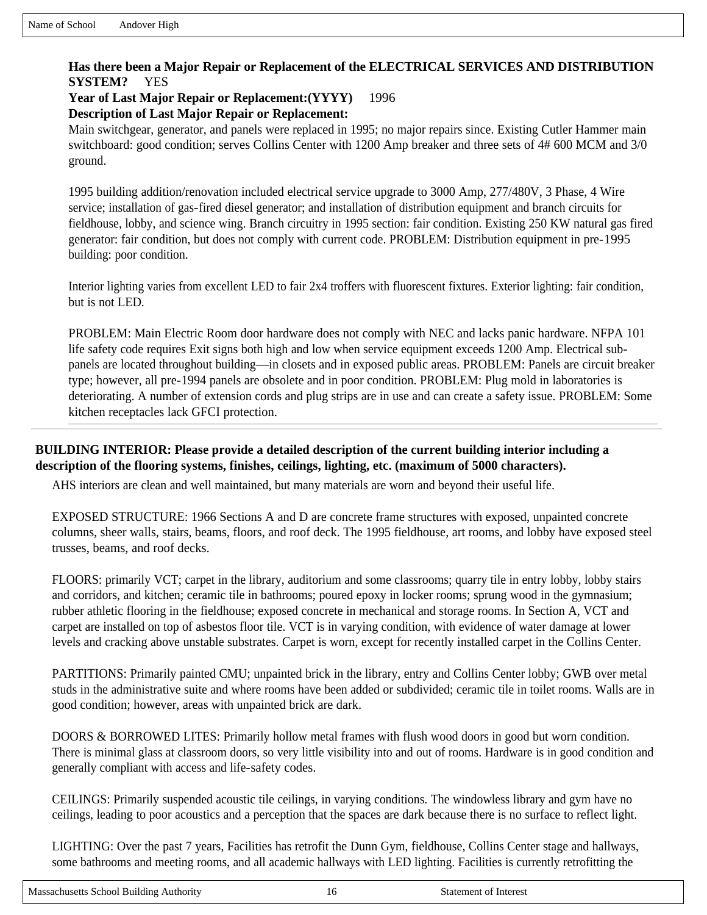### **Has there been a Major Repair or Replacement of the ELECTRICAL SERVICES AND DISTRIBUTION SYSTEM?** YES

**Year of Last Major Repair or Replacement:(YYYY)** 1996

**Description of Last Major Repair or Replacement:** 

Main switchgear, generator, and panels were replaced in 1995; no major repairs since. Existing Cutler Hammer main switchboard: good condition; serves Collins Center with 1200 Amp breaker and three sets of 4# 600 MCM and 3/0 ground.

1995 building addition/renovation included electrical service upgrade to 3000 Amp, 277/480V, 3 Phase, 4 Wire service; installation of gas-fired diesel generator; and installation of distribution equipment and branch circuits for fieldhouse, lobby, and science wing. Branch circuitry in 1995 section: fair condition. Existing 250 KW natural gas fired generator: fair condition, but does not comply with current code. PROBLEM: Distribution equipment in pre-1995 building: poor condition.

Interior lighting varies from excellent LED to fair 2x4 troffers with fluorescent fixtures. Exterior lighting: fair condition, but is not LED.

PROBLEM: Main Electric Room door hardware does not comply with NEC and lacks panic hardware. NFPA 101 life safety code requires Exit signs both high and low when service equipment exceeds 1200 Amp. Electrical subpanels are located throughout building—in closets and in exposed public areas. PROBLEM: Panels are circuit breaker type; however, all pre-1994 panels are obsolete and in poor condition. PROBLEM: Plug mold in laboratories is deteriorating. A number of extension cords and plug strips are in use and can create a safety issue. PROBLEM: Some kitchen receptacles lack GFCI protection.

**BUILDING INTERIOR: Please provide a detailed description of the current building interior including a description of the flooring systems, finishes, ceilings, lighting, etc. (maximum of 5000 characters).**

AHS interiors are clean and well maintained, but many materials are worn and beyond their useful life.

EXPOSED STRUCTURE: 1966 Sections A and D are concrete frame structures with exposed, unpainted concrete columns, sheer walls, stairs, beams, floors, and roof deck. The 1995 fieldhouse, art rooms, and lobby have exposed steel trusses, beams, and roof decks.

FLOORS: primarily VCT; carpet in the library, auditorium and some classrooms; quarry tile in entry lobby, lobby stairs and corridors, and kitchen; ceramic tile in bathrooms; poured epoxy in locker rooms; sprung wood in the gymnasium; rubber athletic flooring in the fieldhouse; exposed concrete in mechanical and storage rooms. In Section A, VCT and carpet are installed on top of asbestos floor tile. VCT is in varying condition, with evidence of water damage at lower levels and cracking above unstable substrates. Carpet is worn, except for recently installed carpet in the Collins Center.

PARTITIONS: Primarily painted CMU; unpainted brick in the library, entry and Collins Center lobby; GWB over metal studs in the administrative suite and where rooms have been added or subdivided; ceramic tile in toilet rooms. Walls are in good condition; however, areas with unpainted brick are dark.

DOORS & BORROWED LITES: Primarily hollow metal frames with flush wood doors in good but worn condition. There is minimal glass at classroom doors, so very little visibility into and out of rooms. Hardware is in good condition and generally compliant with access and life-safety codes.

CEILINGS: Primarily suspended acoustic tile ceilings, in varying conditions. The windowless library and gym have no ceilings, leading to poor acoustics and a perception that the spaces are dark because there is no surface to reflect light.

LIGHTING: Over the past 7 years, Facilities has retrofit the Dunn Gym, fieldhouse, Collins Center stage and hallways, some bathrooms and meeting rooms, and all academic hallways with LED lighting. Facilities is currently retrofitting the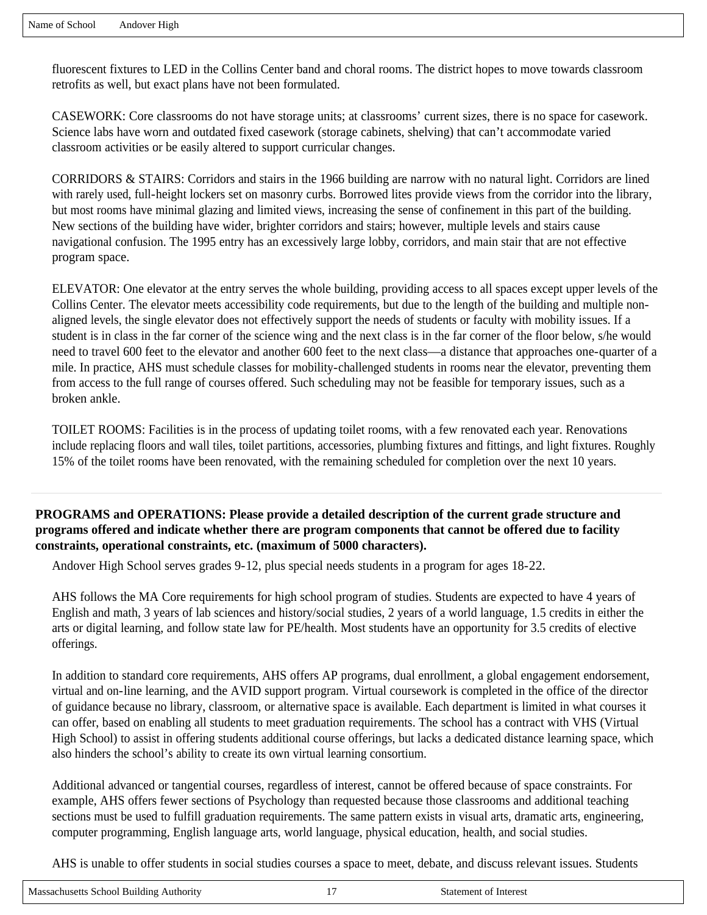fluorescent fixtures to LED in the Collins Center band and choral rooms. The district hopes to move towards classroom retrofits as well, but exact plans have not been formulated.

CASEWORK: Core classrooms do not have storage units; at classrooms' current sizes, there is no space for casework. Science labs have worn and outdated fixed casework (storage cabinets, shelving) that can't accommodate varied classroom activities or be easily altered to support curricular changes.

CORRIDORS & STAIRS: Corridors and stairs in the 1966 building are narrow with no natural light. Corridors are lined with rarely used, full-height lockers set on masonry curbs. Borrowed lites provide views from the corridor into the library, but most rooms have minimal glazing and limited views, increasing the sense of confinement in this part of the building. New sections of the building have wider, brighter corridors and stairs; however, multiple levels and stairs cause navigational confusion. The 1995 entry has an excessively large lobby, corridors, and main stair that are not effective program space.

ELEVATOR: One elevator at the entry serves the whole building, providing access to all spaces except upper levels of the Collins Center. The elevator meets accessibility code requirements, but due to the length of the building and multiple nonaligned levels, the single elevator does not effectively support the needs of students or faculty with mobility issues. If a student is in class in the far corner of the science wing and the next class is in the far corner of the floor below, s/he would need to travel 600 feet to the elevator and another 600 feet to the next class—a distance that approaches one-quarter of a mile. In practice, AHS must schedule classes for mobility-challenged students in rooms near the elevator, preventing them from access to the full range of courses offered. Such scheduling may not be feasible for temporary issues, such as a broken ankle.

TOILET ROOMS: Facilities is in the process of updating toilet rooms, with a few renovated each year. Renovations include replacing floors and wall tiles, toilet partitions, accessories, plumbing fixtures and fittings, and light fixtures. Roughly 15% of the toilet rooms have been renovated, with the remaining scheduled for completion over the next 10 years.

**PROGRAMS and OPERATIONS: Please provide a detailed description of the current grade structure and programs offered and indicate whether there are program components that cannot be offered due to facility constraints, operational constraints, etc. (maximum of 5000 characters).**

Andover High School serves grades 9-12, plus special needs students in a program for ages 18-22.

AHS follows the MA Core requirements for high school program of studies. Students are expected to have 4 years of English and math, 3 years of lab sciences and history/social studies, 2 years of a world language, 1.5 credits in either the arts or digital learning, and follow state law for PE/health. Most students have an opportunity for 3.5 credits of elective offerings.

In addition to standard core requirements, AHS offers AP programs, dual enrollment, a global engagement endorsement, virtual and on-line learning, and the AVID support program. Virtual coursework is completed in the office of the director of guidance because no library, classroom, or alternative space is available. Each department is limited in what courses it can offer, based on enabling all students to meet graduation requirements. The school has a contract with VHS (Virtual High School) to assist in offering students additional course offerings, but lacks a dedicated distance learning space, which also hinders the school's ability to create its own virtual learning consortium.

Additional advanced or tangential courses, regardless of interest, cannot be offered because of space constraints. For example, AHS offers fewer sections of Psychology than requested because those classrooms and additional teaching sections must be used to fulfill graduation requirements. The same pattern exists in visual arts, dramatic arts, engineering, computer programming, English language arts, world language, physical education, health, and social studies.

AHS is unable to offer students in social studies courses a space to meet, debate, and discuss relevant issues. Students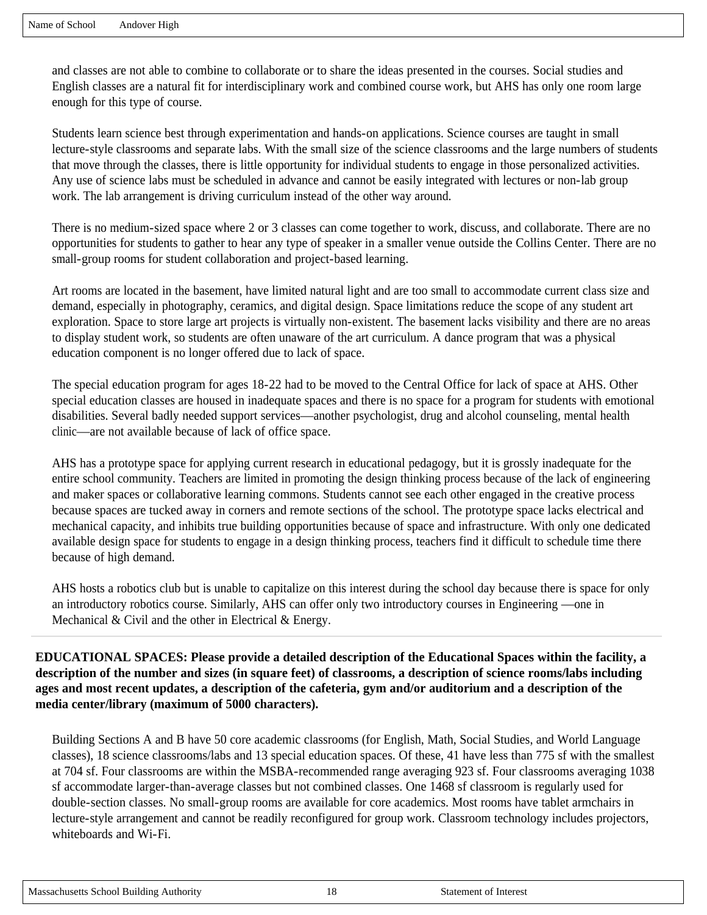and classes are not able to combine to collaborate or to share the ideas presented in the courses. Social studies and English classes are a natural fit for interdisciplinary work and combined course work, but AHS has only one room large enough for this type of course.

Students learn science best through experimentation and hands-on applications. Science courses are taught in small lecture-style classrooms and separate labs. With the small size of the science classrooms and the large numbers of students that move through the classes, there is little opportunity for individual students to engage in those personalized activities. Any use of science labs must be scheduled in advance and cannot be easily integrated with lectures or non-lab group work. The lab arrangement is driving curriculum instead of the other way around.

There is no medium-sized space where 2 or 3 classes can come together to work, discuss, and collaborate. There are no opportunities for students to gather to hear any type of speaker in a smaller venue outside the Collins Center. There are no small-group rooms for student collaboration and project-based learning.

Art rooms are located in the basement, have limited natural light and are too small to accommodate current class size and demand, especially in photography, ceramics, and digital design. Space limitations reduce the scope of any student art exploration. Space to store large art projects is virtually non-existent. The basement lacks visibility and there are no areas to display student work, so students are often unaware of the art curriculum. A dance program that was a physical education component is no longer offered due to lack of space.

The special education program for ages 18-22 had to be moved to the Central Office for lack of space at AHS. Other special education classes are housed in inadequate spaces and there is no space for a program for students with emotional disabilities. Several badly needed support services—another psychologist, drug and alcohol counseling, mental health clinic—are not available because of lack of office space.

AHS has a prototype space for applying current research in educational pedagogy, but it is grossly inadequate for the entire school community. Teachers are limited in promoting the design thinking process because of the lack of engineering and maker spaces or collaborative learning commons. Students cannot see each other engaged in the creative process because spaces are tucked away in corners and remote sections of the school. The prototype space lacks electrical and mechanical capacity, and inhibits true building opportunities because of space and infrastructure. With only one dedicated available design space for students to engage in a design thinking process, teachers find it difficult to schedule time there because of high demand.

AHS hosts a robotics club but is unable to capitalize on this interest during the school day because there is space for only an introductory robotics course. Similarly, AHS can offer only two introductory courses in Engineering —one in Mechanical & Civil and the other in Electrical & Energy.

**EDUCATIONAL SPACES: Please provide a detailed description of the Educational Spaces within the facility, a description of the number and sizes (in square feet) of classrooms, a description of science rooms/labs including ages and most recent updates, a description of the cafeteria, gym and/or auditorium and a description of the media center/library (maximum of 5000 characters).**

Building Sections A and B have 50 core academic classrooms (for English, Math, Social Studies, and World Language classes), 18 science classrooms/labs and 13 special education spaces. Of these, 41 have less than 775 sf with the smallest at 704 sf. Four classrooms are within the MSBA-recommended range averaging 923 sf. Four classrooms averaging 1038 sf accommodate larger-than-average classes but not combined classes. One 1468 sf classroom is regularly used for double-section classes. No small-group rooms are available for core academics. Most rooms have tablet armchairs in lecture-style arrangement and cannot be readily reconfigured for group work. Classroom technology includes projectors, whiteboards and Wi-Fi.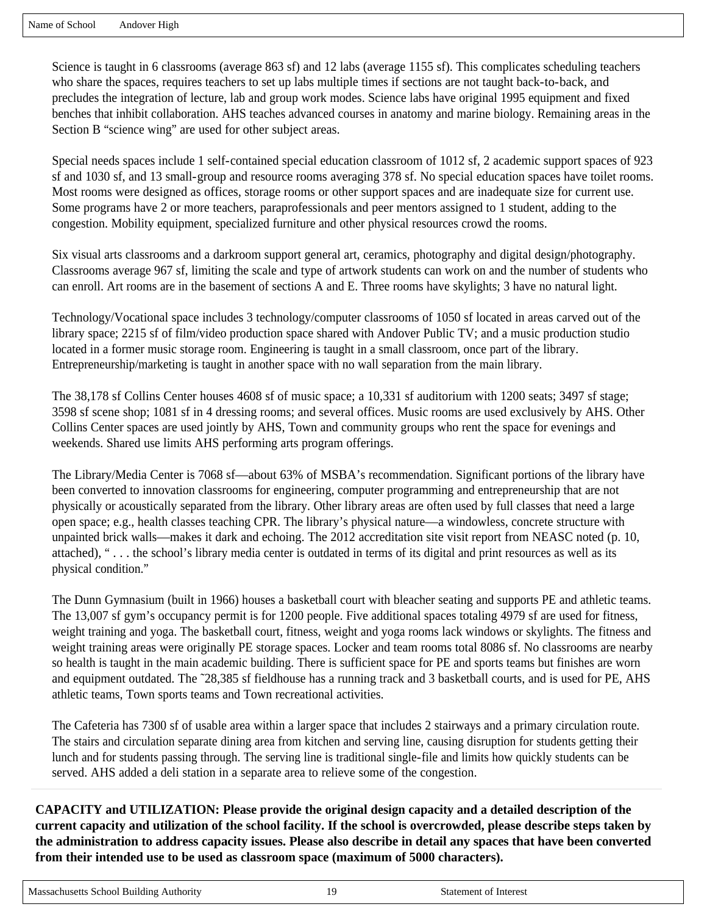Science is taught in 6 classrooms (average 863 sf) and 12 labs (average 1155 sf). This complicates scheduling teachers who share the spaces, requires teachers to set up labs multiple times if sections are not taught back-to-back, and precludes the integration of lecture, lab and group work modes. Science labs have original 1995 equipment and fixed benches that inhibit collaboration. AHS teaches advanced courses in anatomy and marine biology. Remaining areas in the Section B "science wing" are used for other subject areas.

Special needs spaces include 1 self-contained special education classroom of 1012 sf, 2 academic support spaces of 923 sf and 1030 sf, and 13 small-group and resource rooms averaging 378 sf. No special education spaces have toilet rooms. Most rooms were designed as offices, storage rooms or other support spaces and are inadequate size for current use. Some programs have 2 or more teachers, paraprofessionals and peer mentors assigned to 1 student, adding to the congestion. Mobility equipment, specialized furniture and other physical resources crowd the rooms.

Six visual arts classrooms and a darkroom support general art, ceramics, photography and digital design/photography. Classrooms average 967 sf, limiting the scale and type of artwork students can work on and the number of students who can enroll. Art rooms are in the basement of sections A and E. Three rooms have skylights; 3 have no natural light.

Technology/Vocational space includes 3 technology/computer classrooms of 1050 sf located in areas carved out of the library space; 2215 sf of film/video production space shared with Andover Public TV; and a music production studio located in a former music storage room. Engineering is taught in a small classroom, once part of the library. Entrepreneurship/marketing is taught in another space with no wall separation from the main library.

The 38,178 sf Collins Center houses 4608 sf of music space; a 10,331 sf auditorium with 1200 seats; 3497 sf stage; 3598 sf scene shop; 1081 sf in 4 dressing rooms; and several offices. Music rooms are used exclusively by AHS. Other Collins Center spaces are used jointly by AHS, Town and community groups who rent the space for evenings and weekends. Shared use limits AHS performing arts program offerings.

The Library/Media Center is 7068 sf—about 63% of MSBA's recommendation. Significant portions of the library have been converted to innovation classrooms for engineering, computer programming and entrepreneurship that are not physically or acoustically separated from the library. Other library areas are often used by full classes that need a large open space; e.g., health classes teaching CPR. The library's physical nature—a windowless, concrete structure with unpainted brick walls—makes it dark and echoing. The 2012 accreditation site visit report from NEASC noted (p. 10, attached), "... the school's library media center is outdated in terms of its digital and print resources as well as its physical condition."

The Dunn Gymnasium (built in 1966) houses a basketball court with bleacher seating and supports PE and athletic teams. The 13,007 sf gym's occupancy permit is for 1200 people. Five additional spaces totaling 4979 sf are used for fitness, weight training and yoga. The basketball court, fitness, weight and yoga rooms lack windows or skylights. The fitness and weight training areas were originally PE storage spaces. Locker and team rooms total 8086 sf. No classrooms are nearby so health is taught in the main academic building. There is sufficient space for PE and sports teams but finishes are worn and equipment outdated. The ~28,385 sf fieldhouse has a running track and 3 basketball courts, and is used for PE, AHS athletic teams, Town sports teams and Town recreational activities.

The Cafeteria has 7300 sf of usable area within a larger space that includes 2 stairways and a primary circulation route. The stairs and circulation separate dining area from kitchen and serving line, causing disruption for students getting their lunch and for students passing through. The serving line is traditional single-file and limits how quickly students can be served. AHS added a deli station in a separate area to relieve some of the congestion.

**CAPACITY and UTILIZATION: Please provide the original design capacity and a detailed description of the current capacity and utilization of the school facility. If the school is overcrowded, please describe steps taken by the administration to address capacity issues. Please also describe in detail any spaces that have been converted from their intended use to be used as classroom space (maximum of 5000 characters).**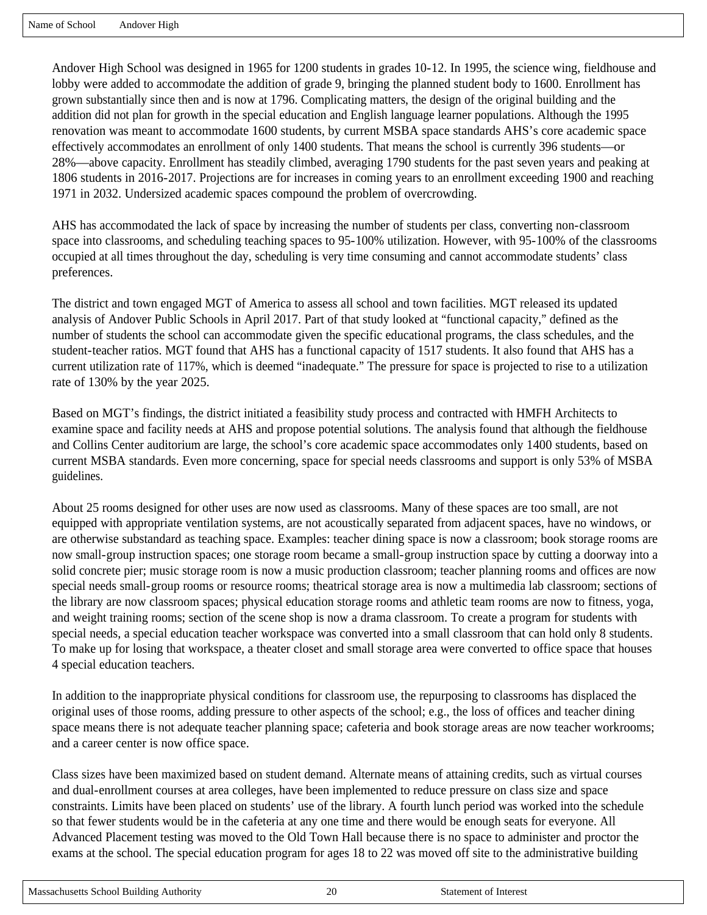Andover High School was designed in 1965 for 1200 students in grades 10-12. In 1995, the science wing, fieldhouse and lobby were added to accommodate the addition of grade 9, bringing the planned student body to 1600. Enrollment has grown substantially since then and is now at 1796. Complicating matters, the design of the original building and the addition did not plan for growth in the special education and English language learner populations. Although the 1995 renovation was meant to accommodate 1600 students, by current MSBA space standards AHS's core academic space effectively accommodates an enrollment of only 1400 students. That means the school is currently 396 students—or 28%—above capacity. Enrollment has steadily climbed, averaging 1790 students for the past seven years and peaking at 1806 students in 2016-2017. Projections are for increases in coming years to an enrollment exceeding 1900 and reaching 1971 in 2032. Undersized academic spaces compound the problem of overcrowding.

AHS has accommodated the lack of space by increasing the number of students per class, converting non-classroom space into classrooms, and scheduling teaching spaces to 95-100% utilization. However, with 95-100% of the classrooms occupied at all times throughout the day, scheduling is very time consuming and cannot accommodate students' class preferences.

The district and town engaged MGT of America to assess all school and town facilities. MGT released its updated analysis of Andover Public Schools in April 2017. Part of that study looked at "functional capacity," defined as the number of students the school can accommodate given the specific educational programs, the class schedules, and the student-teacher ratios. MGT found that AHS has a functional capacity of 1517 students. It also found that AHS has a current utilization rate of 117%, which is deemed "inadequate." The pressure for space is projected to rise to a utilization rate of 130% by the year 2025.

Based on MGT's findings, the district initiated a feasibility study process and contracted with HMFH Architects to examine space and facility needs at AHS and propose potential solutions. The analysis found that although the fieldhouse and Collins Center auditorium are large, the school's core academic space accommodates only 1400 students, based on current MSBA standards. Even more concerning, space for special needs classrooms and support is only 53% of MSBA guidelines.

About 25 rooms designed for other uses are now used as classrooms. Many of these spaces are too small, are not equipped with appropriate ventilation systems, are not acoustically separated from adjacent spaces, have no windows, or are otherwise substandard as teaching space. Examples: teacher dining space is now a classroom; book storage rooms are now small-group instruction spaces; one storage room became a small-group instruction space by cutting a doorway into a solid concrete pier; music storage room is now a music production classroom; teacher planning rooms and offices are now special needs small-group rooms or resource rooms; theatrical storage area is now a multimedia lab classroom; sections of the library are now classroom spaces; physical education storage rooms and athletic team rooms are now to fitness, yoga, and weight training rooms; section of the scene shop is now a drama classroom. To create a program for students with special needs, a special education teacher workspace was converted into a small classroom that can hold only 8 students. To make up for losing that workspace, a theater closet and small storage area were converted to office space that houses 4 special education teachers.

In addition to the inappropriate physical conditions for classroom use, the repurposing to classrooms has displaced the original uses of those rooms, adding pressure to other aspects of the school; e.g., the loss of offices and teacher dining space means there is not adequate teacher planning space; cafeteria and book storage areas are now teacher workrooms; and a career center is now office space.

Class sizes have been maximized based on student demand. Alternate means of attaining credits, such as virtual courses and dual-enrollment courses at area colleges, have been implemented to reduce pressure on class size and space constraints. Limits have been placed on students' use of the library. A fourth lunch period was worked into the schedule so that fewer students would be in the cafeteria at any one time and there would be enough seats for everyone. All Advanced Placement testing was moved to the Old Town Hall because there is no space to administer and proctor the exams at the school. The special education program for ages 18 to 22 was moved off site to the administrative building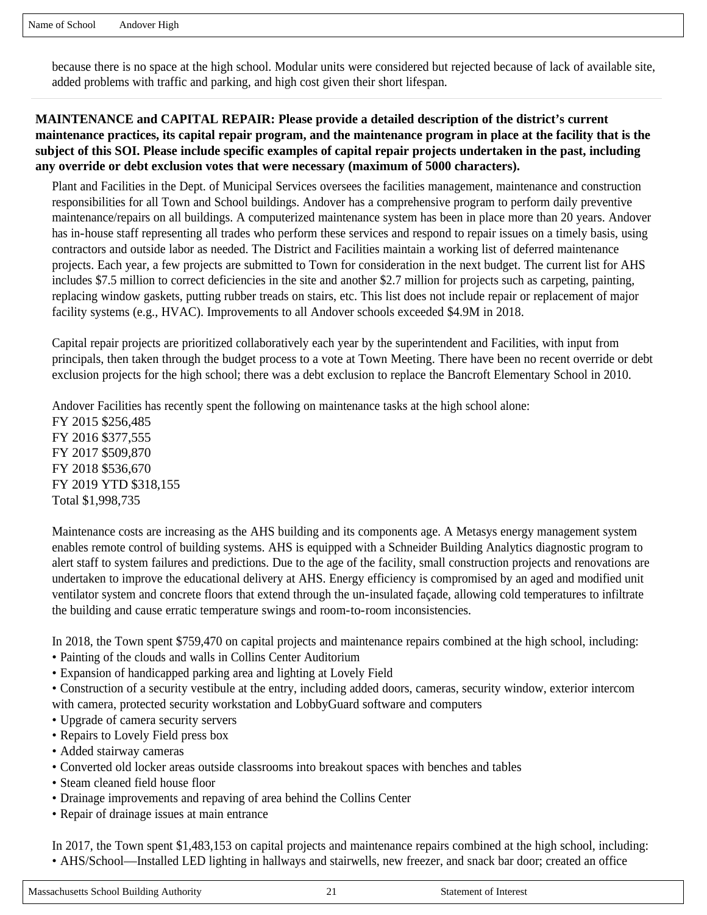because there is no space at the high school. Modular units were considered but rejected because of lack of available site, added problems with traffic and parking, and high cost given their short lifespan.

### **MAINTENANCE and CAPITAL REPAIR: Please provide a detailed description of the district's current maintenance practices, its capital repair program, and the maintenance program in place at the facility that is the subject of this SOI. Please include specific examples of capital repair projects undertaken in the past, including any override or debt exclusion votes that were necessary (maximum of 5000 characters).**

Plant and Facilities in the Dept. of Municipal Services oversees the facilities management, maintenance and construction responsibilities for all Town and School buildings. Andover has a comprehensive program to perform daily preventive maintenance/repairs on all buildings. A computerized maintenance system has been in place more than 20 years. Andover has in-house staff representing all trades who perform these services and respond to repair issues on a timely basis, using contractors and outside labor as needed. The District and Facilities maintain a working list of deferred maintenance projects. Each year, a few projects are submitted to Town for consideration in the next budget. The current list for AHS includes \$7.5 million to correct deficiencies in the site and another \$2.7 million for projects such as carpeting, painting, replacing window gaskets, putting rubber treads on stairs, etc. This list does not include repair or replacement of major facility systems (e.g., HVAC). Improvements to all Andover schools exceeded \$4.9M in 2018.

Capital repair projects are prioritized collaboratively each year by the superintendent and Facilities, with input from principals, then taken through the budget process to a vote at Town Meeting. There have been no recent override or debt exclusion projects for the high school; there was a debt exclusion to replace the Bancroft Elementary School in 2010.

Andover Facilities has recently spent the following on maintenance tasks at the high school alone:

FY 2015 \$256,485 FY 2016 \$377,555 FY 2017 \$509,870 FY 2018 \$536,670 FY 2019 YTD \$318,155 Total \$1,998,735

Maintenance costs are increasing as the AHS building and its components age. A Metasys energy management system enables remote control of building systems. AHS is equipped with a Schneider Building Analytics diagnostic program to alert staff to system failures and predictions. Due to the age of the facility, small construction projects and renovations are undertaken to improve the educational delivery at AHS. Energy efficiency is compromised by an aged and modified unit ventilator system and concrete floors that extend through the un-insulated façade, allowing cold temperatures to infiltrate the building and cause erratic temperature swings and room-to-room inconsistencies.

In 2018, the Town spent \$759,470 on capital projects and maintenance repairs combined at the high school, including:

- Painting of the clouds and walls in Collins Center Auditorium
- Expansion of handicapped parking area and lighting at Lovely Field

• Construction of a security vestibule at the entry, including added doors, cameras, security window, exterior intercom with camera, protected security workstation and LobbyGuard software and computers

- Upgrade of camera security servers
- Repairs to Lovely Field press box
- Added stairway cameras
- Converted old locker areas outside classrooms into breakout spaces with benches and tables
- Steam cleaned field house floor
- Drainage improvements and repaving of area behind the Collins Center
- Repair of drainage issues at main entrance

In 2017, the Town spent \$1,483,153 on capital projects and maintenance repairs combined at the high school, including: • AHS/School—Installed LED lighting in hallways and stairwells, new freezer, and snack bar door; created an office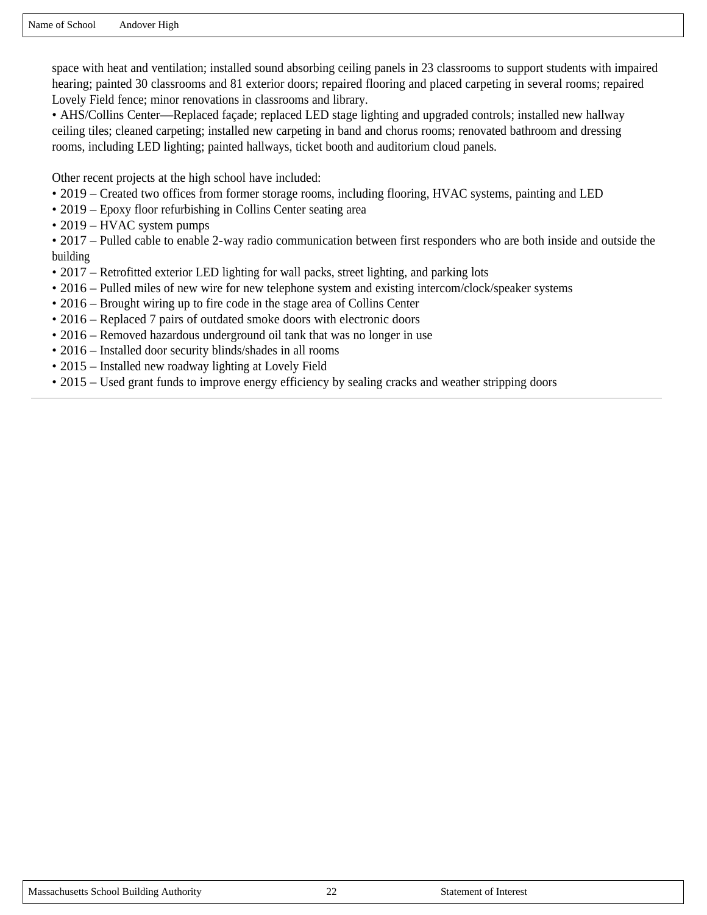space with heat and ventilation; installed sound absorbing ceiling panels in 23 classrooms to support students with impaired hearing; painted 30 classrooms and 81 exterior doors; repaired flooring and placed carpeting in several rooms; repaired Lovely Field fence; minor renovations in classrooms and library.

• AHS/Collins Center—Replaced façade; replaced LED stage lighting and upgraded controls; installed new hallway ceiling tiles; cleaned carpeting; installed new carpeting in band and chorus rooms; renovated bathroom and dressing rooms, including LED lighting; painted hallways, ticket booth and auditorium cloud panels.

Other recent projects at the high school have included:

- 2019 Created two offices from former storage rooms, including flooring, HVAC systems, painting and LED
- 2019 Epoxy floor refurbishing in Collins Center seating area
- 2019 HVAC system pumps

• 2017 – Pulled cable to enable 2-way radio communication between first responders who are both inside and outside the building

- 2017 Retrofitted exterior LED lighting for wall packs, street lighting, and parking lots
- 2016 Pulled miles of new wire for new telephone system and existing intercom/clock/speaker systems
- 2016 Brought wiring up to fire code in the stage area of Collins Center
- 2016 Replaced 7 pairs of outdated smoke doors with electronic doors
- 2016 Removed hazardous underground oil tank that was no longer in use
- 2016 Installed door security blinds/shades in all rooms
- 2015 Installed new roadway lighting at Lovely Field
- 2015 Used grant funds to improve energy efficiency by sealing cracks and weather stripping doors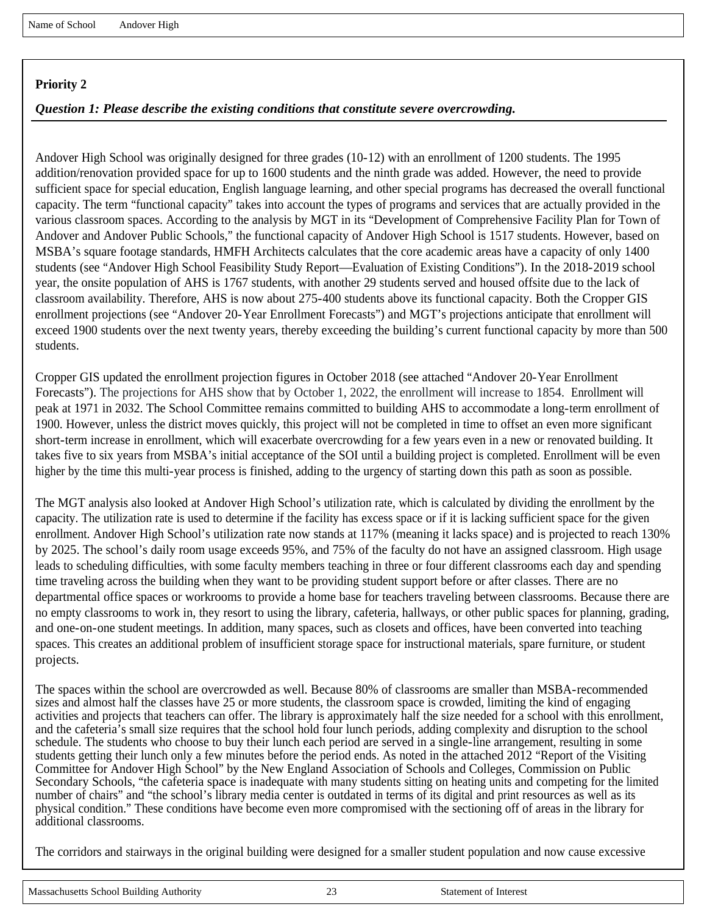#### *Question 1: Please describe the existing conditions that constitute severe overcrowding.*

Andover High School was originally designed for three grades (10-12) with an enrollment of 1200 students. The 1995 addition/renovation provided space for up to 1600 students and the ninth grade was added. However, the need to provide sufficient space for special education, English language learning, and other special programs has decreased the overall functional capacity. The term "functional capacity" takes into account the types of programs and services that are actually provided in the various classroom spaces. According to the analysis by MGT in its "Development of Comprehensive Facility Plan for Town of Andover and Andover Public Schools," the functional capacity of Andover High School is 1517 students. However, based on MSBA's square footage standards, HMFH Architects calculates that the core academic areas have a capacity of only 1400 students (see "Andover High School Feasibility Study Report—Evaluation of Existing Conditions"). In the 2018-2019 school year, the onsite population of AHS is 1767 students, with another 29 students served and housed offsite due to the lack of classroom availability. Therefore, AHS is now about 275-400 students above its functional capacity. Both the Cropper GIS enrollment projections (see "Andover 20-Year Enrollment Forecasts") and MGT's projections anticipate that enrollment will exceed 1900 students over the next twenty years, thereby exceeding the building's current functional capacity by more than 500 students.

Cropper GIS updated the enrollment projection figures in October 2018 (see attached "Andover 20-Year Enrollment Forecasts"). The projections for AHS show that by October 1, 2022, the enrollment will increase to 1854. Enrollment will peak at 1971 in 2032. The School Committee remains committed to building AHS to accommodate a long-term enrollment of 1900. However, unless the district moves quickly, this project will not be completed in time to offset an even more significant short-term increase in enrollment, which will exacerbate overcrowding for a few years even in a new or renovated building. It takes five to six years from MSBA's initial acceptance of the SOI until a building project is completed. Enrollment will be even higher by the time this multi-year process is finished, adding to the urgency of starting down this path as soon as possible.

The MGT analysis also looked at Andover High School's utilization rate, which is calculated by dividing the enrollment by the capacity. The utilization rate is used to determine if the facility has excess space or if it is lacking sufficient space for the given enrollment. Andover High School's utilization rate now stands at 117% (meaning it lacks space) and is projected to reach 130% by 2025. The school's daily room usage exceeds 95%, and 75% of the faculty do not have an assigned classroom. High usage leads to scheduling difficulties, with some faculty members teaching in three or four different classrooms each day and spending time traveling across the building when they want to be providing student support before or after classes. There are no departmental office spaces or workrooms to provide a home base for teachers traveling between classrooms. Because there are no empty classrooms to work in, they resort to using the library, cafeteria, hallways, or other public spaces for planning, grading, and one-on-one student meetings. In addition, many spaces, such as closets and offices, have been converted into teaching spaces. This creates an additional problem of insufficient storage space for instructional materials, spare furniture, or student projects.

The spaces within the school are overcrowded as well. Because 80% of classrooms are smaller than MSBA-recommended sizes and almost half the classes have 25 or more students, the classroom space is crowded, limiting the kind of engaging activities and projects that teachers can offer. The library is approximately half the size needed for a school with this enrollment, and the cafeteria's small size requires that the school hold four lunch periods, adding complexity and disruption to the school schedule. The students who choose to buy their lunch each period are served in a single-line arrangement, resulting in some students getting their lunch only a few minutes before the period ends. As noted in the attached 2012 "Report of the Visiting Committee for Andover High School" by the New England Association of Schools and Colleges, Commission on Public Secondary Schools, "the cafeteria space is inadequate with many students sitting on heating units and competing for the limited number of chairs" and "the school's library media center is outdated in terms of its digital and print resources as well as its physical condition." These conditions have become even more compromised with the sectioning off of areas in the library for additional classrooms.

The corridors and stairways in the original building were designed for a smaller student population and now cause excessive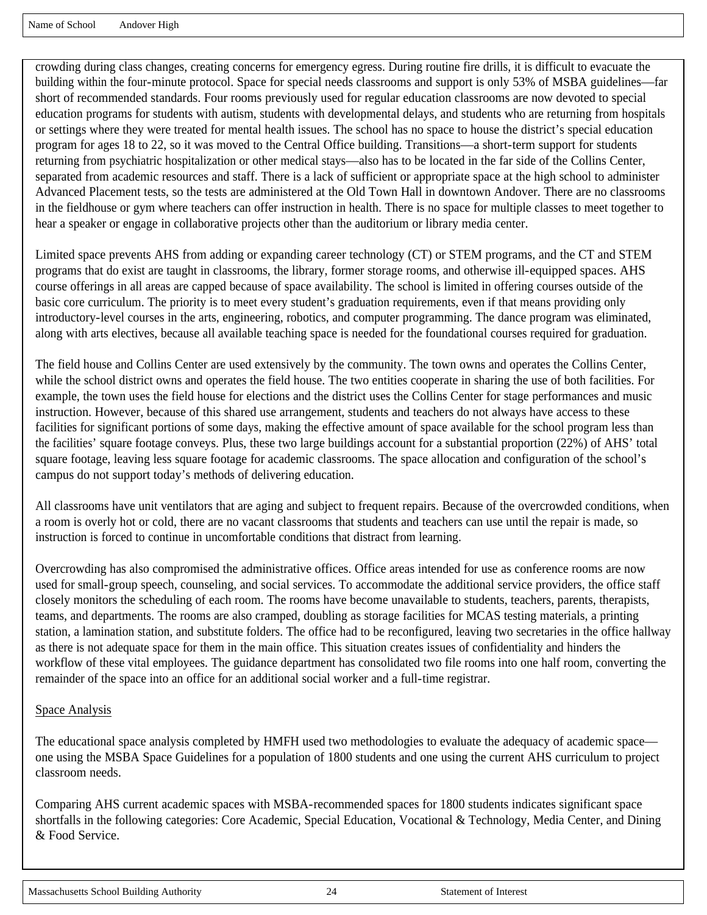crowding during class changes, creating concerns for emergency egress. During routine fire drills, it is difficult to evacuate the building within the four-minute protocol. Space for special needs classrooms and support is only 53% of MSBA guidelines—far short of recommended standards. Four rooms previously used for regular education classrooms are now devoted to special education programs for students with autism, students with developmental delays, and students who are returning from hospitals or settings where they were treated for mental health issues. The school has no space to house the district's special education program for ages 18 to 22, so it was moved to the Central Office building. Transitions—a short-term support for students returning from psychiatric hospitalization or other medical stays—also has to be located in the far side of the Collins Center, separated from academic resources and staff. There is a lack of sufficient or appropriate space at the high school to administer Advanced Placement tests, so the tests are administered at the Old Town Hall in downtown Andover. There are no classrooms in the fieldhouse or gym where teachers can offer instruction in health. There is no space for multiple classes to meet together to hear a speaker or engage in collaborative projects other than the auditorium or library media center.

Limited space prevents AHS from adding or expanding career technology (CT) or STEM programs, and the CT and STEM programs that do exist are taught in classrooms, the library, former storage rooms, and otherwise ill-equipped spaces. AHS course offerings in all areas are capped because of space availability. The school is limited in offering courses outside of the basic core curriculum. The priority is to meet every student's graduation requirements, even if that means providing only introductory-level courses in the arts, engineering, robotics, and computer programming. The dance program was eliminated, along with arts electives, because all available teaching space is needed for the foundational courses required for graduation.

The field house and Collins Center are used extensively by the community. The town owns and operates the Collins Center, while the school district owns and operates the field house. The two entities cooperate in sharing the use of both facilities. For example, the town uses the field house for elections and the district uses the Collins Center for stage performances and music instruction. However, because of this shared use arrangement, students and teachers do not always have access to these facilities for significant portions of some days, making the effective amount of space available for the school program less than the facilities' square footage conveys. Plus, these two large buildings account for a substantial proportion (22%) of AHS' total square footage, leaving less square footage for academic classrooms. The space allocation and configuration of the school's campus do not support today's methods of delivering education.

All classrooms have unit ventilators that are aging and subject to frequent repairs. Because of the overcrowded conditions, when a room is overly hot or cold, there are no vacant classrooms that students and teachers can use until the repair is made, so instruction is forced to continue in uncomfortable conditions that distract from learning.

Overcrowding has also compromised the administrative offices. Office areas intended for use as conference rooms are now used for small-group speech, counseling, and social services. To accommodate the additional service providers, the office staff closely monitors the scheduling of each room. The rooms have become unavailable to students, teachers, parents, therapists, teams, and departments. The rooms are also cramped, doubling as storage facilities for MCAS testing materials, a printing station, a lamination station, and substitute folders. The office had to be reconfigured, leaving two secretaries in the office hallway as there is not adequate space for them in the main office. This situation creates issues of confidentiality and hinders the workflow of these vital employees. The guidance department has consolidated two file rooms into one half room, converting the remainder of the space into an office for an additional social worker and a full-time registrar.

#### Space Analysis

The educational space analysis completed by HMFH used two methodologies to evaluate the adequacy of academic space one using the MSBA Space Guidelines for a population of 1800 students and one using the current AHS curriculum to project classroom needs.

Comparing AHS current academic spaces with MSBA-recommended spaces for 1800 students indicates significant space shortfalls in the following categories: Core Academic, Special Education, Vocational & Technology, Media Center, and Dining & Food Service.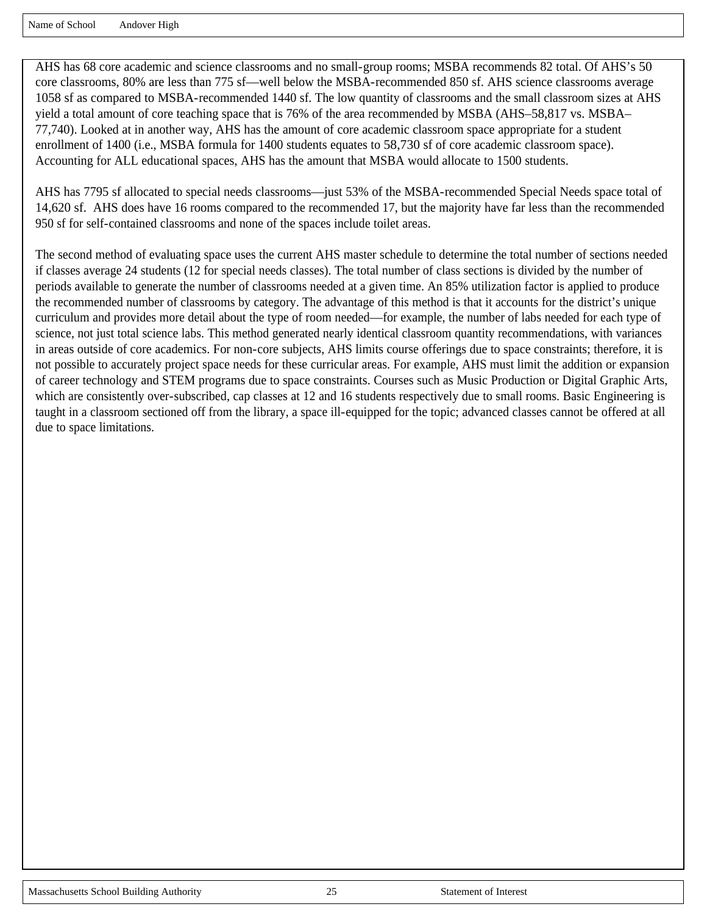Name of School Andover High

AHS has 68 core academic and science classrooms and no small-group rooms; MSBA recommends 82 total. Of AHS's 50 core classrooms, 80% are less than 775 sf—well below the MSBA-recommended 850 sf. AHS science classrooms average 1058 sf as compared to MSBA-recommended 1440 sf. The low quantity of classrooms and the small classroom sizes at AHS yield a total amount of core teaching space that is 76% of the area recommended by MSBA (AHS–58,817 vs. MSBA– 77,740). Looked at in another way, AHS has the amount of core academic classroom space appropriate for a student enrollment of 1400 (i.e., MSBA formula for 1400 students equates to 58,730 sf of core academic classroom space). Accounting for ALL educational spaces, AHS has the amount that MSBA would allocate to 1500 students.

AHS has 7795 sf allocated to special needs classrooms—just 53% of the MSBA-recommended Special Needs space total of 14,620 sf. AHS does have 16 rooms compared to the recommended 17, but the majority have far less than the recommended 950 sf for self-contained classrooms and none of the spaces include toilet areas.

The second method of evaluating space uses the current AHS master schedule to determine the total number of sections needed if classes average 24 students (12 for special needs classes). The total number of class sections is divided by the number of periods available to generate the number of classrooms needed at a given time. An 85% utilization factor is applied to produce the recommended number of classrooms by category. The advantage of this method is that it accounts for the district's unique curriculum and provides more detail about the type of room needed—for example, the number of labs needed for each type of science, not just total science labs. This method generated nearly identical classroom quantity recommendations, with variances in areas outside of core academics. For non-core subjects, AHS limits course offerings due to space constraints; therefore, it is not possible to accurately project space needs for these curricular areas. For example, AHS must limit the addition or expansion of career technology and STEM programs due to space constraints. Courses such as Music Production or Digital Graphic Arts, which are consistently over-subscribed, cap classes at 12 and 16 students respectively due to small rooms. Basic Engineering is taught in a classroom sectioned off from the library, a space ill-equipped for the topic; advanced classes cannot be offered at all due to space limitations.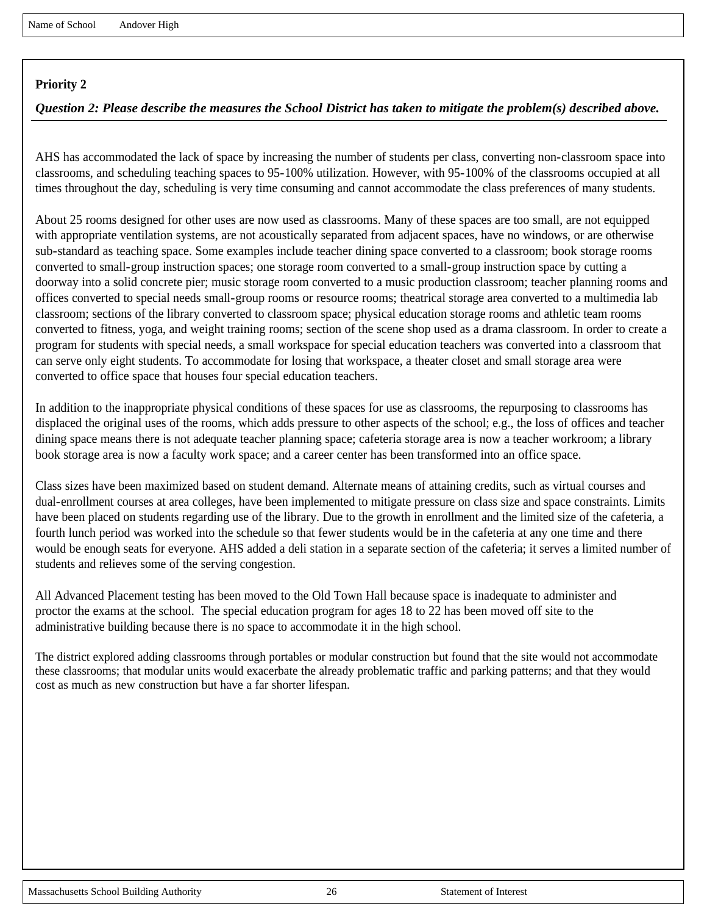# *Question 2: Please describe the measures the School District has taken to mitigate the problem(s) described above.*

AHS has accommodated the lack of space by increasing the number of students per class, converting non-classroom space into classrooms, and scheduling teaching spaces to 95-100% utilization. However, with 95-100% of the classrooms occupied at all times throughout the day, scheduling is very time consuming and cannot accommodate the class preferences of many students.

About 25 rooms designed for other uses are now used as classrooms. Many of these spaces are too small, are not equipped with appropriate ventilation systems, are not acoustically separated from adjacent spaces, have no windows, or are otherwise sub-standard as teaching space. Some examples include teacher dining space converted to a classroom; book storage rooms converted to small-group instruction spaces; one storage room converted to a small-group instruction space by cutting a doorway into a solid concrete pier; music storage room converted to a music production classroom; teacher planning rooms and offices converted to special needs small-group rooms or resource rooms; theatrical storage area converted to a multimedia lab classroom; sections of the library converted to classroom space; physical education storage rooms and athletic team rooms converted to fitness, yoga, and weight training rooms; section of the scene shop used as a drama classroom. In order to create a program for students with special needs, a small workspace for special education teachers was converted into a classroom that can serve only eight students. To accommodate for losing that workspace, a theater closet and small storage area were converted to office space that houses four special education teachers.

In addition to the inappropriate physical conditions of these spaces for use as classrooms, the repurposing to classrooms has displaced the original uses of the rooms, which adds pressure to other aspects of the school; e.g., the loss of offices and teacher dining space means there is not adequate teacher planning space; cafeteria storage area is now a teacher workroom; a library book storage area is now a faculty work space; and a career center has been transformed into an office space.

Class sizes have been maximized based on student demand. Alternate means of attaining credits, such as virtual courses and dual-enrollment courses at area colleges, have been implemented to mitigate pressure on class size and space constraints. Limits have been placed on students regarding use of the library. Due to the growth in enrollment and the limited size of the cafeteria, a fourth lunch period was worked into the schedule so that fewer students would be in the cafeteria at any one time and there would be enough seats for everyone. AHS added a deli station in a separate section of the cafeteria; it serves a limited number of students and relieves some of the serving congestion.

All Advanced Placement testing has been moved to the Old Town Hall because space is inadequate to administer and proctor the exams at the school. The special education program for ages 18 to 22 has been moved off site to the administrative building because there is no space to accommodate it in the high school.

The district explored adding classrooms through portables or modular construction but found that the site would not accommodate these classrooms; that modular units would exacerbate the already problematic traffic and parking patterns; and that they would cost as much as new construction but have a far shorter lifespan.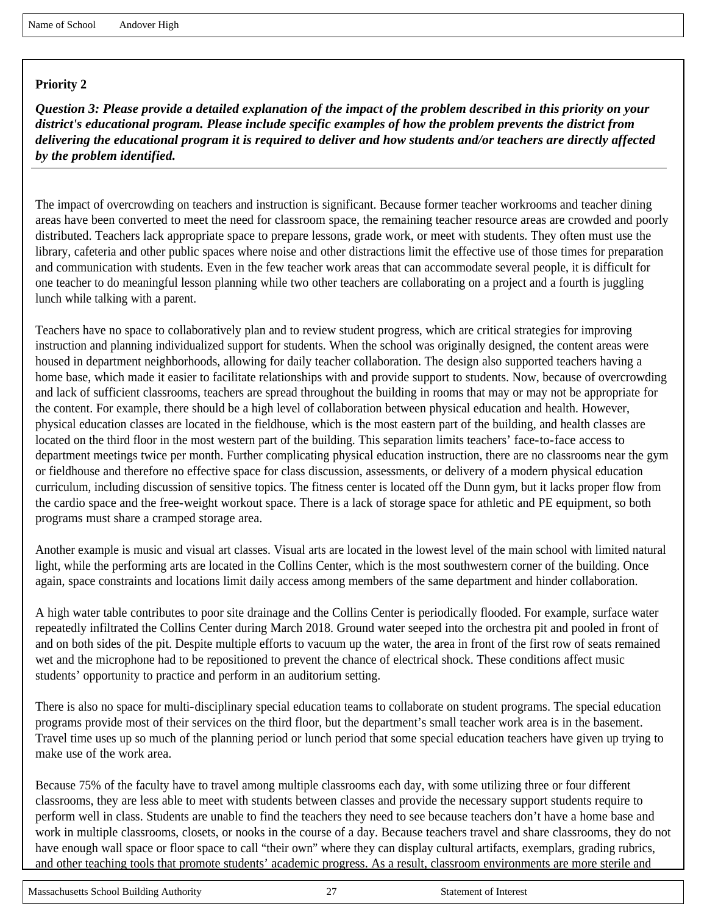*Question 3: Please provide a detailed explanation of the impact of the problem described in this priority on your district's educational program. Please include specific examples of how the problem prevents the district from delivering the educational program it is required to deliver and how students and/or teachers are directly affected by the problem identified.*

The impact of overcrowding on teachers and instruction is significant. Because former teacher workrooms and teacher dining areas have been converted to meet the need for classroom space, the remaining teacher resource areas are crowded and poorly distributed. Teachers lack appropriate space to prepare lessons, grade work, or meet with students. They often must use the library, cafeteria and other public spaces where noise and other distractions limit the effective use of those times for preparation and communication with students. Even in the few teacher work areas that can accommodate several people, it is difficult for one teacher to do meaningful lesson planning while two other teachers are collaborating on a project and a fourth is juggling lunch while talking with a parent.

Teachers have no space to collaboratively plan and to review student progress, which are critical strategies for improving instruction and planning individualized support for students. When the school was originally designed, the content areas were housed in department neighborhoods, allowing for daily teacher collaboration. The design also supported teachers having a home base, which made it easier to facilitate relationships with and provide support to students. Now, because of overcrowding and lack of sufficient classrooms, teachers are spread throughout the building in rooms that may or may not be appropriate for the content. For example, there should be a high level of collaboration between physical education and health. However, physical education classes are located in the fieldhouse, which is the most eastern part of the building, and health classes are located on the third floor in the most western part of the building. This separation limits teachers' face-to-face access to department meetings twice per month. Further complicating physical education instruction, there are no classrooms near the gym or fieldhouse and therefore no effective space for class discussion, assessments, or delivery of a modern physical education curriculum, including discussion of sensitive topics. The fitness center is located off the Dunn gym, but it lacks proper flow from the cardio space and the free-weight workout space. There is a lack of storage space for athletic and PE equipment, so both programs must share a cramped storage area.

Another example is music and visual art classes. Visual arts are located in the lowest level of the main school with limited natural light, while the performing arts are located in the Collins Center, which is the most southwestern corner of the building. Once again, space constraints and locations limit daily access among members of the same department and hinder collaboration.

A high water table contributes to poor site drainage and the Collins Center is periodically flooded. For example, surface water repeatedly infiltrated the Collins Center during March 2018. Ground water seeped into the orchestra pit and pooled in front of and on both sides of the pit. Despite multiple efforts to vacuum up the water, the area in front of the first row of seats remained wet and the microphone had to be repositioned to prevent the chance of electrical shock. These conditions affect music students' opportunity to practice and perform in an auditorium setting.

There is also no space for multi-disciplinary special education teams to collaborate on student programs. The special education programs provide most of their services on the third floor, but the department's small teacher work area is in the basement. Travel time uses up so much of the planning period or lunch period that some special education teachers have given up trying to make use of the work area.

Because 75% of the faculty have to travel among multiple classrooms each day, with some utilizing three or four different classrooms, they are less able to meet with students between classes and provide the necessary support students require to perform well in class. Students are unable to find the teachers they need to see because teachers don't have a home base and work in multiple classrooms, closets, or nooks in the course of a day. Because teachers travel and share classrooms, they do not have enough wall space or floor space to call "their own" where they can display cultural artifacts, exemplars, grading rubrics, and other teaching tools that promote students' academic progress. As a result, classroom environments are more sterile and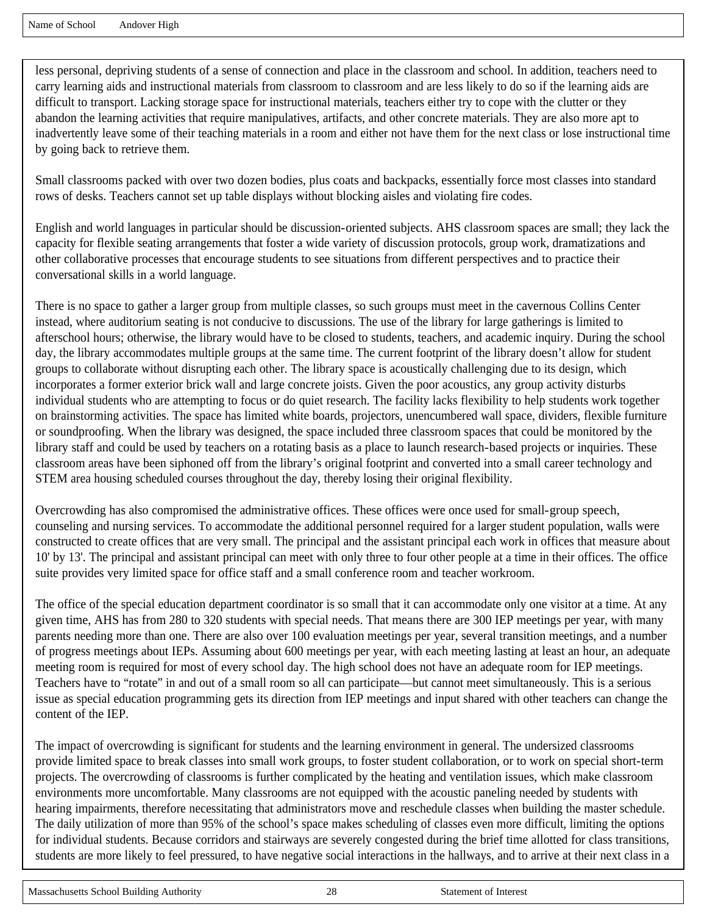less personal, depriving students of a sense of connection and place in the classroom and school. In addition, teachers need to carry learning aids and instructional materials from classroom to classroom and are less likely to do so if the learning aids are difficult to transport. Lacking storage space for instructional materials, teachers either try to cope with the clutter or they abandon the learning activities that require manipulatives, artifacts, and other concrete materials. They are also more apt to inadvertently leave some of their teaching materials in a room and either not have them for the next class or lose instructional time by going back to retrieve them.

Small classrooms packed with over two dozen bodies, plus coats and backpacks, essentially force most classes into standard rows of desks. Teachers cannot set up table displays without blocking aisles and violating fire codes.

English and world languages in particular should be discussion-oriented subjects. AHS classroom spaces are small; they lack the capacity for flexible seating arrangements that foster a wide variety of discussion protocols, group work, dramatizations and other collaborative processes that encourage students to see situations from different perspectives and to practice their conversational skills in a world language.

There is no space to gather a larger group from multiple classes, so such groups must meet in the cavernous Collins Center instead, where auditorium seating is not conducive to discussions. The use of the library for large gatherings is limited to afterschool hours; otherwise, the library would have to be closed to students, teachers, and academic inquiry. During the school day, the library accommodates multiple groups at the same time. The current footprint of the library doesn't allow for student groups to collaborate without disrupting each other. The library space is acoustically challenging due to its design, which incorporates a former exterior brick wall and large concrete joists. Given the poor acoustics, any group activity disturbs individual students who are attempting to focus or do quiet research. The facility lacks flexibility to help students work together on brainstorming activities. The space has limited white boards, projectors, unencumbered wall space, dividers, flexible furniture or soundproofing. When the library was designed, the space included three classroom spaces that could be monitored by the library staff and could be used by teachers on a rotating basis as a place to launch research-based projects or inquiries. These classroom areas have been siphoned off from the library's original footprint and converted into a small career technology and STEM area housing scheduled courses throughout the day, thereby losing their original flexibility.

Overcrowding has also compromised the administrative offices. These offices were once used for small-group speech, counseling and nursing services. To accommodate the additional personnel required for a larger student population, walls were constructed to create offices that are very small. The principal and the assistant principal each work in offices that measure about 10' by 13'. The principal and assistant principal can meet with only three to four other people at a time in their offices. The office suite provides very limited space for office staff and a small conference room and teacher workroom.

The office of the special education department coordinator is so small that it can accommodate only one visitor at a time. At any given time, AHS has from 280 to 320 students with special needs. That means there are 300 IEP meetings per year, with many parents needing more than one. There are also over 100 evaluation meetings per year, several transition meetings, and a number of progress meetings about IEPs. Assuming about 600 meetings per year, with each meeting lasting at least an hour, an adequate meeting room is required for most of every school day. The high school does not have an adequate room for IEP meetings. Teachers have to "rotate" in and out of a small room so all can participate—but cannot meet simultaneously. This is a serious issue as special education programming gets its direction from IEP meetings and input shared with other teachers can change the content of the IEP.

The impact of overcrowding is significant for students and the learning environment in general. The undersized classrooms provide limited space to break classes into small work groups, to foster student collaboration, or to work on special short-term projects. The overcrowding of classrooms is further complicated by the heating and ventilation issues, which make classroom environments more uncomfortable. Many classrooms are not equipped with the acoustic paneling needed by students with hearing impairments, therefore necessitating that administrators move and reschedule classes when building the master schedule. The daily utilization of more than 95% of the school's space makes scheduling of classes even more difficult, limiting the options for individual students. Because corridors and stairways are severely congested during the brief time allotted for class transitions, students are more likely to feel pressured, to have negative social interactions in the hallways, and to arrive at their next class in a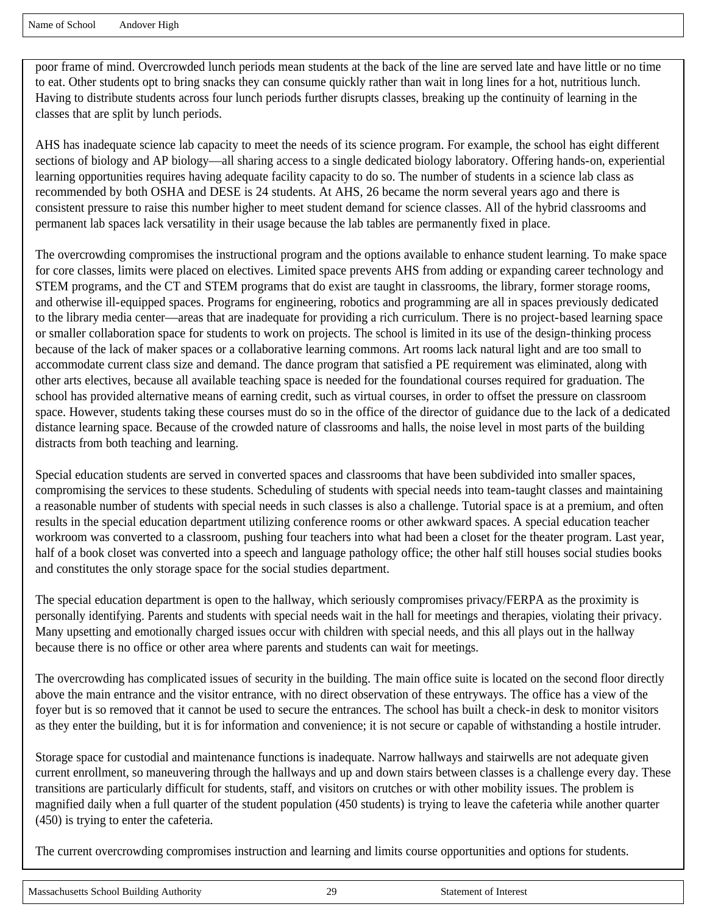poor frame of mind. Overcrowded lunch periods mean students at the back of the line are served late and have little or no time to eat. Other students opt to bring snacks they can consume quickly rather than wait in long lines for a hot, nutritious lunch. Having to distribute students across four lunch periods further disrupts classes, breaking up the continuity of learning in the classes that are split by lunch periods.

AHS has inadequate science lab capacity to meet the needs of its science program. For example, the school has eight different sections of biology and AP biology—all sharing access to a single dedicated biology laboratory. Offering hands-on, experiential learning opportunities requires having adequate facility capacity to do so. The number of students in a science lab class as recommended by both OSHA and DESE is 24 students. At AHS, 26 became the norm several years ago and there is consistent pressure to raise this number higher to meet student demand for science classes. All of the hybrid classrooms and permanent lab spaces lack versatility in their usage because the lab tables are permanently fixed in place.

The overcrowding compromises the instructional program and the options available to enhance student learning. To make space for core classes, limits were placed on electives. Limited space prevents AHS from adding or expanding career technology and STEM programs, and the CT and STEM programs that do exist are taught in classrooms, the library, former storage rooms, and otherwise ill-equipped spaces. Programs for engineering, robotics and programming are all in spaces previously dedicated to the library media center—areas that are inadequate for providing a rich curriculum. There is no project-based learning space or smaller collaboration space for students to work on projects. The school is limited in its use of the design-thinking process because of the lack of maker spaces or a collaborative learning commons. Art rooms lack natural light and are too small to accommodate current class size and demand. The dance program that satisfied a PE requirement was eliminated, along with other arts electives, because all available teaching space is needed for the foundational courses required for graduation. The school has provided alternative means of earning credit, such as virtual courses, in order to offset the pressure on classroom space. However, students taking these courses must do so in the office of the director of guidance due to the lack of a dedicated distance learning space. Because of the crowded nature of classrooms and halls, the noise level in most parts of the building distracts from both teaching and learning.

Special education students are served in converted spaces and classrooms that have been subdivided into smaller spaces, compromising the services to these students. Scheduling of students with special needs into team-taught classes and maintaining a reasonable number of students with special needs in such classes is also a challenge. Tutorial space is at a premium, and often results in the special education department utilizing conference rooms or other awkward spaces. A special education teacher workroom was converted to a classroom, pushing four teachers into what had been a closet for the theater program. Last year, half of a book closet was converted into a speech and language pathology office; the other half still houses social studies books and constitutes the only storage space for the social studies department.

The special education department is open to the hallway, which seriously compromises privacy/FERPA as the proximity is personally identifying. Parents and students with special needs wait in the hall for meetings and therapies, violating their privacy. Many upsetting and emotionally charged issues occur with children with special needs, and this all plays out in the hallway because there is no office or other area where parents and students can wait for meetings.

The overcrowding has complicated issues of security in the building. The main office suite is located on the second floor directly above the main entrance and the visitor entrance, with no direct observation of these entryways. The office has a view of the foyer but is so removed that it cannot be used to secure the entrances. The school has built a check-in desk to monitor visitors as they enter the building, but it is for information and convenience; it is not secure or capable of withstanding a hostile intruder.

Storage space for custodial and maintenance functions is inadequate. Narrow hallways and stairwells are not adequate given current enrollment, so maneuvering through the hallways and up and down stairs between classes is a challenge every day. These transitions are particularly difficult for students, staff, and visitors on crutches or with other mobility issues. The problem is magnified daily when a full quarter of the student population (450 students) is trying to leave the cafeteria while another quarter (450) is trying to enter the cafeteria.

The current overcrowding compromises instruction and learning and limits course opportunities and options for students.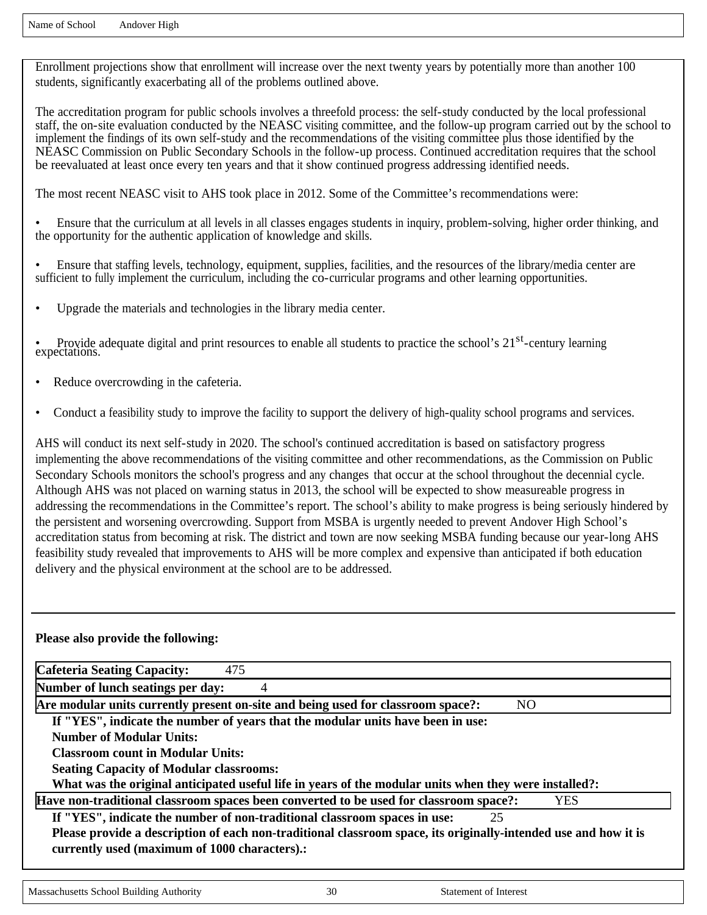Enrollment projections show that enrollment will increase over the next twenty years by potentially more than another 100 students, significantly exacerbating all of the problems outlined above.

The accreditation program for public schools involves a threefold process: the self-study conducted by the local professional staff, the on-site evaluation conducted by the NEASC visiting committee, and the follow-up program carried out by the school to implement the findings of its own self-study and the recommendations of the visiting committee plus those identified by the NEASC Commission on Public Secondary Schools in the follow-up process. Continued accreditation requires that the school be reevaluated at least once every ten years and that it show continued progress addressing identified needs.

The most recent NEASC visit to AHS took place in 2012. Some of the Committee's recommendations were:

• Ensure that the curriculum at all levels in all classes engages students in inquiry, problem-solving, higher order thinking, and the opportunity for the authentic application of knowledge and skills.

- Ensure that staffing levels, technology, equipment, supplies, facilities, and the resources of the library/media center are sufficient to fully implement the curriculum, including the co-curricular programs and other learning opportunities.
- Upgrade the materials and technologies in the library media center.

• Provide adequate digital and print resources to enable all students to practice the school's 21<sup>st</sup>-century learning expectations.

- Reduce overcrowding in the cafeteria.
- Conduct a feasibility study to improve the facility to support the delivery of high-quality school programs and services.

AHS will conduct its next self-study in 2020. The school's continued accreditation is based on satisfactory progress implementing the above recommendations of the visiting committee and other recommendations, as the Commission on Public Secondary Schools monitors the school's progress and any changes that occur at the school throughout the decennial cycle. Although AHS was not placed on warning status in 2013, the school will be expected to show measureable progress in addressing the recommendations in the Committee's report. The school's ability to make progress is being seriously hindered by the persistent and worsening overcrowding. Support from MSBA is urgently needed to prevent Andover High School's accreditation status from becoming at risk. The district and town are now seeking MSBA funding because our year-long AHS feasibility study revealed that improvements to AHS will be more complex and expensive than anticipated if both education delivery and the physical environment at the school are to be addressed.

#### **Please also provide the following:**

| Cafeteria Seating Capacity:<br>475                                                                                                                               |            |
|------------------------------------------------------------------------------------------------------------------------------------------------------------------|------------|
| Number of lunch seatings per day:<br>4                                                                                                                           |            |
| Are modular units currently present on-site and being used for classroom space?:                                                                                 | NO.        |
| If "YES", indicate the number of years that the modular units have been in use:                                                                                  |            |
| Number of Modular Units:                                                                                                                                         |            |
| <b>Classroom count in Modular Units:</b>                                                                                                                         |            |
| <b>Seating Capacity of Modular classrooms:</b>                                                                                                                   |            |
| What was the original anticipated useful life in years of the modular units when they were installed?:                                                           |            |
| Have non-traditional classroom spaces been converted to be used for classroom space?:                                                                            | <b>YES</b> |
| If "YES", indicate the number of non-traditional classroom spaces in use:                                                                                        | 25         |
| Please provide a description of each non-traditional classroom space, its originally-intended use and how it is<br>currently used (maximum of 1000 characters).: |            |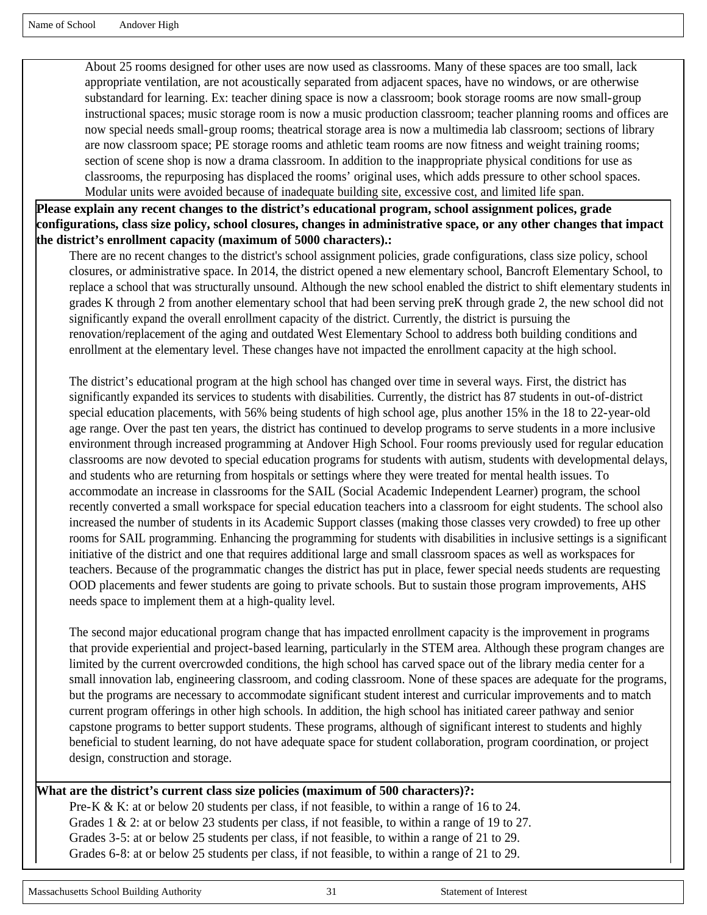About 25 rooms designed for other uses are now used as classrooms. Many of these spaces are too small, lack appropriate ventilation, are not acoustically separated from adjacent spaces, have no windows, or are otherwise substandard for learning. Ex: teacher dining space is now a classroom; book storage rooms are now small-group instructional spaces; music storage room is now a music production classroom; teacher planning rooms and offices are now special needs small-group rooms; theatrical storage area is now a multimedia lab classroom; sections of library are now classroom space; PE storage rooms and athletic team rooms are now fitness and weight training rooms; section of scene shop is now a drama classroom. In addition to the inappropriate physical conditions for use as classrooms, the repurposing has displaced the rooms' original uses, which adds pressure to other school spaces. Modular units were avoided because of inadequate building site, excessive cost, and limited life span.

**Please explain any recent changes to the district's educational program, school assignment polices, grade configurations, class size policy, school closures, changes in administrative space, or any other changes that impact the district's enrollment capacity (maximum of 5000 characters).:** 

There are no recent changes to the district's school assignment policies, grade configurations, class size policy, school closures, or administrative space. In 2014, the district opened a new elementary school, Bancroft Elementary School, to replace a school that was structurally unsound. Although the new school enabled the district to shift elementary students in grades K through 2 from another elementary school that had been serving preK through grade 2, the new school did not significantly expand the overall enrollment capacity of the district. Currently, the district is pursuing the renovation/replacement of the aging and outdated West Elementary School to address both building conditions and enrollment at the elementary level. These changes have not impacted the enrollment capacity at the high school.

The district's educational program at the high school has changed over time in several ways. First, the district has significantly expanded its services to students with disabilities. Currently, the district has 87 students in out-of-district special education placements, with 56% being students of high school age, plus another 15% in the 18 to 22-year-old age range. Over the past ten years, the district has continued to develop programs to serve students in a more inclusive environment through increased programming at Andover High School. Four rooms previously used for regular education classrooms are now devoted to special education programs for students with autism, students with developmental delays, and students who are returning from hospitals or settings where they were treated for mental health issues. To accommodate an increase in classrooms for the SAIL (Social Academic Independent Learner) program, the school recently converted a small workspace for special education teachers into a classroom for eight students. The school also increased the number of students in its Academic Support classes (making those classes very crowded) to free up other rooms for SAIL programming. Enhancing the programming for students with disabilities in inclusive settings is a significant initiative of the district and one that requires additional large and small classroom spaces as well as workspaces for teachers. Because of the programmatic changes the district has put in place, fewer special needs students are requesting OOD placements and fewer students are going to private schools. But to sustain those program improvements, AHS needs space to implement them at a high-quality level.

The second major educational program change that has impacted enrollment capacity is the improvement in programs that provide experiential and project-based learning, particularly in the STEM area. Although these program changes are limited by the current overcrowded conditions, the high school has carved space out of the library media center for a small innovation lab, engineering classroom, and coding classroom. None of these spaces are adequate for the programs, but the programs are necessary to accommodate significant student interest and curricular improvements and to match current program offerings in other high schools. In addition, the high school has initiated career pathway and senior capstone programs to better support students. These programs, although of significant interest to students and highly beneficial to student learning, do not have adequate space for student collaboration, program coordination, or project design, construction and storage.

#### **What are the district's current class size policies (maximum of 500 characters)?:**

Pre-K & K: at or below 20 students per class, if not feasible, to within a range of 16 to 24. Grades 1 & 2: at or below 23 students per class, if not feasible, to within a range of 19 to 27. Grades 3-5: at or below 25 students per class, if not feasible, to within a range of 21 to 29. Grades 6-8: at or below 25 students per class, if not feasible, to within a range of 21 to 29.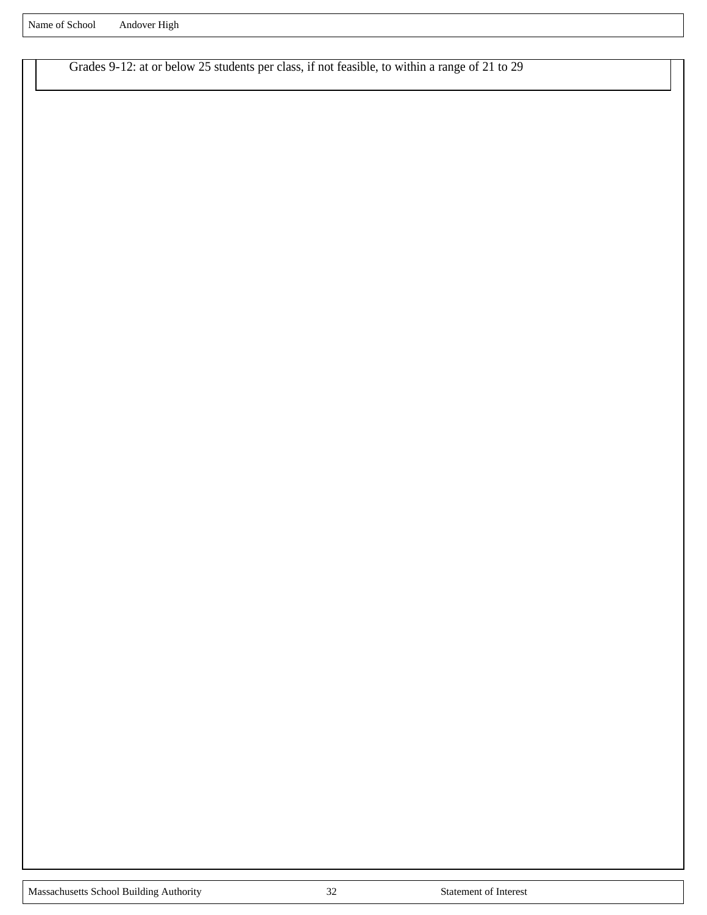Grades 9-12: at or below 25 students per class, if not feasible, to within a range of 21 to 29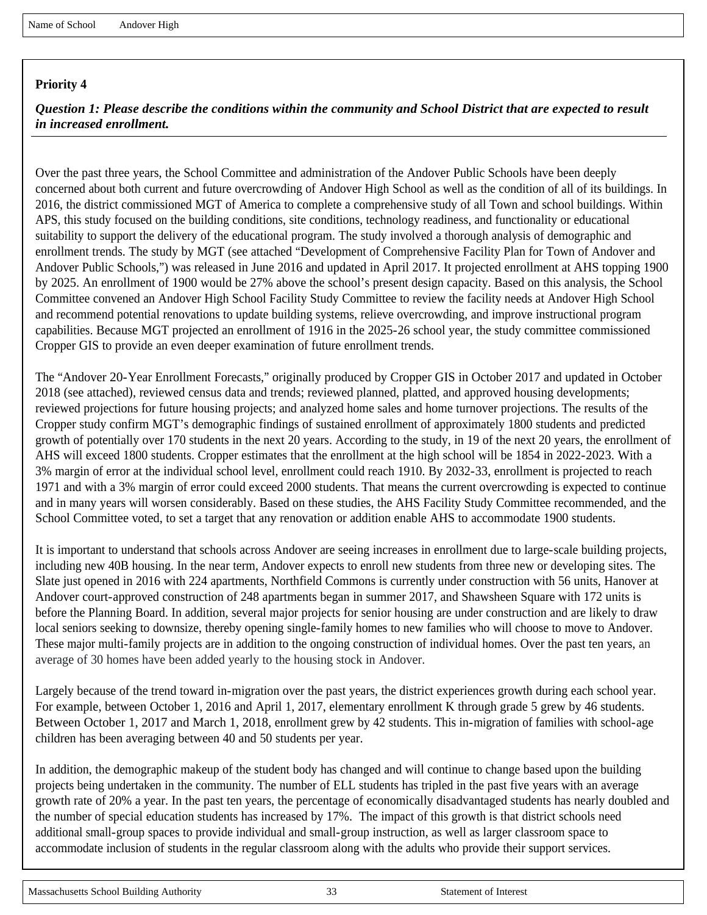*Question 1: Please describe the conditions within the community and School District that are expected to result in increased enrollment.*

Over the past three years, the School Committee and administration of the Andover Public Schools have been deeply concerned about both current and future overcrowding of Andover High School as well as the condition of all of its buildings. In 2016, the district commissioned MGT of America to complete a comprehensive study of all Town and school buildings. Within APS, this study focused on the building conditions, site conditions, technology readiness, and functionality or educational suitability to support the delivery of the educational program. The study involved a thorough analysis of demographic and enrollment trends. The study by MGT (see attached "Development of Comprehensive Facility Plan for Town of Andover and Andover Public Schools,") was released in June 2016 and updated in April 2017. It projected enrollment at AHS topping 1900 by 2025. An enrollment of 1900 would be 27% above the school's present design capacity. Based on this analysis, the School Committee convened an Andover High School Facility Study Committee to review the facility needs at Andover High School and recommend potential renovations to update building systems, relieve overcrowding, and improve instructional program capabilities. Because MGT projected an enrollment of 1916 in the 2025-26 school year, the study committee commissioned Cropper GIS to provide an even deeper examination of future enrollment trends.

The "Andover 20-Year Enrollment Forecasts," originally produced by Cropper GIS in October 2017 and updated in October 2018 (see attached), reviewed census data and trends; reviewed planned, platted, and approved housing developments; reviewed projections for future housing projects; and analyzed home sales and home turnover projections. The results of the Cropper study confirm MGT's demographic findings of sustained enrollment of approximately 1800 students and predicted growth of potentially over 170 students in the next 20 years. According to the study, in 19 of the next 20 years, the enrollment of AHS will exceed 1800 students. Cropper estimates that the enrollment at the high school will be 1854 in 2022-2023. With a 3% margin of error at the individual school level, enrollment could reach 1910. By 2032-33, enrollment is projected to reach 1971 and with a 3% margin of error could exceed 2000 students. That means the current overcrowding is expected to continue and in many years will worsen considerably. Based on these studies, the AHS Facility Study Committee recommended, and the School Committee voted, to set a target that any renovation or addition enable AHS to accommodate 1900 students.

It is important to understand that schools across Andover are seeing increases in enrollment due to large-scale building projects, including new 40B housing. In the near term, Andover expects to enroll new students from three new or developing sites. The Slate just opened in 2016 with 224 apartments, Northfield Commons is currently under construction with 56 units, Hanover at Andover court-approved construction of 248 apartments began in summer 2017, and Shawsheen Square with 172 units is before the Planning Board. In addition, several major projects for senior housing are under construction and are likely to draw local seniors seeking to downsize, thereby opening single-family homes to new families who will choose to move to Andover. These major multi-family projects are in addition to the ongoing construction of individual homes. Over the past ten years, an average of 30 homes have been added yearly to the housing stock in Andover.

Largely because of the trend toward in-migration over the past years, the district experiences growth during each school year. For example, between October 1, 2016 and April 1, 2017, elementary enrollment K through grade 5 grew by 46 students. Between October 1, 2017 and March 1, 2018, enrollment grew by 42 students. This in-migration of families with school-age children has been averaging between 40 and 50 students per year.

In addition, the demographic makeup of the student body has changed and will continue to change based upon the building projects being undertaken in the community. The number of ELL students has tripled in the past five years with an average growth rate of 20% a year. In the past ten years, the percentage of economically disadvantaged students has nearly doubled and the number of special education students has increased by 17%. The impact of this growth is that district schools need additional small-group spaces to provide individual and small-group instruction, as well as larger classroom space to accommodate inclusion of students in the regular classroom along with the adults who provide their support services.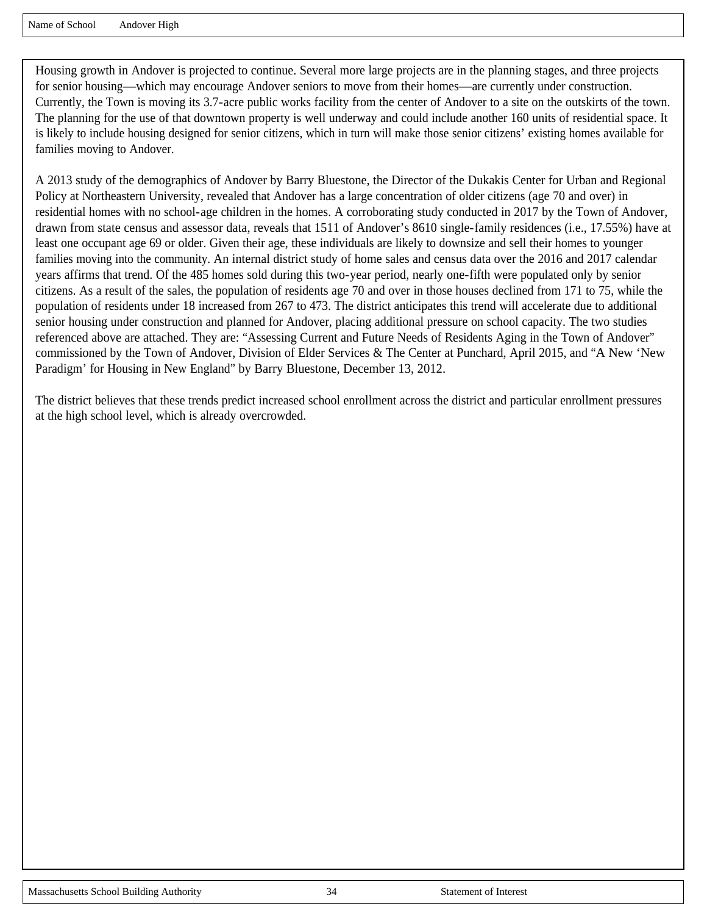Housing growth in Andover is projected to continue. Several more large projects are in the planning stages, and three projects for senior housing—which may encourage Andover seniors to move from their homes—are currently under construction. Currently, the Town is moving its 3.7-acre public works facility from the center of Andover to a site on the outskirts of the town. The planning for the use of that downtown property is well underway and could include another 160 units of residential space. It is likely to include housing designed for senior citizens, which in turn will make those senior citizens' existing homes available for families moving to Andover.

A 2013 study of the demographics of Andover by Barry Bluestone, the Director of the Dukakis Center for Urban and Regional Policy at Northeastern University, revealed that Andover has a large concentration of older citizens (age 70 and over) in residential homes with no school-age children in the homes. A corroborating study conducted in 2017 by the Town of Andover, drawn from state census and assessor data, reveals that 1511 of Andover's 8610 single-family residences (i.e., 17.55%) have at least one occupant age 69 or older. Given their age, these individuals are likely to downsize and sell their homes to younger families moving into the community. An internal district study of home sales and census data over the 2016 and 2017 calendar years affirms that trend. Of the 485 homes sold during this two-year period, nearly one-fifth were populated only by senior citizens. As a result of the sales, the population of residents age 70 and over in those houses declined from 171 to 75, while the population of residents under 18 increased from 267 to 473. The district anticipates this trend will accelerate due to additional senior housing under construction and planned for Andover, placing additional pressure on school capacity. The two studies referenced above are attached. They are: "Assessing Current and Future Needs of Residents Aging in the Town of Andover" commissioned by the Town of Andover, Division of Elder Services & The Center at Punchard, April 2015, and "A New 'New Paradigm' for Housing in New England" by Barry Bluestone, December 13, 2012.

The district believes that these trends predict increased school enrollment across the district and particular enrollment pressures at the high school level, which is already overcrowded.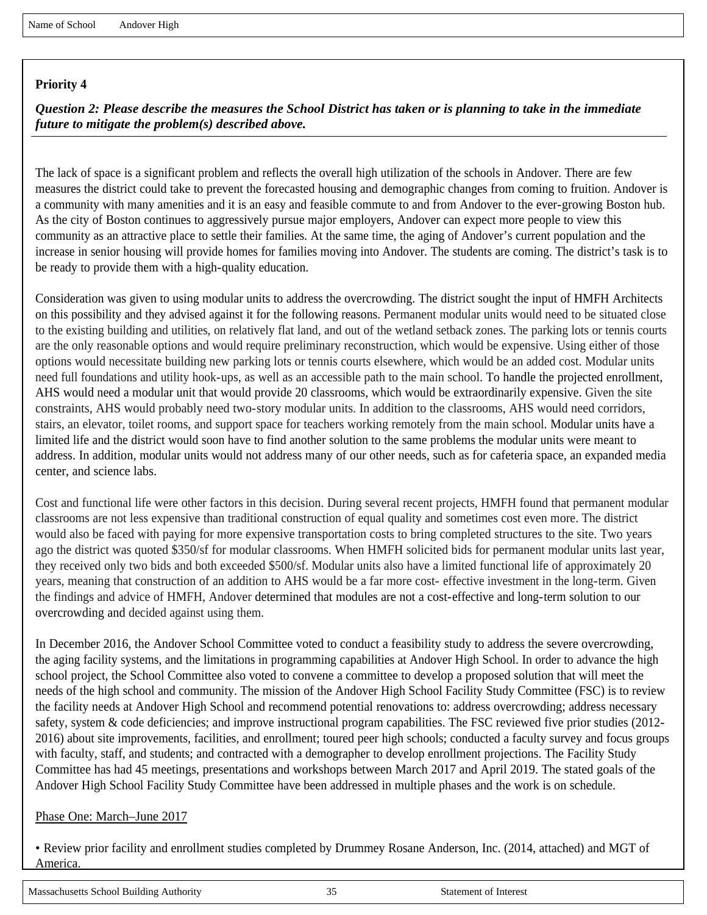*Question 2: Please describe the measures the School District has taken or is planning to take in the immediate future to mitigate the problem(s) described above.*

The lack of space is a significant problem and reflects the overall high utilization of the schools in Andover. There are few measures the district could take to prevent the forecasted housing and demographic changes from coming to fruition. Andover is a community with many amenities and it is an easy and feasible commute to and from Andover to the ever-growing Boston hub. As the city of Boston continues to aggressively pursue major employers, Andover can expect more people to view this community as an attractive place to settle their families. At the same time, the aging of Andover's current population and the increase in senior housing will provide homes for families moving into Andover. The students are coming. The district's task is to be ready to provide them with a high-quality education.

Consideration was given to using modular units to address the overcrowding. The district sought the input of HMFH Architects on this possibility and they advised against it for the following reasons. Permanent modular units would need to be situated close to the existing building and utilities, on relatively flat land, and out of the wetland setback zones. The parking lots or tennis courts are the only reasonable options and would require preliminary reconstruction, which would be expensive. Using either of those options would necessitate building new parking lots or tennis courts elsewhere, which would be an added cost. Modular units need full foundations and utility hook-ups, as well as an accessible path to the main school. To handle the projected enrollment, AHS would need a modular unit that would provide 20 classrooms, which would be extraordinarily expensive. Given the site constraints, AHS would probably need two-story modular units. In addition to the classrooms, AHS would need corridors, stairs, an elevator, toilet rooms, and support space for teachers working remotely from the main school. Modular units have a limited life and the district would soon have to find another solution to the same problems the modular units were meant to address. In addition, modular units would not address many of our other needs, such as for cafeteria space, an expanded media center, and science labs.

Cost and functional life were other factors in this decision. During several recent projects, HMFH found that permanent modular classrooms are not less expensive than traditional construction of equal quality and sometimes cost even more. The district would also be faced with paying for more expensive transportation costs to bring completed structures to the site. Two years ago the district was quoted \$350/sf for modular classrooms. When HMFH solicited bids for permanent modular units last year, they received only two bids and both exceeded \$500/sf. Modular units also have a limited functional life of approximately 20 years, meaning that construction of an addition to AHS would be a far more cost- effective investment in the long-term. Given the findings and advice of HMFH, Andover determined that modules are not a cost-effective and long-term solution to our overcrowding and decided against using them.

In December 2016, the Andover School Committee voted to conduct a feasibility study to address the severe overcrowding, the aging facility systems, and the limitations in programming capabilities at Andover High School. In order to advance the high school project, the School Committee also voted to convene a committee to develop a proposed solution that will meet the needs of the high school and community. The mission of the Andover High School Facility Study Committee (FSC) is to review the facility needs at Andover High School and recommend potential renovations to: address overcrowding; address necessary safety, system & code deficiencies; and improve instructional program capabilities. The FSC reviewed five prior studies (2012- 2016) about site improvements, facilities, and enrollment; toured peer high schools; conducted a faculty survey and focus groups with faculty, staff, and students; and contracted with a demographer to develop enrollment projections. The Facility Study Committee has had 45 meetings, presentations and workshops between March 2017 and April 2019. The stated goals of the Andover High School Facility Study Committee have been addressed in multiple phases and the work is on schedule.

#### Phase One: March–June 2017

• Review prior facility and enrollment studies completed by Drummey Rosane Anderson, Inc. (2014, attached) and MGT of America.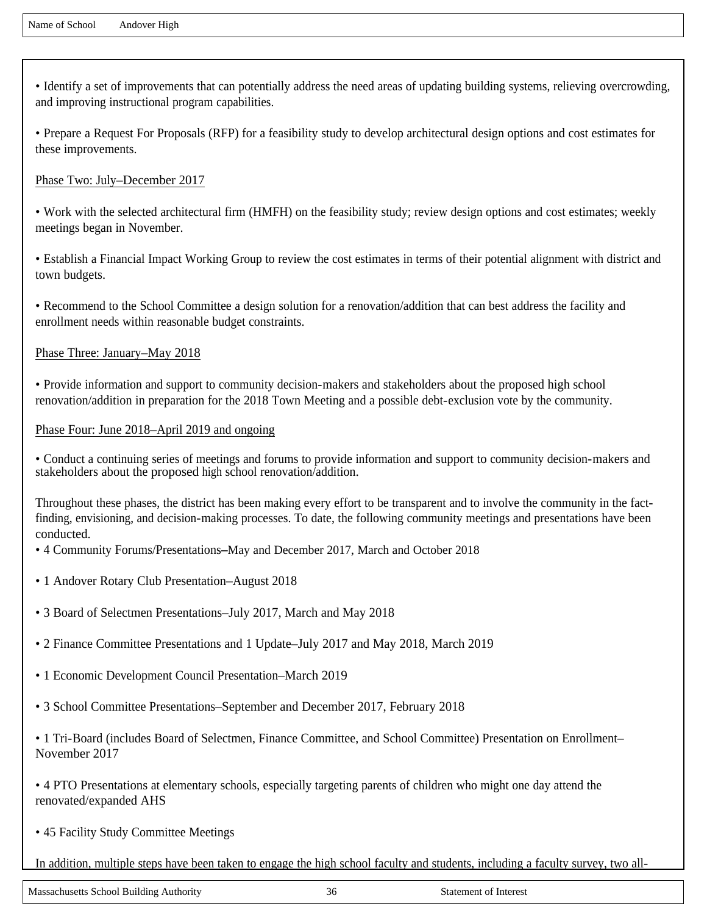• Identify a set of improvements that can potentially address the need areas of updating building systems, relieving overcrowding, and improving instructional program capabilities.

• Prepare a Request For Proposals (RFP) for a feasibility study to develop architectural design options and cost estimates for these improvements.

#### Phase Two: July–December 2017

• Work with the selected architectural firm (HMFH) on the feasibility study; review design options and cost estimates; weekly meetings began in November.

• Establish a Financial Impact Working Group to review the cost estimates in terms of their potential alignment with district and town budgets.

• Recommend to the School Committee a design solution for a renovation/addition that can best address the facility and enrollment needs within reasonable budget constraints.

#### Phase Three: January–May 2018

• Provide information and support to community decision-makers and stakeholders about the proposed high school renovation/addition in preparation for the 2018 Town Meeting and a possible debt-exclusion vote by the community.

#### Phase Four: June 2018–April 2019 and ongoing

• Conduct a continuing series of meetings and forums to provide information and support to community decision-makers and stakeholders about the proposed high school renovation/addition.

Throughout these phases, the district has been making every effort to be transparent and to involve the community in the factfinding, envisioning, and decision-making processes. To date, the following community meetings and presentations have been conducted.

• 4 Community Forums/Presentations**–**May and December 2017, March and October 2018

- 1 Andover Rotary Club Presentation–August 2018
- 3 Board of Selectmen Presentations–July 2017, March and May 2018
- 2 Finance Committee Presentations and 1 Update–July 2017 and May 2018, March 2019
- 1 Economic Development Council Presentation–March 2019
- 3 School Committee Presentations–September and December 2017, February 2018

• 1 Tri-Board (includes Board of Selectmen, Finance Committee, and School Committee) Presentation on Enrollment– November 2017

• 4 PTO Presentations at elementary schools, especially targeting parents of children who might one day attend the renovated/expanded AHS

• 45 Facility Study Committee Meetings

In addition, multiple steps have been taken to engage the high school faculty and students, including a faculty survey, two all-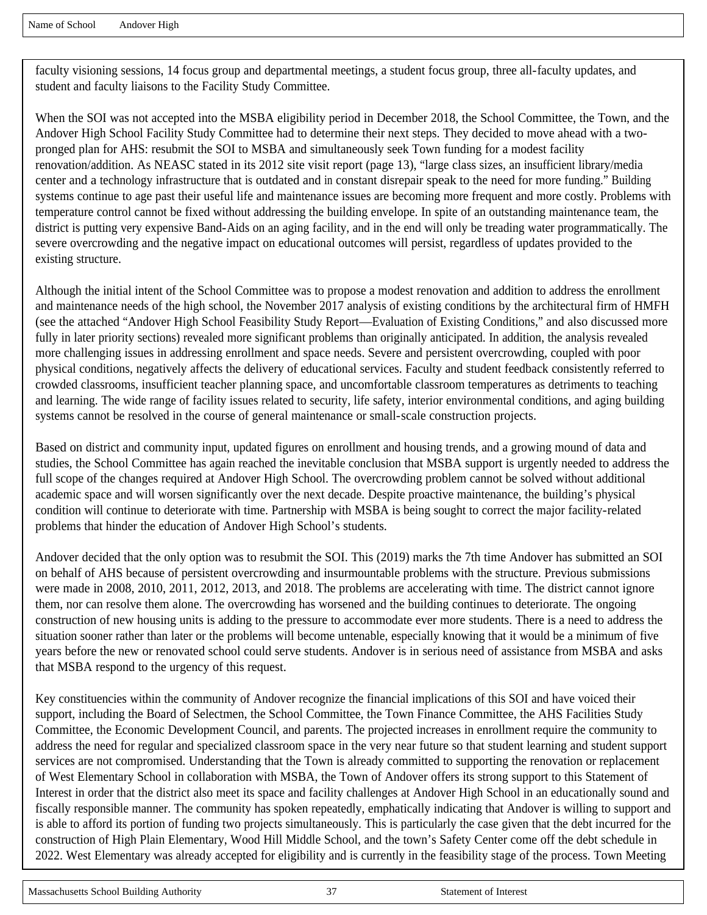faculty visioning sessions, 14 focus group and departmental meetings, a student focus group, three all-faculty updates, and student and faculty liaisons to the Facility Study Committee.

When the SOI was not accepted into the MSBA eligibility period in December 2018, the School Committee, the Town, and the Andover High School Facility Study Committee had to determine their next steps. They decided to move ahead with a twopronged plan for AHS: resubmit the SOI to MSBA and simultaneously seek Town funding for a modest facility renovation/addition. As NEASC stated in its 2012 site visit report (page 13), "large class sizes, an insufficient library/media center and a technology infrastructure that is outdated and in constant disrepair speak to the need for more funding." Building systems continue to age past their useful life and maintenance issues are becoming more frequent and more costly. Problems with temperature control cannot be fixed without addressing the building envelope. In spite of an outstanding maintenance team, the district is putting very expensive Band-Aids on an aging facility, and in the end will only be treading water programmatically. The severe overcrowding and the negative impact on educational outcomes will persist, regardless of updates provided to the existing structure.

Although the initial intent of the School Committee was to propose a modest renovation and addition to address the enrollment and maintenance needs of the high school, the November 2017 analysis of existing conditions by the architectural firm of HMFH (see the attached "Andover High School Feasibility Study Report—Evaluation of Existing Conditions," and also discussed more fully in later priority sections) revealed more significant problems than originally anticipated. In addition, the analysis revealed more challenging issues in addressing enrollment and space needs. Severe and persistent overcrowding, coupled with poor physical conditions, negatively affects the delivery of educational services. Faculty and student feedback consistently referred to crowded classrooms, insufficient teacher planning space, and uncomfortable classroom temperatures as detriments to teaching and learning. The wide range of facility issues related to security, life safety, interior environmental conditions, and aging building systems cannot be resolved in the course of general maintenance or small-scale construction projects.

Based on district and community input, updated figures on enrollment and housing trends, and a growing mound of data and studies, the School Committee has again reached the inevitable conclusion that MSBA support is urgently needed to address the full scope of the changes required at Andover High School. The overcrowding problem cannot be solved without additional academic space and will worsen significantly over the next decade. Despite proactive maintenance, the building's physical condition will continue to deteriorate with time. Partnership with MSBA is being sought to correct the major facility-related problems that hinder the education of Andover High School's students.

Andover decided that the only option was to resubmit the SOI. This (2019) marks the 7th time Andover has submitted an SOI on behalf of AHS because of persistent overcrowding and insurmountable problems with the structure. Previous submissions were made in 2008, 2010, 2011, 2012, 2013, and 2018. The problems are accelerating with time. The district cannot ignore them, nor can resolve them alone. The overcrowding has worsened and the building continues to deteriorate. The ongoing construction of new housing units is adding to the pressure to accommodate ever more students. There is a need to address the situation sooner rather than later or the problems will become untenable, especially knowing that it would be a minimum of five years before the new or renovated school could serve students. Andover is in serious need of assistance from MSBA and asks that MSBA respond to the urgency of this request.

Key constituencies within the community of Andover recognize the financial implications of this SOI and have voiced their support, including the Board of Selectmen, the School Committee, the Town Finance Committee, the AHS Facilities Study Committee, the Economic Development Council, and parents. The projected increases in enrollment require the community to address the need for regular and specialized classroom space in the very near future so that student learning and student support services are not compromised. Understanding that the Town is already committed to supporting the renovation or replacement of West Elementary School in collaboration with MSBA, the Town of Andover offers its strong support to this Statement of Interest in order that the district also meet its space and facility challenges at Andover High School in an educationally sound and fiscally responsible manner. The community has spoken repeatedly, emphatically indicating that Andover is willing to support and is able to afford its portion of funding two projects simultaneously. This is particularly the case given that the debt incurred for the construction of High Plain Elementary, Wood Hill Middle School, and the town's Safety Center come off the debt schedule in 2022. West Elementary was already accepted for eligibility and is currently in the feasibility stage of the process. Town Meeting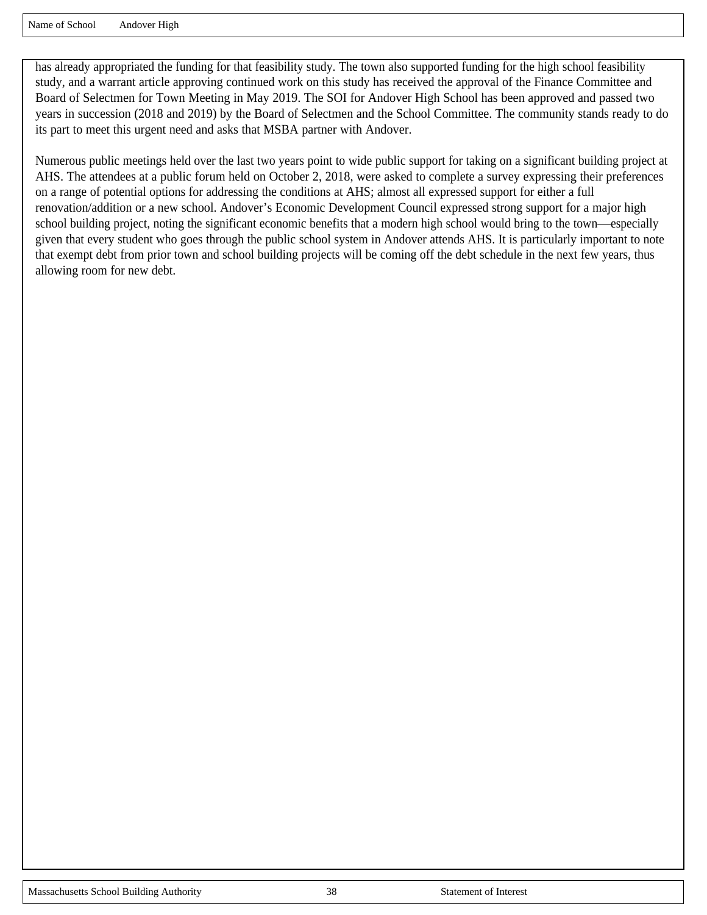has already appropriated the funding for that feasibility study. The town also supported funding for the high school feasibility study, and a warrant article approving continued work on this study has received the approval of the Finance Committee and Board of Selectmen for Town Meeting in May 2019. The SOI for Andover High School has been approved and passed two years in succession (2018 and 2019) by the Board of Selectmen and the School Committee. The community stands ready to do its part to meet this urgent need and asks that MSBA partner with Andover.

Numerous public meetings held over the last two years point to wide public support for taking on a significant building project at AHS. The attendees at a public forum held on October 2, 2018, were asked to complete a survey expressing their preferences on a range of potential options for addressing the conditions at AHS; almost all expressed support for either a full renovation/addition or a new school. Andover's Economic Development Council expressed strong support for a major high school building project, noting the significant economic benefits that a modern high school would bring to the town—especially given that every student who goes through the public school system in Andover attends AHS. It is particularly important to note that exempt debt from prior town and school building projects will be coming off the debt schedule in the next few years, thus allowing room for new debt.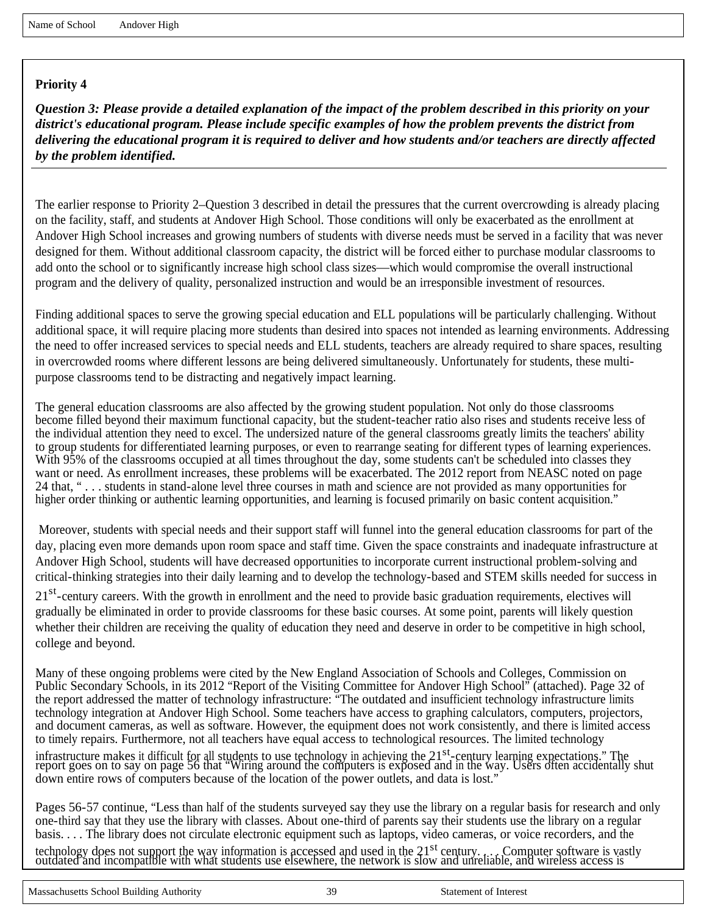*Question 3: Please provide a detailed explanation of the impact of the problem described in this priority on your district's educational program. Please include specific examples of how the problem prevents the district from delivering the educational program it is required to deliver and how students and/or teachers are directly affected by the problem identified.*

The earlier response to Priority 2–Question 3 described in detail the pressures that the current overcrowding is already placing on the facility, staff, and students at Andover High School. Those conditions will only be exacerbated as the enrollment at Andover High School increases and growing numbers of students with diverse needs must be served in a facility that was never designed for them. Without additional classroom capacity, the district will be forced either to purchase modular classrooms to add onto the school or to significantly increase high school class sizes—which would compromise the overall instructional program and the delivery of quality, personalized instruction and would be an irresponsible investment of resources.

Finding additional spaces to serve the growing special education and ELL populations will be particularly challenging. Without additional space, it will require placing more students than desired into spaces not intended as learning environments. Addressing the need to offer increased services to special needs and ELL students, teachers are already required to share spaces, resulting in overcrowded rooms where different lessons are being delivered simultaneously. Unfortunately for students, these multipurpose classrooms tend to be distracting and negatively impact learning.

The general education classrooms are also affected by the growing student population. Not only do those classrooms become filled beyond their maximum functional capacity, but the student-teacher ratio also rises and students receive less of the individual attention they need to excel. The undersized nature of the general classrooms greatly limits the teachers' ability to group students for differentiated learning purposes, or even to rearrange seating for different types of learning experiences. With 95% of the classrooms occupied at all times throughout the day, some students can't be scheduled into classes they want or need. As enrollment increases, these problems will be exacerbated. The 2012 report from NEASC noted on page 24 that, " . . . students in stand-alone level three courses in math and science are not provided as many opportunities for higher order thinking or authentic learning opportunities, and learning is focused primarily on basic content acquisition."

Moreover, students with special needs and their support staff will funnel into the general education classrooms for part of the day, placing even more demands upon room space and staff time. Given the space constraints and inadequate infrastructure at Andover High School, students will have decreased opportunities to incorporate current instructional problem-solving and critical-thinking strategies into their daily learning and to develop the technology-based and STEM skills needed for success in

21<sup>st</sup>-century careers. With the growth in enrollment and the need to provide basic graduation requirements, electives will gradually be eliminated in order to provide classrooms for these basic courses. At some point, parents will likely question whether their children are receiving the quality of education they need and deserve in order to be competitive in high school, college and beyond.

Many of these ongoing problems were cited by the New England Association of Schools and Colleges, Commission on Public Secondary Schools, in its 2012 "Report of the Visiting Committee for Andover High School" (attached). Page 32 of the report addressed the matter of technology infrastructure: "The outdated and insufficient technology infrastructure limits technology integration at Andover High School. Some teachers have access to graphing calculators, computers, projectors, and document cameras, as well as software. However, the equipment does not work consistently, and there is limited access to timely repairs. Furthermore, not all teachers have equal access to technological resources. The limited technology

infrastructure makes it difficult for all students to use technology in achieving the 21<sup>st</sup>-century learning expectations." The<br>report goes on to say on page 56 that "Wiring around the computers is exposed and in the way. down entire rows of computers because of the location of the power outlets, and data is lost."

Pages 56-57 continue, "Less than half of the students surveyed say they use the library on a regular basis for research and only one-third say that they use the library with classes. About one-third of parents say their students use the library on a regular basis. . . . The library does not circulate electronic equipment such as laptops, video cameras, or voice recorders, and the

technology does not support the way information is accessed and used in the 21<sup>st</sup> century. ... Computer software is vastly<br>outdated and incompatible with what students use elsewhere, the network is slow and unreliable, an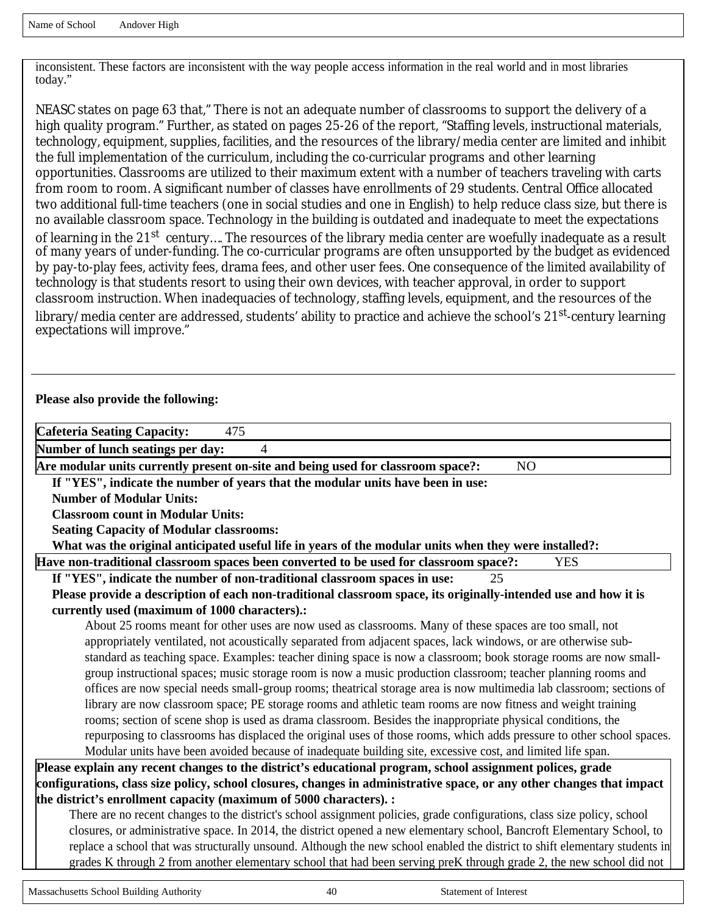inconsistent. These factors are inconsistent with the way people access information in the real world and in most libraries today."

NEASC states on page 63 that," There is not an adequate number of classrooms to support the delivery of a high quality program." Further, as stated on pages 25-26 of the report, "Staffing levels, instructional materials, technology, equipment, supplies, facilities, and the resources of the library/media center are limited and inhibit the full implementation of the curriculum, including the co-curricular programs and other learning opportunities. Classrooms are utilized to their maximum extent with a number of teachers traveling with carts from room to room. A significant number of classes have enrollments of 29 students. Central Office allocated two additional full-time teachers (one in social studies and one in English) to help reduce class size, but there is no available classroom space. Technology in the building is outdated and inadequate to meet the expectations of learning in the 21st century.... The resources of the library media center are woefully inadequate as a result of many years of under-funding. The co-curricular programs are often unsupported by the budget as evidenced by pay-to-play fees, activity fees, drama fees, and other user fees. One consequence of the limited availability of technology is that students resort to using their own devices, with teacher approval, in order to support classroom instruction. When inadequacies of technology, staffing levels, equipment, and the resources of the library/media center are addressed, students' ability to practice and achieve the school's 21<sup>st</sup>-century learning expectations will improve."

#### **Please also provide the following:**

| <b>Cafeteria Seating Capacity:</b><br>475                                                                                    |  |  |  |  |
|------------------------------------------------------------------------------------------------------------------------------|--|--|--|--|
| Number of lunch seatings per day:<br>4                                                                                       |  |  |  |  |
| Are modular units currently present on-site and being used for classroom space?:<br>N <sub>O</sub>                           |  |  |  |  |
| If "YES", indicate the number of years that the modular units have been in use:                                              |  |  |  |  |
| <b>Number of Modular Units:</b>                                                                                              |  |  |  |  |
| <b>Classroom count in Modular Units:</b>                                                                                     |  |  |  |  |
| <b>Seating Capacity of Modular classrooms:</b>                                                                               |  |  |  |  |
| What was the original anticipated useful life in years of the modular units when they were installed?:                       |  |  |  |  |
| Have non-traditional classroom spaces been converted to be used for classroom space?:<br><b>YES</b>                          |  |  |  |  |
| If "YES", indicate the number of non-traditional classroom spaces in use:<br>25                                              |  |  |  |  |
| Please provide a description of each non-traditional classroom space, its originally-intended use and how it is              |  |  |  |  |
| currently used (maximum of 1000 characters).:                                                                                |  |  |  |  |
| About 25 rooms meant for other uses are now used as classrooms. Many of these spaces are too small, not                      |  |  |  |  |
| appropriately ventilated, not acoustically separated from adjacent spaces, lack windows, or are otherwise sub-               |  |  |  |  |
| standard as teaching space. Examples: teacher dining space is now a classroom; book storage rooms are now small-             |  |  |  |  |
| group instructional spaces; music storage room is now a music production classroom; teacher planning rooms and               |  |  |  |  |
| offices are now special needs small-group rooms; theatrical storage area is now multimedia lab classroom; sections of        |  |  |  |  |
| library are now classroom space; PE storage rooms and athletic team rooms are now fitness and weight training                |  |  |  |  |
| rooms; section of scene shop is used as drama classroom. Besides the inappropriate physical conditions, the                  |  |  |  |  |
| repurposing to classrooms has displaced the original uses of those rooms, which adds pressure to other school spaces.        |  |  |  |  |
| Modular units have been avoided because of inadequate building site, excessive cost, and limited life span.                  |  |  |  |  |
| Please explain any recent changes to the district's educational program, school assignment polices, grade                    |  |  |  |  |
| configurations, class size policy, school closures, changes in administrative space, or any other changes that impact        |  |  |  |  |
| the district's enrollment capacity (maximum of 5000 characters). :                                                           |  |  |  |  |
| There are no recent changes to the district's school assignment policies, grade configurations, class size policy, school    |  |  |  |  |
| closures, or administrative space. In 2014, the district opened a new elementary school, Bancroft Elementary School, to      |  |  |  |  |
| replace a school that was structurally unsound. Although the new school enabled the district to shift elementary students in |  |  |  |  |

grades K through 2 from another elementary school that had been serving preK through grade 2, the new school did not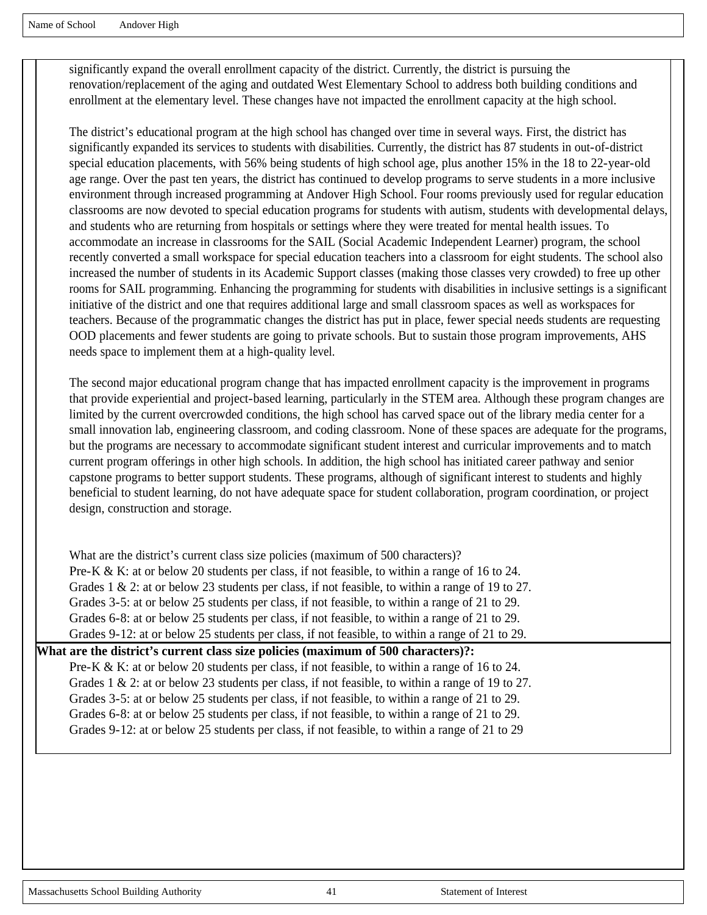significantly expand the overall enrollment capacity of the district. Currently, the district is pursuing the renovation/replacement of the aging and outdated West Elementary School to address both building conditions and enrollment at the elementary level. These changes have not impacted the enrollment capacity at the high school.

The district's educational program at the high school has changed over time in several ways. First, the district has significantly expanded its services to students with disabilities. Currently, the district has 87 students in out-of-district special education placements, with 56% being students of high school age, plus another 15% in the 18 to 22-year-old age range. Over the past ten years, the district has continued to develop programs to serve students in a more inclusive environment through increased programming at Andover High School. Four rooms previously used for regular education classrooms are now devoted to special education programs for students with autism, students with developmental delays, and students who are returning from hospitals or settings where they were treated for mental health issues. To accommodate an increase in classrooms for the SAIL (Social Academic Independent Learner) program, the school recently converted a small workspace for special education teachers into a classroom for eight students. The school also increased the number of students in its Academic Support classes (making those classes very crowded) to free up other rooms for SAIL programming. Enhancing the programming for students with disabilities in inclusive settings is a significant initiative of the district and one that requires additional large and small classroom spaces as well as workspaces for teachers. Because of the programmatic changes the district has put in place, fewer special needs students are requesting OOD placements and fewer students are going to private schools. But to sustain those program improvements, AHS needs space to implement them at a high-quality level.

The second major educational program change that has impacted enrollment capacity is the improvement in programs that provide experiential and project-based learning, particularly in the STEM area. Although these program changes are limited by the current overcrowded conditions, the high school has carved space out of the library media center for a small innovation lab, engineering classroom, and coding classroom. None of these spaces are adequate for the programs, but the programs are necessary to accommodate significant student interest and curricular improvements and to match current program offerings in other high schools. In addition, the high school has initiated career pathway and senior capstone programs to better support students. These programs, although of significant interest to students and highly beneficial to student learning, do not have adequate space for student collaboration, program coordination, or project design, construction and storage.

What are the district's current class size policies (maximum of 500 characters)? Pre-K & K: at or below 20 students per class, if not feasible, to within a range of 16 to 24. Grades 1 & 2: at or below 23 students per class, if not feasible, to within a range of 19 to 27. Grades 3-5: at or below 25 students per class, if not feasible, to within a range of 21 to 29. Grades 6-8: at or below 25 students per class, if not feasible, to within a range of 21 to 29. Grades 9-12: at or below 25 students per class, if not feasible, to within a range of 21 to 29.

**What are the district's current class size policies (maximum of 500 characters)?:**  Pre-K & K: at or below 20 students per class, if not feasible, to within a range of 16 to 24. Grades 1 & 2: at or below 23 students per class, if not feasible, to within a range of 19 to 27. Grades 3-5: at or below 25 students per class, if not feasible, to within a range of 21 to 29. Grades 6-8: at or below 25 students per class, if not feasible, to within a range of 21 to 29. Grades 9-12: at or below 25 students per class, if not feasible, to within a range of 21 to 29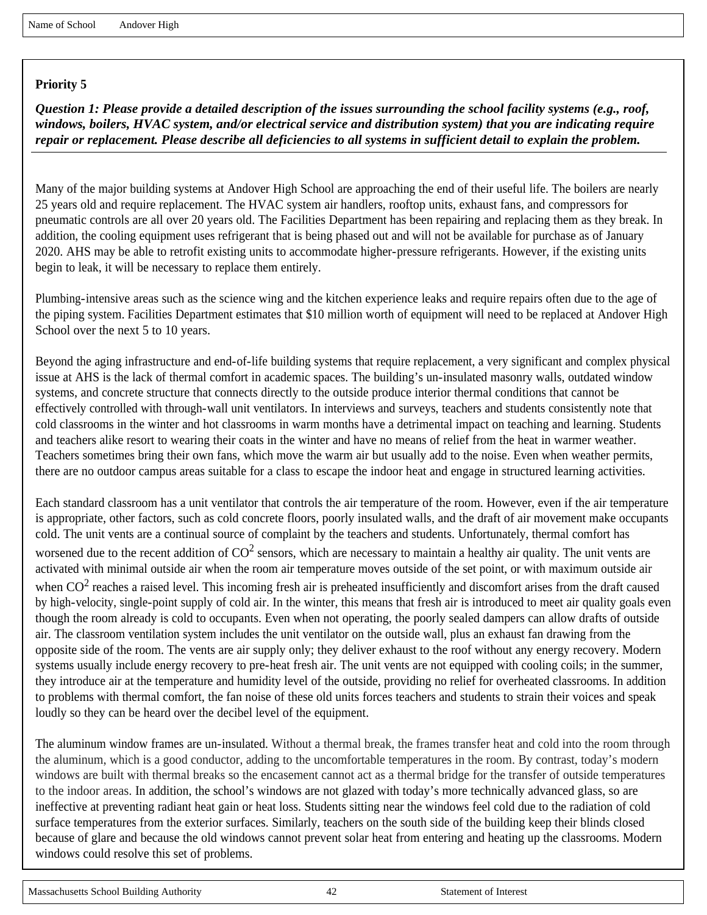*Question 1: Please provide a detailed description of the issues surrounding the school facility systems (e.g., roof, windows, boilers, HVAC system, and/or electrical service and distribution system) that you are indicating require repair or replacement. Please describe all deficiencies to all systems in sufficient detail to explain the problem.*

Many of the major building systems at Andover High School are approaching the end of their useful life. The boilers are nearly 25 years old and require replacement. The HVAC system air handlers, rooftop units, exhaust fans, and compressors for pneumatic controls are all over 20 years old. The Facilities Department has been repairing and replacing them as they break. In addition, the cooling equipment uses refrigerant that is being phased out and will not be available for purchase as of January 2020. AHS may be able to retrofit existing units to accommodate higher-pressure refrigerants. However, if the existing units begin to leak, it will be necessary to replace them entirely.

Plumbing-intensive areas such as the science wing and the kitchen experience leaks and require repairs often due to the age of the piping system. Facilities Department estimates that \$10 million worth of equipment will need to be replaced at Andover High School over the next 5 to 10 years.

Beyond the aging infrastructure and end-of-life building systems that require replacement, a very significant and complex physical issue at AHS is the lack of thermal comfort in academic spaces. The building's un-insulated masonry walls, outdated window systems, and concrete structure that connects directly to the outside produce interior thermal conditions that cannot be effectively controlled with through-wall unit ventilators. In interviews and surveys, teachers and students consistently note that cold classrooms in the winter and hot classrooms in warm months have a detrimental impact on teaching and learning. Students and teachers alike resort to wearing their coats in the winter and have no means of relief from the heat in warmer weather. Teachers sometimes bring their own fans, which move the warm air but usually add to the noise. Even when weather permits, there are no outdoor campus areas suitable for a class to escape the indoor heat and engage in structured learning activities.

Each standard classroom has a unit ventilator that controls the air temperature of the room. However, even if the air temperature is appropriate, other factors, such as cold concrete floors, poorly insulated walls, and the draft of air movement make occupants cold. The unit vents are a continual source of complaint by the teachers and students. Unfortunately, thermal comfort has worsened due to the recent addition of  $CO^2$  sensors, which are necessary to maintain a healthy air quality. The unit vents are activated with minimal outside air when the room air temperature moves outside of the set point, or with maximum outside air when  $CO<sup>2</sup>$  reaches a raised level. This incoming fresh air is preheated insufficiently and discomfort arises from the draft caused by high-velocity, single-point supply of cold air. In the winter, this means that fresh air is introduced to meet air quality goals even though the room already is cold to occupants. Even when not operating, the poorly sealed dampers can allow drafts of outside air. The classroom ventilation system includes the unit ventilator on the outside wall, plus an exhaust fan drawing from the opposite side of the room. The vents are air supply only; they deliver exhaust to the roof without any energy recovery. Modern systems usually include energy recovery to pre-heat fresh air. The unit vents are not equipped with cooling coils; in the summer, they introduce air at the temperature and humidity level of the outside, providing no relief for overheated classrooms. In addition to problems with thermal comfort, the fan noise of these old units forces teachers and students to strain their voices and speak loudly so they can be heard over the decibel level of the equipment.

The aluminum window frames are un-insulated. Without a thermal break, the frames transfer heat and cold into the room through the aluminum, which is a good conductor, adding to the uncomfortable temperatures in the room. By contrast, today's modern windows are built with thermal breaks so the encasement cannot act as a thermal bridge for the transfer of outside temperatures to the indoor areas. In addition, the school's windows are not glazed with today's more technically advanced glass, so are ineffective at preventing radiant heat gain or heat loss. Students sitting near the windows feel cold due to the radiation of cold surface temperatures from the exterior surfaces. Similarly, teachers on the south side of the building keep their blinds closed because of glare and because the old windows cannot prevent solar heat from entering and heating up the classrooms. Modern windows could resolve this set of problems.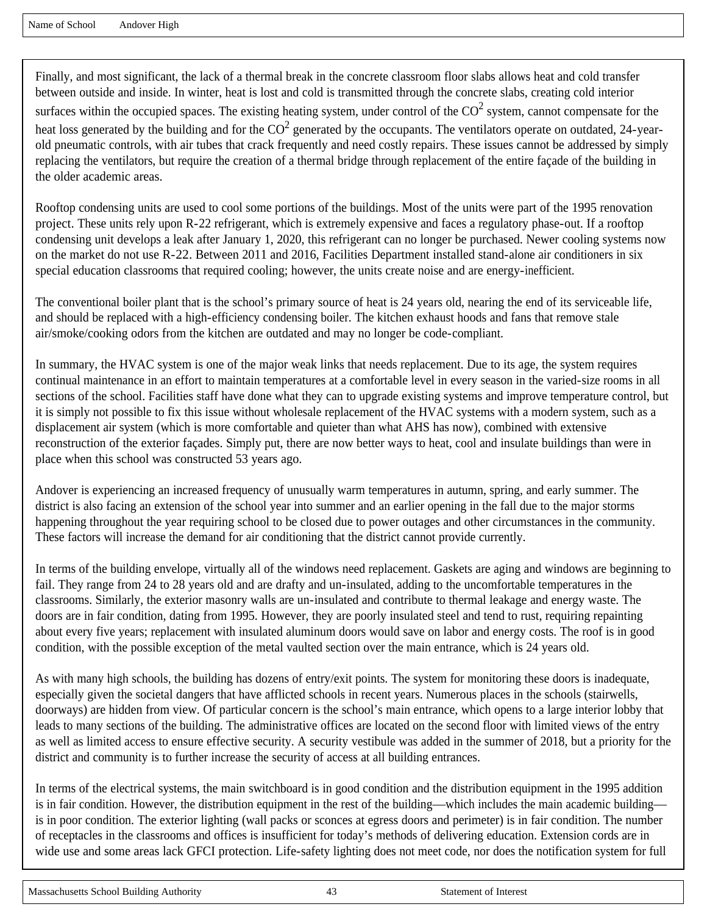Name of School Andover High

Finally, and most significant, the lack of a thermal break in the concrete classroom floor slabs allows heat and cold transfer between outside and inside. In winter, heat is lost and cold is transmitted through the concrete slabs, creating cold interior surfaces within the occupied spaces. The existing heating system, under control of the  $CO<sup>2</sup>$  system, cannot compensate for the heat loss generated by the building and for the  $CO^2$  generated by the occupants. The ventilators operate on outdated, 24-yearold pneumatic controls, with air tubes that crack frequently and need costly repairs. These issues cannot be addressed by simply replacing the ventilators, but require the creation of a thermal bridge through replacement of the entire façade of the building in the older academic areas.

Rooftop condensing units are used to cool some portions of the buildings. Most of the units were part of the 1995 renovation project. These units rely upon R-22 refrigerant, which is extremely expensive and faces a regulatory phase-out. If a rooftop condensing unit develops a leak after January 1, 2020, this refrigerant can no longer be purchased. Newer cooling systems now on the market do not use R-22. Between 2011 and 2016, Facilities Department installed stand-alone air conditioners in six special education classrooms that required cooling; however, the units create noise and are energy-inefficient.

The conventional boiler plant that is the school's primary source of heat is 24 years old, nearing the end of its serviceable life, and should be replaced with a high-efficiency condensing boiler. The kitchen exhaust hoods and fans that remove stale air/smoke/cooking odors from the kitchen are outdated and may no longer be code-compliant.

In summary, the HVAC system is one of the major weak links that needs replacement. Due to its age, the system requires continual maintenance in an effort to maintain temperatures at a comfortable level in every season in the varied-size rooms in all sections of the school. Facilities staff have done what they can to upgrade existing systems and improve temperature control, but it is simply not possible to fix this issue without wholesale replacement of the HVAC systems with a modern system, such as a displacement air system (which is more comfortable and quieter than what AHS has now), combined with extensive reconstruction of the exterior façades. Simply put, there are now better ways to heat, cool and insulate buildings than were in place when this school was constructed 53 years ago.

Andover is experiencing an increased frequency of unusually warm temperatures in autumn, spring, and early summer. The district is also facing an extension of the school year into summer and an earlier opening in the fall due to the major storms happening throughout the year requiring school to be closed due to power outages and other circumstances in the community. These factors will increase the demand for air conditioning that the district cannot provide currently.

In terms of the building envelope, virtually all of the windows need replacement. Gaskets are aging and windows are beginning to fail. They range from 24 to 28 years old and are drafty and un-insulated, adding to the uncomfortable temperatures in the classrooms. Similarly, the exterior masonry walls are un-insulated and contribute to thermal leakage and energy waste. The doors are in fair condition, dating from 1995. However, they are poorly insulated steel and tend to rust, requiring repainting about every five years; replacement with insulated aluminum doors would save on labor and energy costs. The roof is in good condition, with the possible exception of the metal vaulted section over the main entrance, which is 24 years old.

As with many high schools, the building has dozens of entry/exit points. The system for monitoring these doors is inadequate, especially given the societal dangers that have afflicted schools in recent years. Numerous places in the schools (stairwells, doorways) are hidden from view. Of particular concern is the school's main entrance, which opens to a large interior lobby that leads to many sections of the building. The administrative offices are located on the second floor with limited views of the entry as well as limited access to ensure effective security. A security vestibule was added in the summer of 2018, but a priority for the district and community is to further increase the security of access at all building entrances.

In terms of the electrical systems, the main switchboard is in good condition and the distribution equipment in the 1995 addition is in fair condition. However, the distribution equipment in the rest of the building—which includes the main academic building is in poor condition. The exterior lighting (wall packs or sconces at egress doors and perimeter) is in fair condition. The number of receptacles in the classrooms and offices is insufficient for today's methods of delivering education. Extension cords are in wide use and some areas lack GFCI protection. Life-safety lighting does not meet code, nor does the notification system for full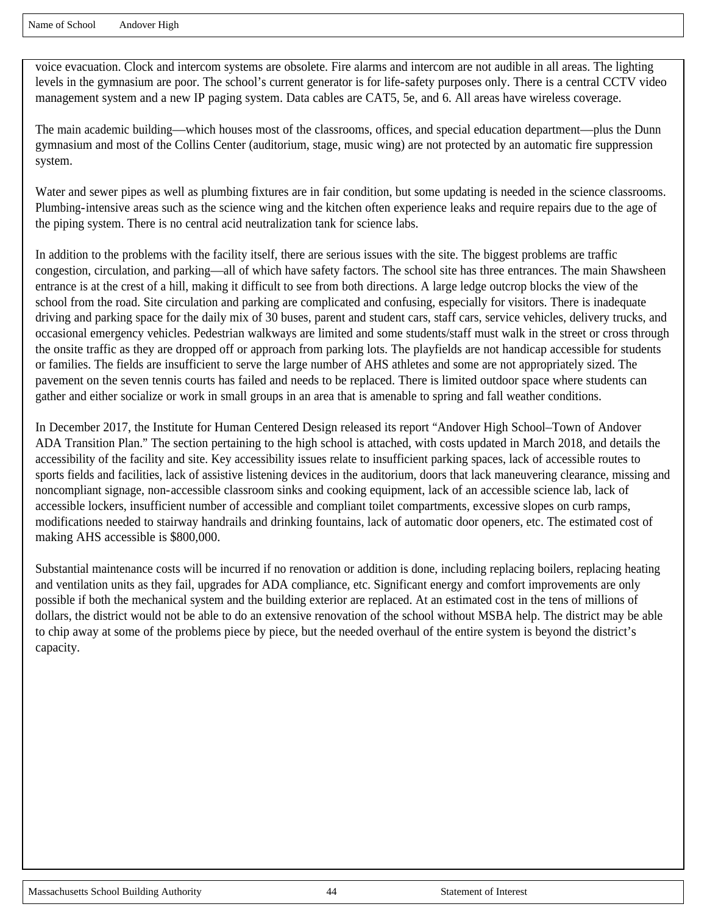Name of School Andover High

voice evacuation. Clock and intercom systems are obsolete. Fire alarms and intercom are not audible in all areas. The lighting levels in the gymnasium are poor. The school's current generator is for life-safety purposes only. There is a central CCTV video management system and a new IP paging system. Data cables are CAT5, 5e, and 6. All areas have wireless coverage.

The main academic building—which houses most of the classrooms, offices, and special education department—plus the Dunn gymnasium and most of the Collins Center (auditorium, stage, music wing) are not protected by an automatic fire suppression system.

Water and sewer pipes as well as plumbing fixtures are in fair condition, but some updating is needed in the science classrooms. Plumbing-intensive areas such as the science wing and the kitchen often experience leaks and require repairs due to the age of the piping system. There is no central acid neutralization tank for science labs.

In addition to the problems with the facility itself, there are serious issues with the site. The biggest problems are traffic congestion, circulation, and parking—all of which have safety factors. The school site has three entrances. The main Shawsheen entrance is at the crest of a hill, making it difficult to see from both directions. A large ledge outcrop blocks the view of the school from the road. Site circulation and parking are complicated and confusing, especially for visitors. There is inadequate driving and parking space for the daily mix of 30 buses, parent and student cars, staff cars, service vehicles, delivery trucks, and occasional emergency vehicles. Pedestrian walkways are limited and some students/staff must walk in the street or cross through the onsite traffic as they are dropped off or approach from parking lots. The playfields are not handicap accessible for students or families. The fields are insufficient to serve the large number of AHS athletes and some are not appropriately sized. The pavement on the seven tennis courts has failed and needs to be replaced. There is limited outdoor space where students can gather and either socialize or work in small groups in an area that is amenable to spring and fall weather conditions.

In December 2017, the Institute for Human Centered Design released its report "Andover High School–Town of Andover ADA Transition Plan." The section pertaining to the high school is attached, with costs updated in March 2018, and details the accessibility of the facility and site. Key accessibility issues relate to insufficient parking spaces, lack of accessible routes to sports fields and facilities, lack of assistive listening devices in the auditorium, doors that lack maneuvering clearance, missing and noncompliant signage, non-accessible classroom sinks and cooking equipment, lack of an accessible science lab, lack of accessible lockers, insufficient number of accessible and compliant toilet compartments, excessive slopes on curb ramps, modifications needed to stairway handrails and drinking fountains, lack of automatic door openers, etc. The estimated cost of making AHS accessible is \$800,000.

Substantial maintenance costs will be incurred if no renovation or addition is done, including replacing boilers, replacing heating and ventilation units as they fail, upgrades for ADA compliance, etc. Significant energy and comfort improvements are only possible if both the mechanical system and the building exterior are replaced. At an estimated cost in the tens of millions of dollars, the district would not be able to do an extensive renovation of the school without MSBA help. The district may be able to chip away at some of the problems piece by piece, but the needed overhaul of the entire system is beyond the district's capacity.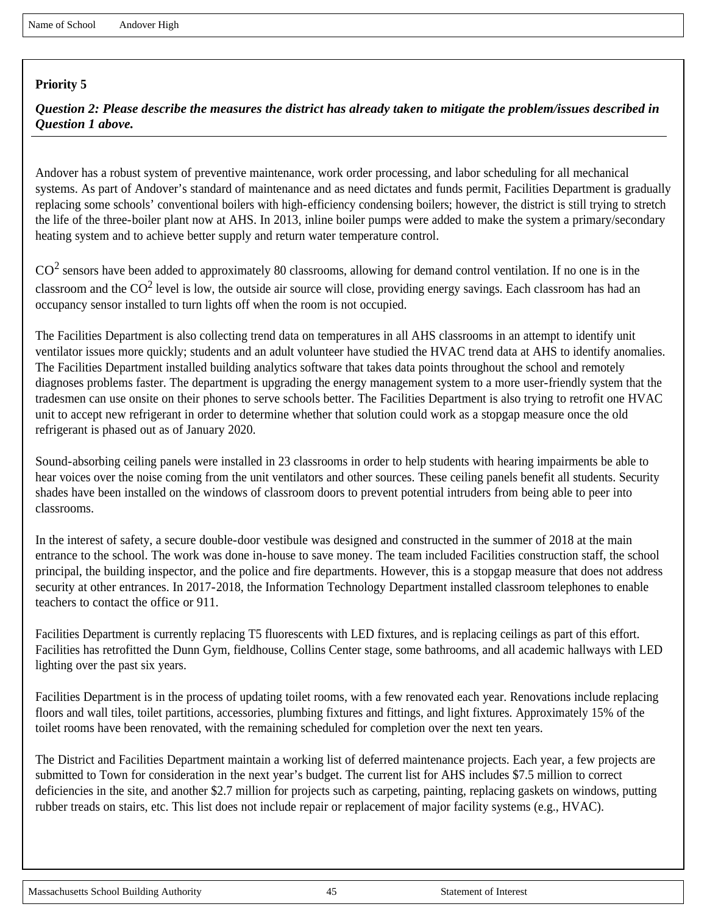*Question 2: Please describe the measures the district has already taken to mitigate the problem/issues described in Question 1 above.*

Andover has a robust system of preventive maintenance, work order processing, and labor scheduling for all mechanical systems. As part of Andover's standard of maintenance and as need dictates and funds permit, Facilities Department is gradually replacing some schools' conventional boilers with high-efficiency condensing boilers; however, the district is still trying to stretch the life of the three-boiler plant now at AHS. In 2013, inline boiler pumps were added to make the system a primary/secondary heating system and to achieve better supply and return water temperature control.

 $CO<sup>2</sup>$  sensors have been added to approximately 80 classrooms, allowing for demand control ventilation. If no one is in the classroom and the  $CO<sup>2</sup>$  level is low, the outside air source will close, providing energy savings. Each classroom has had an occupancy sensor installed to turn lights off when the room is not occupied.

The Facilities Department is also collecting trend data on temperatures in all AHS classrooms in an attempt to identify unit ventilator issues more quickly; students and an adult volunteer have studied the HVAC trend data at AHS to identify anomalies. The Facilities Department installed building analytics software that takes data points throughout the school and remotely diagnoses problems faster. The department is upgrading the energy management system to a more user-friendly system that the tradesmen can use onsite on their phones to serve schools better. The Facilities Department is also trying to retrofit one HVAC unit to accept new refrigerant in order to determine whether that solution could work as a stopgap measure once the old refrigerant is phased out as of January 2020.

Sound-absorbing ceiling panels were installed in 23 classrooms in order to help students with hearing impairments be able to hear voices over the noise coming from the unit ventilators and other sources. These ceiling panels benefit all students. Security shades have been installed on the windows of classroom doors to prevent potential intruders from being able to peer into classrooms.

In the interest of safety, a secure double-door vestibule was designed and constructed in the summer of 2018 at the main entrance to the school. The work was done in-house to save money. The team included Facilities construction staff, the school principal, the building inspector, and the police and fire departments. However, this is a stopgap measure that does not address security at other entrances. In 2017-2018, the Information Technology Department installed classroom telephones to enable teachers to contact the office or 911.

Facilities Department is currently replacing T5 fluorescents with LED fixtures, and is replacing ceilings as part of this effort. Facilities has retrofitted the Dunn Gym, fieldhouse, Collins Center stage, some bathrooms, and all academic hallways with LED lighting over the past six years.

Facilities Department is in the process of updating toilet rooms, with a few renovated each year. Renovations include replacing floors and wall tiles, toilet partitions, accessories, plumbing fixtures and fittings, and light fixtures. Approximately 15% of the toilet rooms have been renovated, with the remaining scheduled for completion over the next ten years.

The District and Facilities Department maintain a working list of deferred maintenance projects. Each year, a few projects are submitted to Town for consideration in the next year's budget. The current list for AHS includes \$7.5 million to correct deficiencies in the site, and another \$2.7 million for projects such as carpeting, painting, replacing gaskets on windows, putting rubber treads on stairs, etc. This list does not include repair or replacement of major facility systems (e.g., HVAC).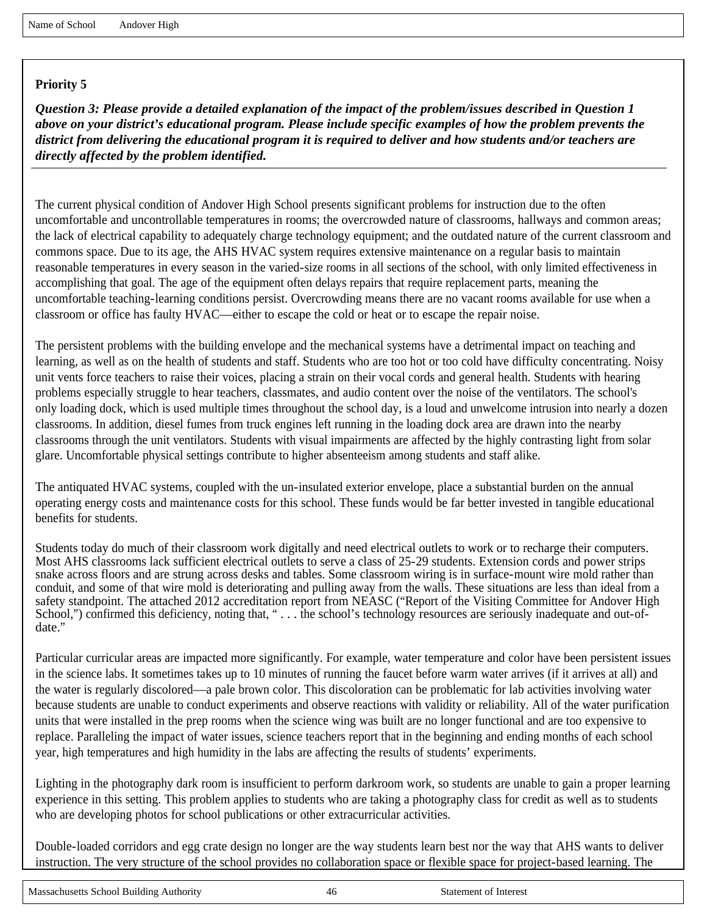*Question 3: Please provide a detailed explanation of the impact of the problem/issues described in Question 1 above on your district's educational program. Please include specific examples of how the problem prevents the district from delivering the educational program it is required to deliver and how students and/or teachers are directly affected by the problem identified.*

The current physical condition of Andover High School presents significant problems for instruction due to the often uncomfortable and uncontrollable temperatures in rooms; the overcrowded nature of classrooms, hallways and common areas; the lack of electrical capability to adequately charge technology equipment; and the outdated nature of the current classroom and commons space. Due to its age, the AHS HVAC system requires extensive maintenance on a regular basis to maintain reasonable temperatures in every season in the varied-size rooms in all sections of the school, with only limited effectiveness in accomplishing that goal. The age of the equipment often delays repairs that require replacement parts, meaning the uncomfortable teaching-learning conditions persist. Overcrowding means there are no vacant rooms available for use when a classroom or office has faulty HVAC—either to escape the cold or heat or to escape the repair noise.

The persistent problems with the building envelope and the mechanical systems have a detrimental impact on teaching and learning, as well as on the health of students and staff. Students who are too hot or too cold have difficulty concentrating. Noisy unit vents force teachers to raise their voices, placing a strain on their vocal cords and general health. Students with hearing problems especially struggle to hear teachers, classmates, and audio content over the noise of the ventilators. The school's only loading dock, which is used multiple times throughout the school day, is a loud and unwelcome intrusion into nearly a dozen classrooms. In addition, diesel fumes from truck engines left running in the loading dock area are drawn into the nearby classrooms through the unit ventilators. Students with visual impairments are affected by the highly contrasting light from solar glare. Uncomfortable physical settings contribute to higher absenteeism among students and staff alike.

The antiquated HVAC systems, coupled with the un-insulated exterior envelope, place a substantial burden on the annual operating energy costs and maintenance costs for this school. These funds would be far better invested in tangible educational benefits for students.

Students today do much of their classroom work digitally and need electrical outlets to work or to recharge their computers. Most AHS classrooms lack sufficient electrical outlets to serve a class of 25-29 students. Extension cords and power strips snake across floors and are strung across desks and tables. Some classroom wiring is in surface-mount wire mold rather than conduit, and some of that wire mold is deteriorating and pulling away from the walls. These situations are less than ideal from a safety standpoint. The attached 2012 accreditation report from NEASC ("Report of the Visiting Committee for Andover High School,") confirmed this deficiency, noting that, "... the school's technology resources are seriously inadequate and out-ofdate."

Particular curricular areas are impacted more significantly. For example, water temperature and color have been persistent issues in the science labs. It sometimes takes up to 10 minutes of running the faucet before warm water arrives (if it arrives at all) and the water is regularly discolored—a pale brown color. This discoloration can be problematic for lab activities involving water because students are unable to conduct experiments and observe reactions with validity or reliability. All of the water purification units that were installed in the prep rooms when the science wing was built are no longer functional and are too expensive to replace. Paralleling the impact of water issues, science teachers report that in the beginning and ending months of each school year, high temperatures and high humidity in the labs are affecting the results of students' experiments.

Lighting in the photography dark room is insufficient to perform darkroom work, so students are unable to gain a proper learning experience in this setting. This problem applies to students who are taking a photography class for credit as well as to students who are developing photos for school publications or other extracurricular activities.

Double-loaded corridors and egg crate design no longer are the way students learn best nor the way that AHS wants to deliver instruction. The very structure of the school provides no collaboration space or flexible space for project-based learning. The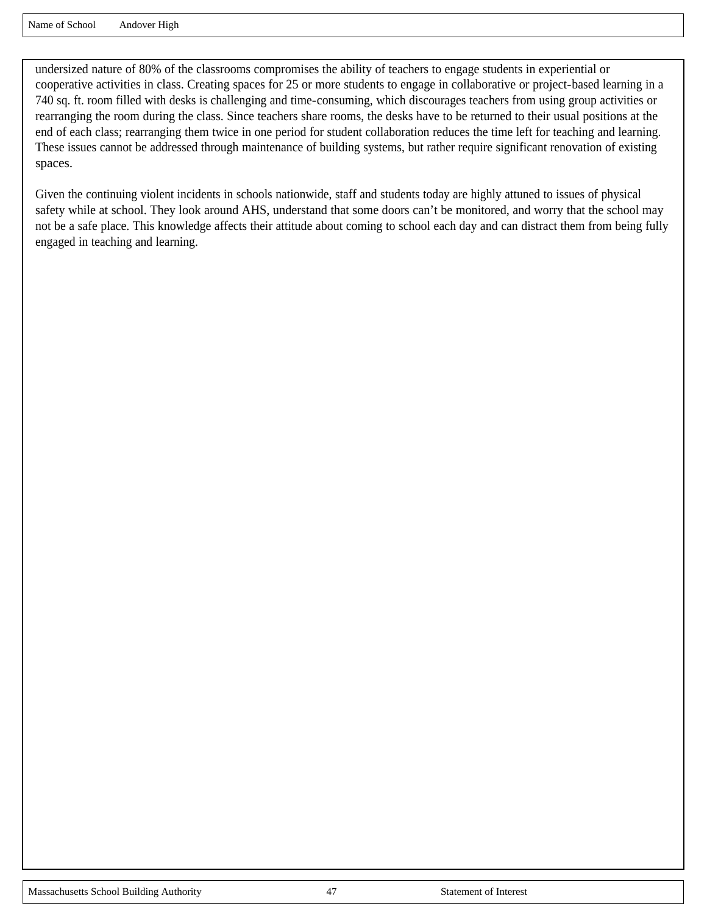undersized nature of 80% of the classrooms compromises the ability of teachers to engage students in experiential or cooperative activities in class. Creating spaces for 25 or more students to engage in collaborative or project-based learning in a 740 sq. ft. room filled with desks is challenging and time-consuming, which discourages teachers from using group activities or rearranging the room during the class. Since teachers share rooms, the desks have to be returned to their usual positions at the end of each class; rearranging them twice in one period for student collaboration reduces the time left for teaching and learning. These issues cannot be addressed through maintenance of building systems, but rather require significant renovation of existing spaces.

Given the continuing violent incidents in schools nationwide, staff and students today are highly attuned to issues of physical safety while at school. They look around AHS, understand that some doors can't be monitored, and worry that the school may not be a safe place. This knowledge affects their attitude about coming to school each day and can distract them from being fully engaged in teaching and learning.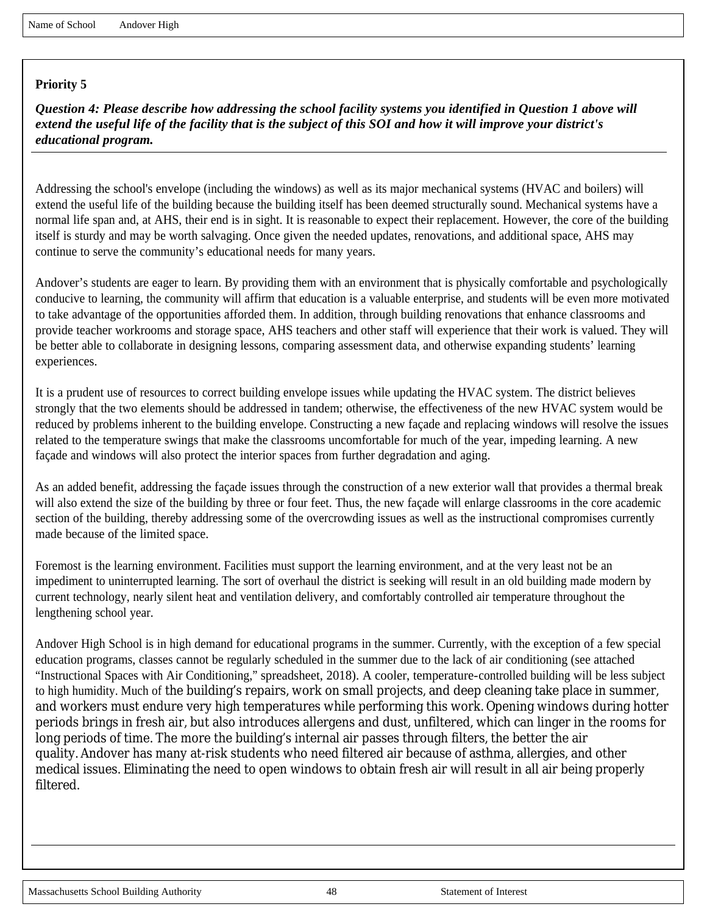*Question 4: Please describe how addressing the school facility systems you identified in Question 1 above will extend the useful life of the facility that is the subject of this SOI and how it will improve your district's educational program.*

Addressing the school's envelope (including the windows) as well as its major mechanical systems (HVAC and boilers) will extend the useful life of the building because the building itself has been deemed structurally sound. Mechanical systems have a normal life span and, at AHS, their end is in sight. It is reasonable to expect their replacement. However, the core of the building itself is sturdy and may be worth salvaging. Once given the needed updates, renovations, and additional space, AHS may continue to serve the community's educational needs for many years.

Andover's students are eager to learn. By providing them with an environment that is physically comfortable and psychologically conducive to learning, the community will affirm that education is a valuable enterprise, and students will be even more motivated to take advantage of the opportunities afforded them. In addition, through building renovations that enhance classrooms and provide teacher workrooms and storage space, AHS teachers and other staff will experience that their work is valued. They will be better able to collaborate in designing lessons, comparing assessment data, and otherwise expanding students' learning experiences.

It is a prudent use of resources to correct building envelope issues while updating the HVAC system. The district believes strongly that the two elements should be addressed in tandem; otherwise, the effectiveness of the new HVAC system would be reduced by problems inherent to the building envelope. Constructing a new façade and replacing windows will resolve the issues related to the temperature swings that make the classrooms uncomfortable for much of the year, impeding learning. A new façade and windows will also protect the interior spaces from further degradation and aging.

As an added benefit, addressing the façade issues through the construction of a new exterior wall that provides a thermal break will also extend the size of the building by three or four feet. Thus, the new façade will enlarge classrooms in the core academic section of the building, thereby addressing some of the overcrowding issues as well as the instructional compromises currently made because of the limited space.

Foremost is the learning environment. Facilities must support the learning environment, and at the very least not be an impediment to uninterrupted learning. The sort of overhaul the district is seeking will result in an old building made modern by current technology, nearly silent heat and ventilation delivery, and comfortably controlled air temperature throughout the lengthening school year.

Andover High School is in high demand for educational programs in the summer. Currently, with the exception of a few special education programs, classes cannot be regularly scheduled in the summer due to the lack of air conditioning (see attached "Instructional Spaces with Air Conditioning," spreadsheet, 2018). A cooler, temperature-controlled building will be less subject to high humidity. Much of the building's repairs, work on small projects, and deep cleaning take place in summer, and workers must endure very high temperatures while performing this work. Opening windows during hotter periods brings in fresh air, but also introduces allergens and dust, unfiltered, which can linger in the rooms for long periods of time. The more the building's internal air passes through filters, the better the air quality. Andover has many at-risk students who need filtered air because of asthma, allergies, and other medical issues. Eliminating the need to open windows to obtain fresh air will result in all air being properly filtered.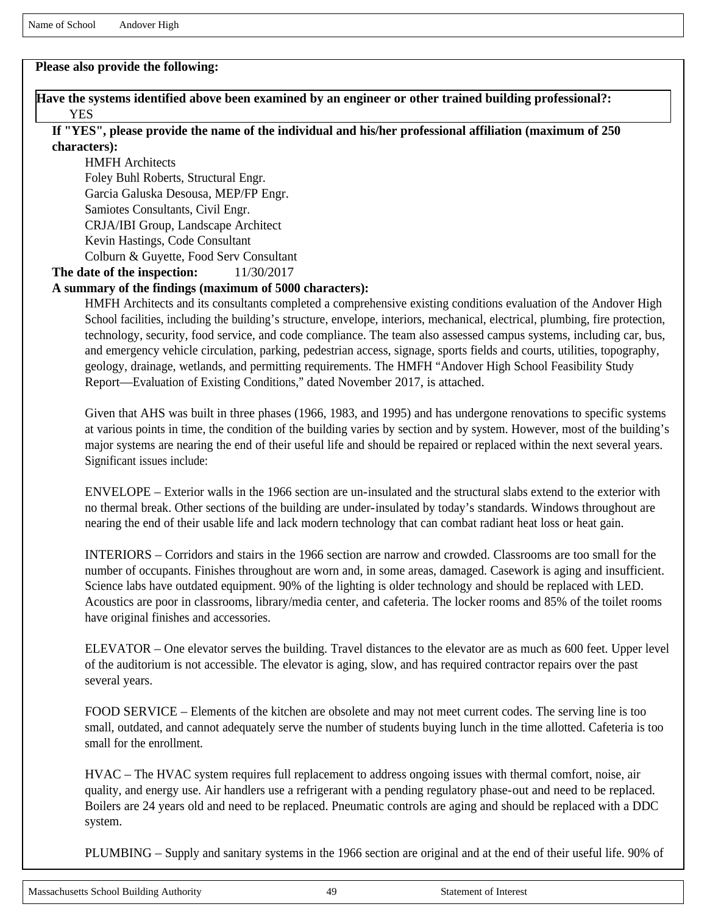# **Please also provide the following:**

## **Have the systems identified above been examined by an engineer or other trained building professional?:**  YES

## **If "YES", please provide the name of the individual and his/her professional affiliation (maximum of 250 characters):**

HMFH Architects Foley Buhl Roberts, Structural Engr. Garcia Galuska Desousa, MEP/FP Engr. Samiotes Consultants, Civil Engr. CRJA/IBI Group, Landscape Architect Kevin Hastings, Code Consultant Colburn & Guyette, Food Serv Consultant **The date of the inspection:** 11/30/2017

# **A summary of the findings (maximum of 5000 characters):**

HMFH Architects and its consultants completed a comprehensive existing conditions evaluation of the Andover High School facilities, including the building's structure, envelope, interiors, mechanical, electrical, plumbing, fire protection, technology, security, food service, and code compliance. The team also assessed campus systems, including car, bus, and emergency vehicle circulation, parking, pedestrian access, signage, sports fields and courts, utilities, topography, geology, drainage, wetlands, and permitting requirements. The HMFH "Andover High School Feasibility Study Report—Evaluation of Existing Conditions," dated November 2017, is attached.

Given that AHS was built in three phases (1966, 1983, and 1995) and has undergone renovations to specific systems at various points in time, the condition of the building varies by section and by system. However, most of the building's major systems are nearing the end of their useful life and should be repaired or replaced within the next several years. Significant issues include:

ENVELOPE – Exterior walls in the 1966 section are un-insulated and the structural slabs extend to the exterior with no thermal break. Other sections of the building are under-insulated by today's standards. Windows throughout are nearing the end of their usable life and lack modern technology that can combat radiant heat loss or heat gain.

INTERIORS – Corridors and stairs in the 1966 section are narrow and crowded. Classrooms are too small for the number of occupants. Finishes throughout are worn and, in some areas, damaged. Casework is aging and insufficient. Science labs have outdated equipment. 90% of the lighting is older technology and should be replaced with LED. Acoustics are poor in classrooms, library/media center, and cafeteria. The locker rooms and 85% of the toilet rooms have original finishes and accessories.

ELEVATOR – One elevator serves the building. Travel distances to the elevator are as much as 600 feet. Upper level of the auditorium is not accessible. The elevator is aging, slow, and has required contractor repairs over the past several years.

FOOD SERVICE – Elements of the kitchen are obsolete and may not meet current codes. The serving line is too small, outdated, and cannot adequately serve the number of students buying lunch in the time allotted. Cafeteria is too small for the enrollment.

HVAC – The HVAC system requires full replacement to address ongoing issues with thermal comfort, noise, air quality, and energy use. Air handlers use a refrigerant with a pending regulatory phase-out and need to be replaced. Boilers are 24 years old and need to be replaced. Pneumatic controls are aging and should be replaced with a DDC system.

PLUMBING – Supply and sanitary systems in the 1966 section are original and at the end of their useful life. 90% of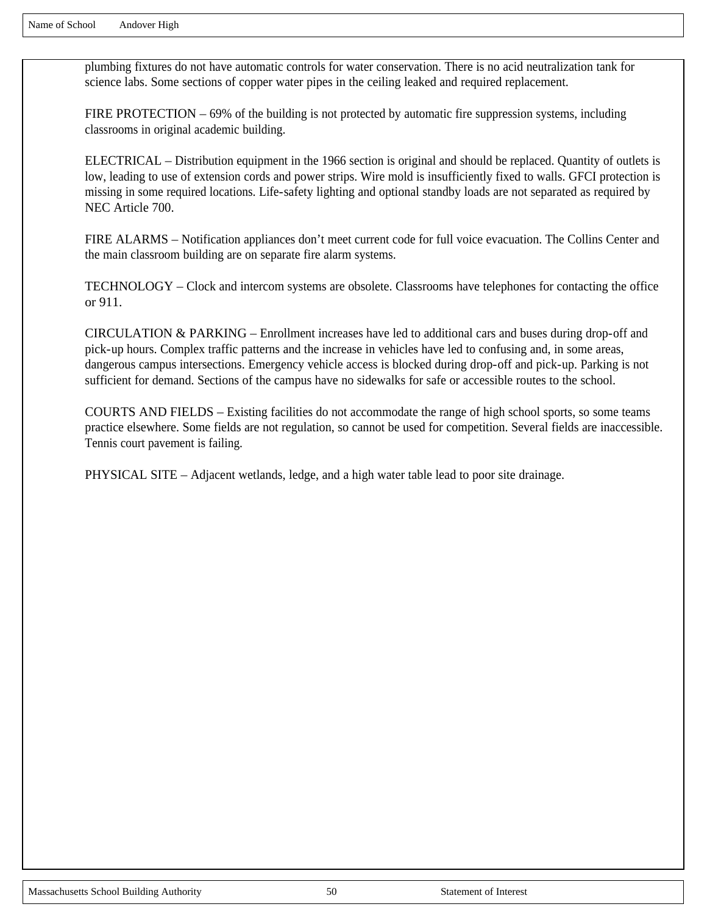plumbing fixtures do not have automatic controls for water conservation. There is no acid neutralization tank for science labs. Some sections of copper water pipes in the ceiling leaked and required replacement.

FIRE PROTECTION – 69% of the building is not protected by automatic fire suppression systems, including classrooms in original academic building.

ELECTRICAL – Distribution equipment in the 1966 section is original and should be replaced. Quantity of outlets is low, leading to use of extension cords and power strips. Wire mold is insufficiently fixed to walls. GFCI protection is missing in some required locations. Life-safety lighting and optional standby loads are not separated as required by NEC Article 700.

FIRE ALARMS – Notification appliances don't meet current code for full voice evacuation. The Collins Center and the main classroom building are on separate fire alarm systems.

TECHNOLOGY – Clock and intercom systems are obsolete. Classrooms have telephones for contacting the office or 911.

CIRCULATION & PARKING – Enrollment increases have led to additional cars and buses during drop-off and pick-up hours. Complex traffic patterns and the increase in vehicles have led to confusing and, in some areas, dangerous campus intersections. Emergency vehicle access is blocked during drop-off and pick-up. Parking is not sufficient for demand. Sections of the campus have no sidewalks for safe or accessible routes to the school.

COURTS AND FIELDS – Existing facilities do not accommodate the range of high school sports, so some teams practice elsewhere. Some fields are not regulation, so cannot be used for competition. Several fields are inaccessible. Tennis court pavement is failing.

PHYSICAL SITE – Adjacent wetlands, ledge, and a high water table lead to poor site drainage.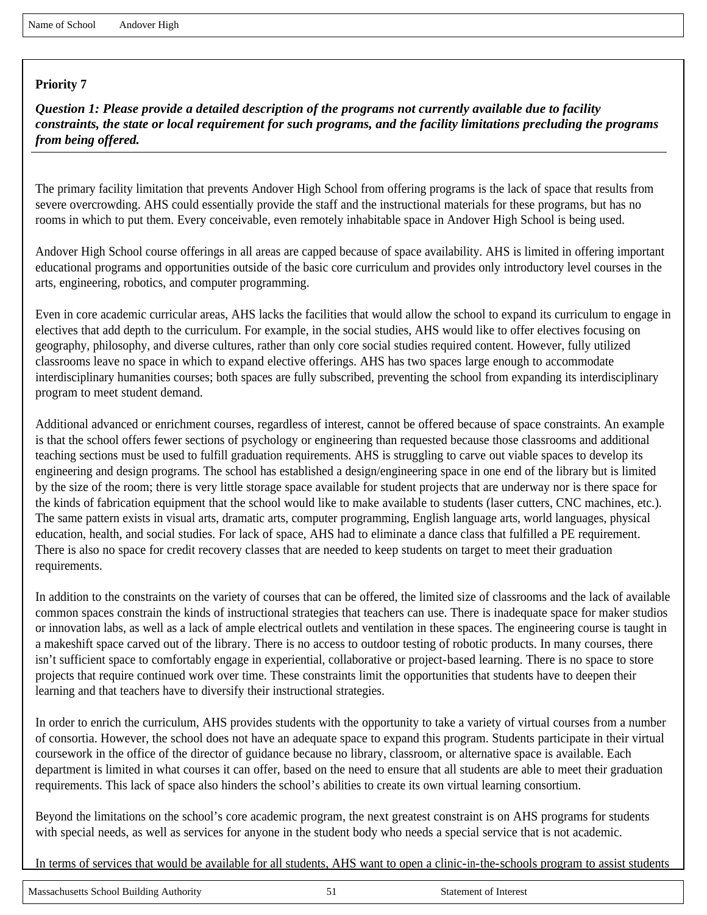*Question 1: Please provide a detailed description of the programs not currently available due to facility constraints, the state or local requirement for such programs, and the facility limitations precluding the programs from being offered.*

The primary facility limitation that prevents Andover High School from offering programs is the lack of space that results from severe overcrowding. AHS could essentially provide the staff and the instructional materials for these programs, but has no rooms in which to put them. Every conceivable, even remotely inhabitable space in Andover High School is being used.

Andover High School course offerings in all areas are capped because of space availability. AHS is limited in offering important educational programs and opportunities outside of the basic core curriculum and provides only introductory level courses in the arts, engineering, robotics, and computer programming.

Even in core academic curricular areas, AHS lacks the facilities that would allow the school to expand its curriculum to engage in electives that add depth to the curriculum. For example, in the social studies, AHS would like to offer electives focusing on geography, philosophy, and diverse cultures, rather than only core social studies required content. However, fully utilized classrooms leave no space in which to expand elective offerings. AHS has two spaces large enough to accommodate interdisciplinary humanities courses; both spaces are fully subscribed, preventing the school from expanding its interdisciplinary program to meet student demand.

Additional advanced or enrichment courses, regardless of interest, cannot be offered because of space constraints. An example is that the school offers fewer sections of psychology or engineering than requested because those classrooms and additional teaching sections must be used to fulfill graduation requirements. AHS is struggling to carve out viable spaces to develop its engineering and design programs. The school has established a design/engineering space in one end of the library but is limited by the size of the room; there is very little storage space available for student projects that are underway nor is there space for the kinds of fabrication equipment that the school would like to make available to students (laser cutters, CNC machines, etc.). The same pattern exists in visual arts, dramatic arts, computer programming, English language arts, world languages, physical education, health, and social studies. For lack of space, AHS had to eliminate a dance class that fulfilled a PE requirement. There is also no space for credit recovery classes that are needed to keep students on target to meet their graduation requirements.

In addition to the constraints on the variety of courses that can be offered, the limited size of classrooms and the lack of available common spaces constrain the kinds of instructional strategies that teachers can use. There is inadequate space for maker studios or innovation labs, as well as a lack of ample electrical outlets and ventilation in these spaces. The engineering course is taught in a makeshift space carved out of the library. There is no access to outdoor testing of robotic products. In many courses, there isn't sufficient space to comfortably engage in experiential, collaborative or project-based learning. There is no space to store projects that require continued work over time. These constraints limit the opportunities that students have to deepen their learning and that teachers have to diversify their instructional strategies.

In order to enrich the curriculum, AHS provides students with the opportunity to take a variety of virtual courses from a number of consortia. However, the school does not have an adequate space to expand this program. Students participate in their virtual coursework in the office of the director of guidance because no library, classroom, or alternative space is available. Each department is limited in what courses it can offer, based on the need to ensure that all students are able to meet their graduation requirements. This lack of space also hinders the school's abilities to create its own virtual learning consortium.

Beyond the limitations on the school's core academic program, the next greatest constraint is on AHS programs for students with special needs, as well as services for anyone in the student body who needs a special service that is not academic.

In terms of services that would be available for all students, AHS want to open a clinic-in-the-schools program to assist students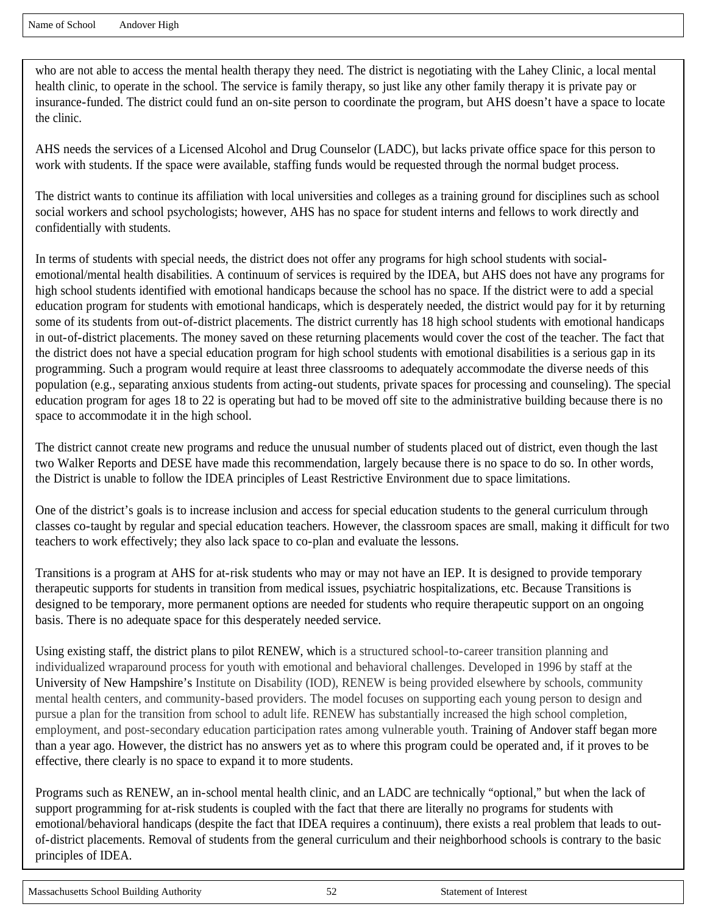who are not able to access the mental health therapy they need. The district is negotiating with the Lahey Clinic, a local mental health clinic, to operate in the school. The service is family therapy, so just like any other family therapy it is private pay or insurance-funded. The district could fund an on-site person to coordinate the program, but AHS doesn't have a space to locate the clinic.

AHS needs the services of a Licensed Alcohol and Drug Counselor (LADC), but lacks private office space for this person to work with students. If the space were available, staffing funds would be requested through the normal budget process.

The district wants to continue its affiliation with local universities and colleges as a training ground for disciplines such as school social workers and school psychologists; however, AHS has no space for student interns and fellows to work directly and confidentially with students.

In terms of students with special needs, the district does not offer any programs for high school students with socialemotional/mental health disabilities. A continuum of services is required by the IDEA, but AHS does not have any programs for high school students identified with emotional handicaps because the school has no space. If the district were to add a special education program for students with emotional handicaps, which is desperately needed, the district would pay for it by returning some of its students from out-of-district placements. The district currently has 18 high school students with emotional handicaps in out-of-district placements. The money saved on these returning placements would cover the cost of the teacher. The fact that the district does not have a special education program for high school students with emotional disabilities is a serious gap in its programming. Such a program would require at least three classrooms to adequately accommodate the diverse needs of this population (e.g., separating anxious students from acting-out students, private spaces for processing and counseling). The special education program for ages 18 to 22 is operating but had to be moved off site to the administrative building because there is no space to accommodate it in the high school.

The district cannot create new programs and reduce the unusual number of students placed out of district, even though the last two Walker Reports and DESE have made this recommendation, largely because there is no space to do so. In other words, the District is unable to follow the IDEA principles of Least Restrictive Environment due to space limitations.

One of the district's goals is to increase inclusion and access for special education students to the general curriculum through classes co-taught by regular and special education teachers. However, the classroom spaces are small, making it difficult for two teachers to work effectively; they also lack space to co-plan and evaluate the lessons.

Transitions is a program at AHS for at-risk students who may or may not have an IEP. It is designed to provide temporary therapeutic supports for students in transition from medical issues, psychiatric hospitalizations, etc. Because Transitions is designed to be temporary, more permanent options are needed for students who require therapeutic support on an ongoing basis. There is no adequate space for this desperately needed service.

Using existing staff, the district plans to pilot RENEW, which is a structured school-to-career transition planning and individualized wraparound process for youth with emotional and behavioral challenges. Developed in 1996 by staff at the University of New Hampshire's Institute on Disability (IOD), RENEW is being provided elsewhere by schools, community mental health centers, and community-based providers. The model focuses on supporting each young person to design and pursue a plan for the transition from school to adult life. RENEW has substantially increased the high school completion, employment, and post-secondary education participation rates among vulnerable youth. Training of Andover staff began more than a year ago. However, the district has no answers yet as to where this program could be operated and, if it proves to be effective, there clearly is no space to expand it to more students.

Programs such as RENEW, an in-school mental health clinic, and an LADC are technically "optional," but when the lack of support programming for at-risk students is coupled with the fact that there are literally no programs for students with emotional/behavioral handicaps (despite the fact that IDEA requires a continuum), there exists a real problem that leads to outof-district placements. Removal of students from the general curriculum and their neighborhood schools is contrary to the basic principles of IDEA.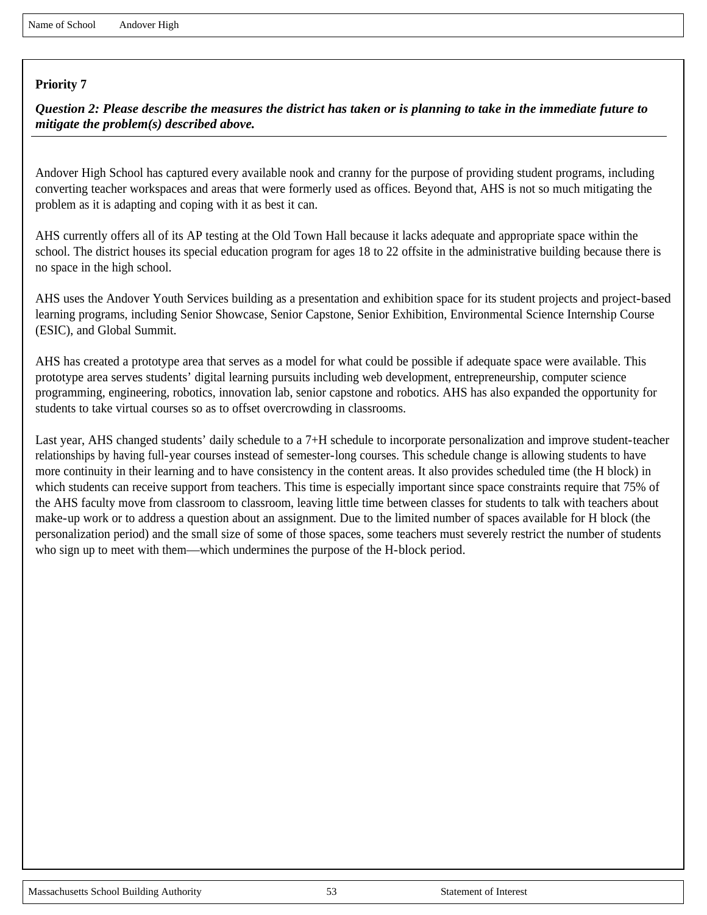*Question 2: Please describe the measures the district has taken or is planning to take in the immediate future to mitigate the problem(s) described above.*

Andover High School has captured every available nook and cranny for the purpose of providing student programs, including converting teacher workspaces and areas that were formerly used as offices. Beyond that, AHS is not so much mitigating the problem as it is adapting and coping with it as best it can.

AHS currently offers all of its AP testing at the Old Town Hall because it lacks adequate and appropriate space within the school. The district houses its special education program for ages 18 to 22 offsite in the administrative building because there is no space in the high school.

AHS uses the Andover Youth Services building as a presentation and exhibition space for its student projects and project-based learning programs, including Senior Showcase, Senior Capstone, Senior Exhibition, Environmental Science Internship Course (ESIC), and Global Summit.

AHS has created a prototype area that serves as a model for what could be possible if adequate space were available. This prototype area serves students' digital learning pursuits including web development, entrepreneurship, computer science programming, engineering, robotics, innovation lab, senior capstone and robotics. AHS has also expanded the opportunity for students to take virtual courses so as to offset overcrowding in classrooms.

Last year, AHS changed students' daily schedule to a 7+H schedule to incorporate personalization and improve student-teacher relationships by having full-year courses instead of semester-long courses. This schedule change is allowing students to have more continuity in their learning and to have consistency in the content areas. It also provides scheduled time (the H block) in which students can receive support from teachers. This time is especially important since space constraints require that 75% of the AHS faculty move from classroom to classroom, leaving little time between classes for students to talk with teachers about make-up work or to address a question about an assignment. Due to the limited number of spaces available for H block (the personalization period) and the small size of some of those spaces, some teachers must severely restrict the number of students who sign up to meet with them—which undermines the purpose of the H-block period.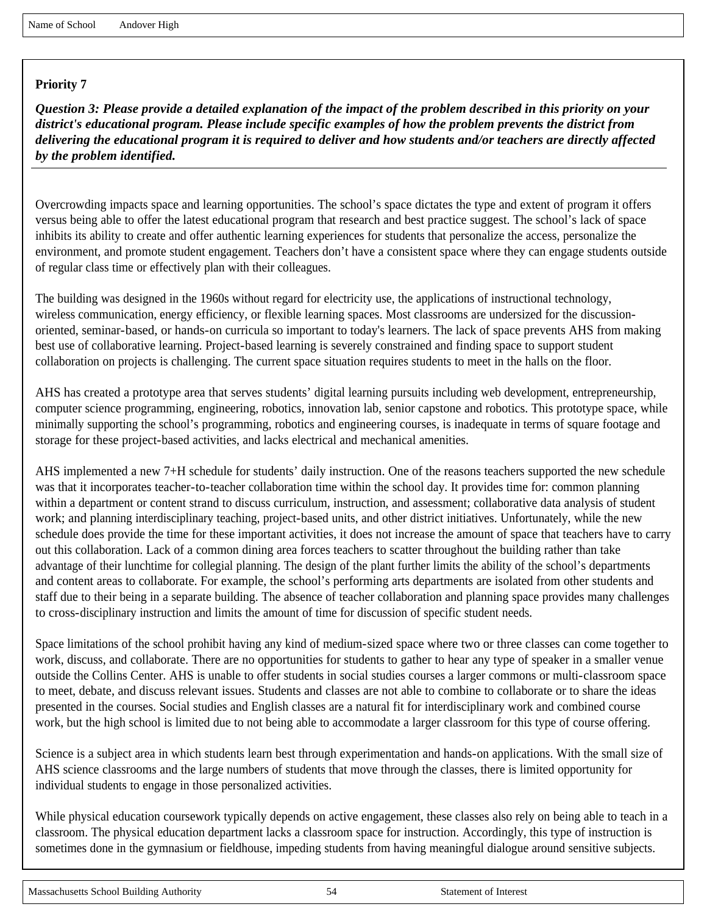*Question 3: Please provide a detailed explanation of the impact of the problem described in this priority on your district's educational program. Please include specific examples of how the problem prevents the district from delivering the educational program it is required to deliver and how students and/or teachers are directly affected by the problem identified.*

Overcrowding impacts space and learning opportunities. The school's space dictates the type and extent of program it offers versus being able to offer the latest educational program that research and best practice suggest. The school's lack of space inhibits its ability to create and offer authentic learning experiences for students that personalize the access, personalize the environment, and promote student engagement. Teachers don't have a consistent space where they can engage students outside of regular class time or effectively plan with their colleagues.

The building was designed in the 1960s without regard for electricity use, the applications of instructional technology, wireless communication, energy efficiency, or flexible learning spaces. Most classrooms are undersized for the discussionoriented, seminar-based, or hands-on curricula so important to today's learners. The lack of space prevents AHS from making best use of collaborative learning. Project-based learning is severely constrained and finding space to support student collaboration on projects is challenging. The current space situation requires students to meet in the halls on the floor.

AHS has created a prototype area that serves students' digital learning pursuits including web development, entrepreneurship, computer science programming, engineering, robotics, innovation lab, senior capstone and robotics. This prototype space, while minimally supporting the school's programming, robotics and engineering courses, is inadequate in terms of square footage and storage for these project-based activities, and lacks electrical and mechanical amenities.

AHS implemented a new 7+H schedule for students' daily instruction. One of the reasons teachers supported the new schedule was that it incorporates teacher-to-teacher collaboration time within the school day. It provides time for: common planning within a department or content strand to discuss curriculum, instruction, and assessment; collaborative data analysis of student work; and planning interdisciplinary teaching, project-based units, and other district initiatives. Unfortunately, while the new schedule does provide the time for these important activities, it does not increase the amount of space that teachers have to carry out this collaboration. Lack of a common dining area forces teachers to scatter throughout the building rather than take advantage of their lunchtime for collegial planning. The design of the plant further limits the ability of the school's departments and content areas to collaborate. For example, the school's performing arts departments are isolated from other students and staff due to their being in a separate building. The absence of teacher collaboration and planning space provides many challenges to cross-disciplinary instruction and limits the amount of time for discussion of specific student needs.

Space limitations of the school prohibit having any kind of medium-sized space where two or three classes can come together to work, discuss, and collaborate. There are no opportunities for students to gather to hear any type of speaker in a smaller venue outside the Collins Center. AHS is unable to offer students in social studies courses a larger commons or multi-classroom space to meet, debate, and discuss relevant issues. Students and classes are not able to combine to collaborate or to share the ideas presented in the courses. Social studies and English classes are a natural fit for interdisciplinary work and combined course work, but the high school is limited due to not being able to accommodate a larger classroom for this type of course offering.

Science is a subject area in which students learn best through experimentation and hands-on applications. With the small size of AHS science classrooms and the large numbers of students that move through the classes, there is limited opportunity for individual students to engage in those personalized activities.

While physical education coursework typically depends on active engagement, these classes also rely on being able to teach in a classroom. The physical education department lacks a classroom space for instruction. Accordingly, this type of instruction is sometimes done in the gymnasium or fieldhouse, impeding students from having meaningful dialogue around sensitive subjects.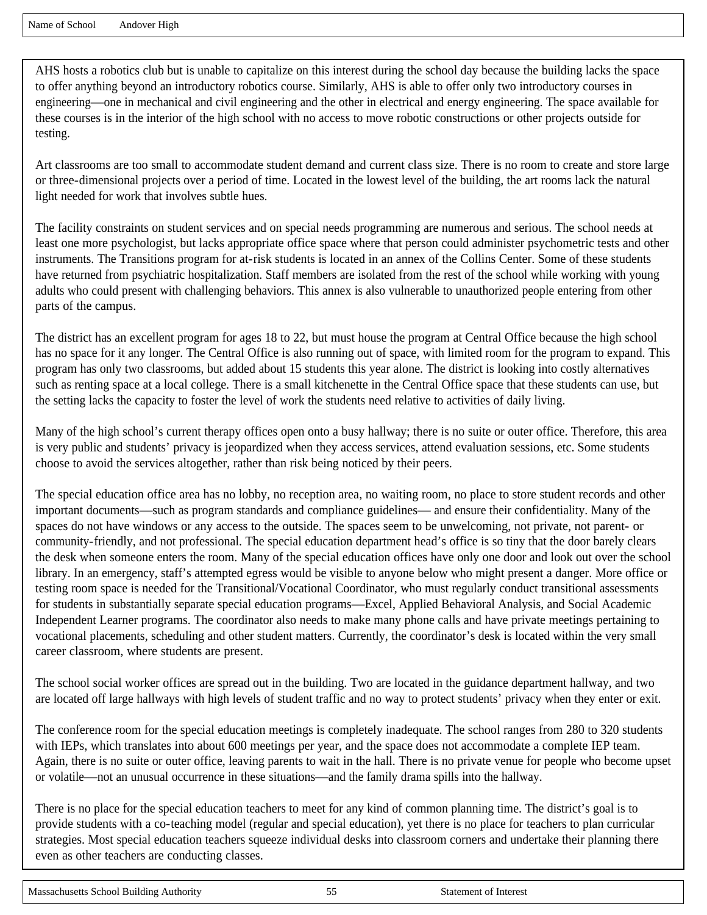AHS hosts a robotics club but is unable to capitalize on this interest during the school day because the building lacks the space to offer anything beyond an introductory robotics course. Similarly, AHS is able to offer only two introductory courses in engineering—one in mechanical and civil engineering and the other in electrical and energy engineering. The space available for these courses is in the interior of the high school with no access to move robotic constructions or other projects outside for testing.

Art classrooms are too small to accommodate student demand and current class size. There is no room to create and store large or three-dimensional projects over a period of time. Located in the lowest level of the building, the art rooms lack the natural light needed for work that involves subtle hues.

The facility constraints on student services and on special needs programming are numerous and serious. The school needs at least one more psychologist, but lacks appropriate office space where that person could administer psychometric tests and other instruments. The Transitions program for at-risk students is located in an annex of the Collins Center. Some of these students have returned from psychiatric hospitalization. Staff members are isolated from the rest of the school while working with young adults who could present with challenging behaviors. This annex is also vulnerable to unauthorized people entering from other parts of the campus.

The district has an excellent program for ages 18 to 22, but must house the program at Central Office because the high school has no space for it any longer. The Central Office is also running out of space, with limited room for the program to expand. This program has only two classrooms, but added about 15 students this year alone. The district is looking into costly alternatives such as renting space at a local college. There is a small kitchenette in the Central Office space that these students can use, but the setting lacks the capacity to foster the level of work the students need relative to activities of daily living.

Many of the high school's current therapy offices open onto a busy hallway; there is no suite or outer office. Therefore, this area is very public and students' privacy is jeopardized when they access services, attend evaluation sessions, etc. Some students choose to avoid the services altogether, rather than risk being noticed by their peers.

The special education office area has no lobby, no reception area, no waiting room, no place to store student records and other important documents—such as program standards and compliance guidelines— and ensure their confidentiality. Many of the spaces do not have windows or any access to the outside. The spaces seem to be unwelcoming, not private, not parent- or community-friendly, and not professional. The special education department head's office is so tiny that the door barely clears the desk when someone enters the room. Many of the special education offices have only one door and look out over the school library. In an emergency, staff's attempted egress would be visible to anyone below who might present a danger. More office or testing room space is needed for the Transitional/Vocational Coordinator, who must regularly conduct transitional assessments for students in substantially separate special education programs—Excel, Applied Behavioral Analysis, and Social Academic Independent Learner programs. The coordinator also needs to make many phone calls and have private meetings pertaining to vocational placements, scheduling and other student matters. Currently, the coordinator's desk is located within the very small career classroom, where students are present.

The school social worker offices are spread out in the building. Two are located in the guidance department hallway, and two are located off large hallways with high levels of student traffic and no way to protect students' privacy when they enter or exit.

The conference room for the special education meetings is completely inadequate. The school ranges from 280 to 320 students with IEPs, which translates into about 600 meetings per year, and the space does not accommodate a complete IEP team. Again, there is no suite or outer office, leaving parents to wait in the hall. There is no private venue for people who become upset or volatile—not an unusual occurrence in these situations—and the family drama spills into the hallway.

There is no place for the special education teachers to meet for any kind of common planning time. The district's goal is to provide students with a co-teaching model (regular and special education), yet there is no place for teachers to plan curricular strategies. Most special education teachers squeeze individual desks into classroom corners and undertake their planning there even as other teachers are conducting classes.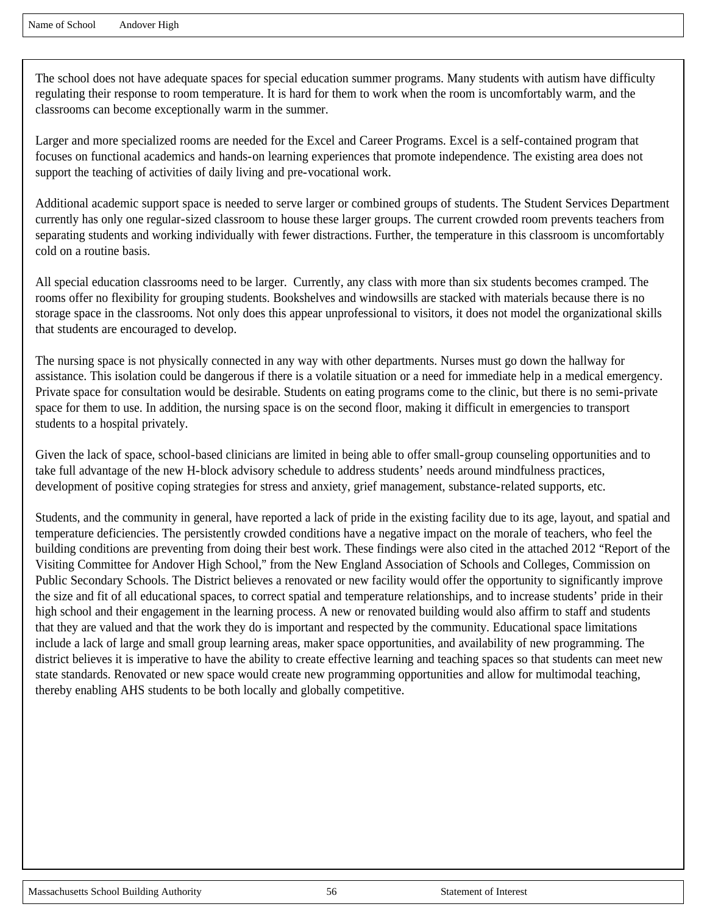The school does not have adequate spaces for special education summer programs. Many students with autism have difficulty regulating their response to room temperature. It is hard for them to work when the room is uncomfortably warm, and the classrooms can become exceptionally warm in the summer.

Larger and more specialized rooms are needed for the Excel and Career Programs. Excel is a self-contained program that focuses on functional academics and hands-on learning experiences that promote independence. The existing area does not support the teaching of activities of daily living and pre-vocational work.

Additional academic support space is needed to serve larger or combined groups of students. The Student Services Department currently has only one regular-sized classroom to house these larger groups. The current crowded room prevents teachers from separating students and working individually with fewer distractions. Further, the temperature in this classroom is uncomfortably cold on a routine basis.

All special education classrooms need to be larger. Currently, any class with more than six students becomes cramped. The rooms offer no flexibility for grouping students. Bookshelves and windowsills are stacked with materials because there is no storage space in the classrooms. Not only does this appear unprofessional to visitors, it does not model the organizational skills that students are encouraged to develop.

The nursing space is not physically connected in any way with other departments. Nurses must go down the hallway for assistance. This isolation could be dangerous if there is a volatile situation or a need for immediate help in a medical emergency. Private space for consultation would be desirable. Students on eating programs come to the clinic, but there is no semi-private space for them to use. In addition, the nursing space is on the second floor, making it difficult in emergencies to transport students to a hospital privately.

Given the lack of space, school-based clinicians are limited in being able to offer small-group counseling opportunities and to take full advantage of the new H-block advisory schedule to address students' needs around mindfulness practices, development of positive coping strategies for stress and anxiety, grief management, substance-related supports, etc.

Students, and the community in general, have reported a lack of pride in the existing facility due to its age, layout, and spatial and temperature deficiencies. The persistently crowded conditions have a negative impact on the morale of teachers, who feel the building conditions are preventing from doing their best work. These findings were also cited in the attached 2012 "Report of the Visiting Committee for Andover High School," from the New England Association of Schools and Colleges, Commission on Public Secondary Schools. The District believes a renovated or new facility would offer the opportunity to significantly improve the size and fit of all educational spaces, to correct spatial and temperature relationships, and to increase students' pride in their high school and their engagement in the learning process. A new or renovated building would also affirm to staff and students that they are valued and that the work they do is important and respected by the community. Educational space limitations include a lack of large and small group learning areas, maker space opportunities, and availability of new programming. The district believes it is imperative to have the ability to create effective learning and teaching spaces so that students can meet new state standards. Renovated or new space would create new programming opportunities and allow for multimodal teaching, thereby enabling AHS students to be both locally and globally competitive.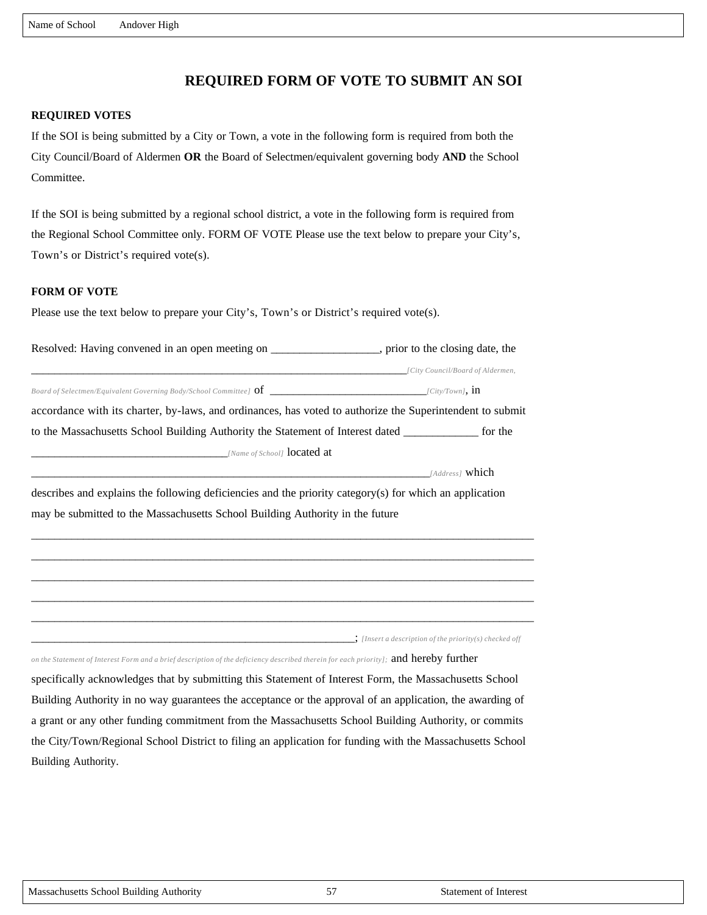# **REQUIRED FORM OF VOTE TO SUBMIT AN SOI**

#### **REQUIRED VOTES**

If the SOI is being submitted by a City or Town, a vote in the following form is required from both the City Council/Board of Aldermen **OR** the Board of Selectmen/equivalent governing body **AND** the School Committee.

If the SOI is being submitted by a regional school district, a vote in the following form is required from the Regional School Committee only. FORM OF VOTE Please use the text below to prepare your City's, Town's or District's required vote(s).

#### **FORM OF VOTE**

Please use the text below to prepare your City's, Town's or District's required vote(s).

| Resolved: Having convened in an open meeting on                                                           | , prior to the closing date, the |
|-----------------------------------------------------------------------------------------------------------|----------------------------------|
|                                                                                                           | [City Council/Board of Aldermen, |
| Board of Selectmen/Equivalent Governing Body/School Committee] $\sigma f$                                 | $\left[City/Town\right]$ , in    |
| accordance with its charter, by-laws, and ordinances, has voted to authorize the Superintendent to submit |                                  |
| to the Massachusetts School Building Authority the Statement of Interest dated                            | for the                          |
| <i>[Name of School]</i> <b>located at</b>                                                                 |                                  |
|                                                                                                           | [Address] which                  |

describes and explains the following deficiencies and the priority category(s) for which an application may be submitted to the Massachusetts School Building Authority in the future

\_\_\_\_\_\_\_\_\_\_\_\_\_\_\_\_\_\_\_\_\_\_\_\_\_\_\_\_\_\_\_\_\_\_\_\_\_\_\_\_\_\_\_\_\_\_\_\_\_\_\_\_\_\_\_\_\_\_\_\_\_\_\_\_\_\_\_\_\_\_\_\_\_\_\_\_\_\_\_\_\_\_\_\_\_\_\_ \_\_\_\_\_\_\_\_\_\_\_\_\_\_\_\_\_\_\_\_\_\_\_\_\_\_\_\_\_\_\_\_\_\_\_\_\_\_\_\_\_\_\_\_\_\_\_\_\_\_\_\_\_\_\_\_\_\_\_\_\_\_\_\_\_\_\_\_\_\_\_\_\_\_\_\_\_\_\_\_\_\_\_\_\_\_\_ \_\_\_\_\_\_\_\_\_\_\_\_\_\_\_\_\_\_\_\_\_\_\_\_\_\_\_\_\_\_\_\_\_\_\_\_\_\_\_\_\_\_\_\_\_\_\_\_\_\_\_\_\_\_\_\_\_\_\_\_\_\_\_\_\_\_\_\_\_\_\_\_\_\_\_\_\_\_\_\_\_\_\_\_\_\_\_ \_\_\_\_\_\_\_\_\_\_\_\_\_\_\_\_\_\_\_\_\_\_\_\_\_\_\_\_\_\_\_\_\_\_\_\_\_\_\_\_\_\_\_\_\_\_\_\_\_\_\_\_\_\_\_\_\_\_\_\_\_\_\_\_\_\_\_\_\_\_\_\_\_\_\_\_\_\_\_\_\_\_\_\_\_\_\_ \_\_\_\_\_\_\_\_\_\_\_\_\_\_\_\_\_\_\_\_\_\_\_\_\_\_\_\_\_\_\_\_\_\_\_\_\_\_\_\_\_\_\_\_\_\_\_\_\_\_\_\_\_\_\_\_\_\_\_\_\_\_\_\_\_\_\_\_\_\_\_\_\_\_\_\_\_\_\_\_\_\_\_\_\_\_\_

\_\_\_\_\_\_\_\_\_\_\_\_\_\_\_\_\_\_\_\_\_\_\_\_\_\_\_\_\_\_\_\_\_\_\_\_\_\_\_\_\_\_\_\_\_\_\_\_\_\_\_\_\_\_\_\_; *[Insert a description of the priority(s) checked off* 

*on the Statement of Interest Form and a brief description of the deficiency described therein for each priority];* and hereby further

specifically acknowledges that by submitting this Statement of Interest Form, the Massachusetts School Building Authority in no way guarantees the acceptance or the approval of an application, the awarding of a grant or any other funding commitment from the Massachusetts School Building Authority, or commits the City/Town/Regional School District to filing an application for funding with the Massachusetts School Building Authority.